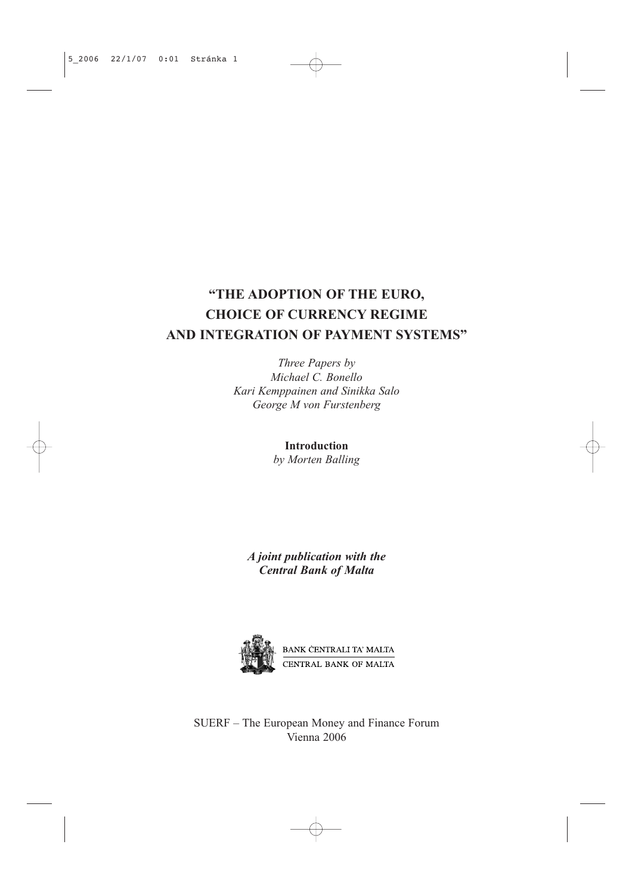# **"THE ADOPTION OF THE EURO, CHOICE OF CURRENCY REGIME AND INTEGRATION OF PAYMENT SYSTEMS"**

*Three Papers by Michael C. Bonello Kari Kemppainen and Sinikka Salo George M von Furstenberg*

> **Introduction** *by Morten Balling*

*A joint publication with the Central Bank of Malta*



BANK CENTRALI TA' MALTA **CENTRAL BANK OF MALTA** 

SUERF – The European Money and Finance Forum Vienna 2006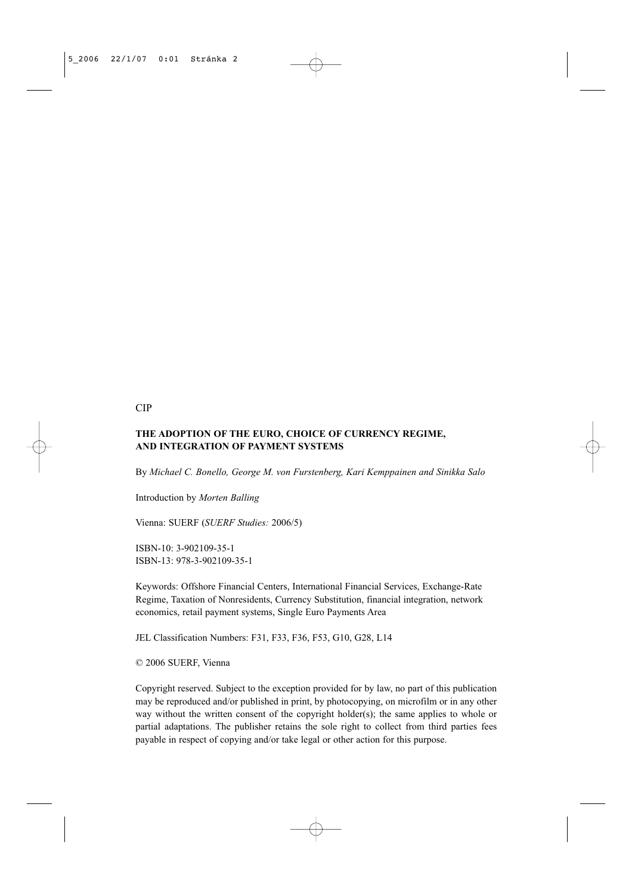#### CIP

#### **THE ADOPTION OF THE EURO, CHOICE OF CURRENCY REGIME, AND INTEGRATION OF PAYMENT SYSTEMS**

By *Michael C. Bonello, George M. von Furstenberg, Kari Kemppainen and Sinikka Salo*

Introduction by *Morten Balling*

Vienna: SUERF (*SUERF Studies:* 2006/5)

ISBN-10: 3-902109-35-1 ISBN-13: 978-3-902109-35-1

Keywords: Offshore Financial Centers, International Financial Services, Exchange-Rate Regime, Taxation of Nonresidents, Currency Substitution, financial integration, network economics, retail payment systems, Single Euro Payments Area

JEL Classification Numbers: F31, F33, F36, F53, G10, G28, L14

© 2006 SUERF, Vienna

Copyright reserved. Subject to the exception provided for by law, no part of this publication may be reproduced and/or published in print, by photocopying, on microfilm or in any other way without the written consent of the copyright holder(s); the same applies to whole or partial adaptations. The publisher retains the sole right to collect from third parties fees payable in respect of copying and/or take legal or other action for this purpose.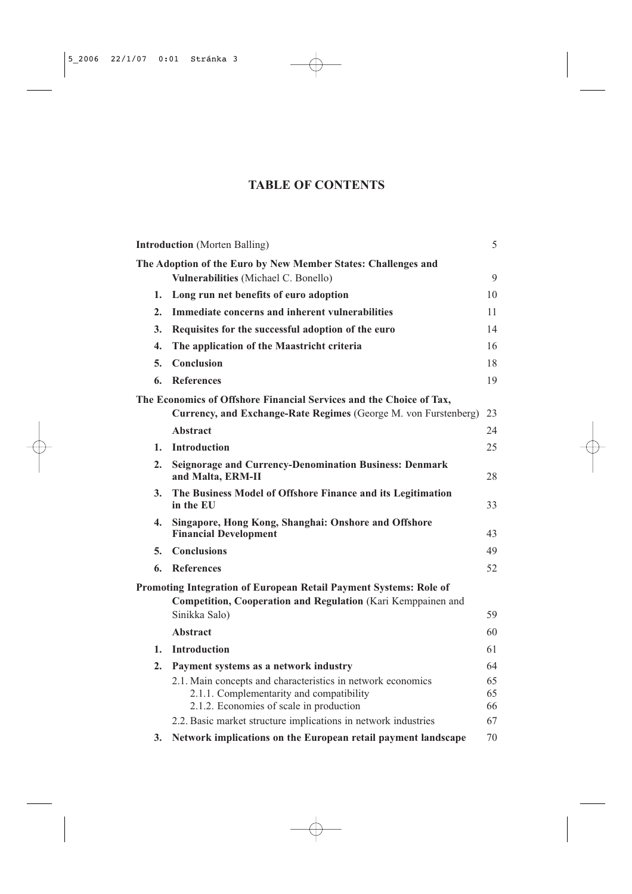# **TABLE OF CONTENTS**

|                                                                     | <b>Introduction</b> (Morten Balling)                                                                                                               | 5              |  |  |  |  |
|---------------------------------------------------------------------|----------------------------------------------------------------------------------------------------------------------------------------------------|----------------|--|--|--|--|
|                                                                     | The Adoption of the Euro by New Member States: Challenges and                                                                                      |                |  |  |  |  |
|                                                                     | Vulnerabilities (Michael C. Bonello)                                                                                                               | 9              |  |  |  |  |
| 1.                                                                  | Long run net benefits of euro adoption                                                                                                             | 10             |  |  |  |  |
| 2.                                                                  | Immediate concerns and inherent vulnerabilities                                                                                                    | 11             |  |  |  |  |
| 3.                                                                  | Requisites for the successful adoption of the euro                                                                                                 | 14             |  |  |  |  |
| 4.                                                                  | The application of the Maastricht criteria                                                                                                         | 16             |  |  |  |  |
| 5.                                                                  | Conclusion                                                                                                                                         | 18             |  |  |  |  |
| 6.                                                                  | <b>References</b>                                                                                                                                  | 19             |  |  |  |  |
| The Economics of Offshore Financial Services and the Choice of Tax, |                                                                                                                                                    |                |  |  |  |  |
|                                                                     | Currency, and Exchange-Rate Regimes (George M. von Furstenberg)                                                                                    | 23             |  |  |  |  |
|                                                                     | Abstract                                                                                                                                           | 24             |  |  |  |  |
| 1.                                                                  | <b>Introduction</b>                                                                                                                                | 25             |  |  |  |  |
| $\overline{2}$ .                                                    | <b>Seignorage and Currency-Denomination Business: Denmark</b><br>and Malta, ERM-II                                                                 | 28             |  |  |  |  |
| 3.                                                                  | The Business Model of Offshore Finance and its Legitimation<br>in the EU                                                                           | 33             |  |  |  |  |
| 4.                                                                  | Singapore, Hong Kong, Shanghai: Onshore and Offshore<br><b>Financial Development</b>                                                               | 43             |  |  |  |  |
| 5.                                                                  | <b>Conclusions</b>                                                                                                                                 | 49             |  |  |  |  |
| 6.                                                                  | <b>References</b>                                                                                                                                  | 52             |  |  |  |  |
|                                                                     | Promoting Integration of European Retail Payment Systems: Role of                                                                                  |                |  |  |  |  |
|                                                                     | Competition, Cooperation and Regulation (Kari Kemppainen and                                                                                       |                |  |  |  |  |
|                                                                     | Sinikka Salo)                                                                                                                                      | 59             |  |  |  |  |
|                                                                     | <b>Abstract</b>                                                                                                                                    | 60             |  |  |  |  |
| 1.                                                                  | <b>Introduction</b>                                                                                                                                | 61             |  |  |  |  |
| 2.                                                                  | Payment systems as a network industry                                                                                                              | 64             |  |  |  |  |
|                                                                     | 2.1. Main concepts and characteristics in network economics<br>2.1.1. Complementarity and compatibility<br>2.1.2. Economies of scale in production | 65<br>65<br>66 |  |  |  |  |
|                                                                     | 2.2. Basic market structure implications in network industries                                                                                     | 67             |  |  |  |  |
| 3.                                                                  | Network implications on the European retail payment landscape                                                                                      | 70             |  |  |  |  |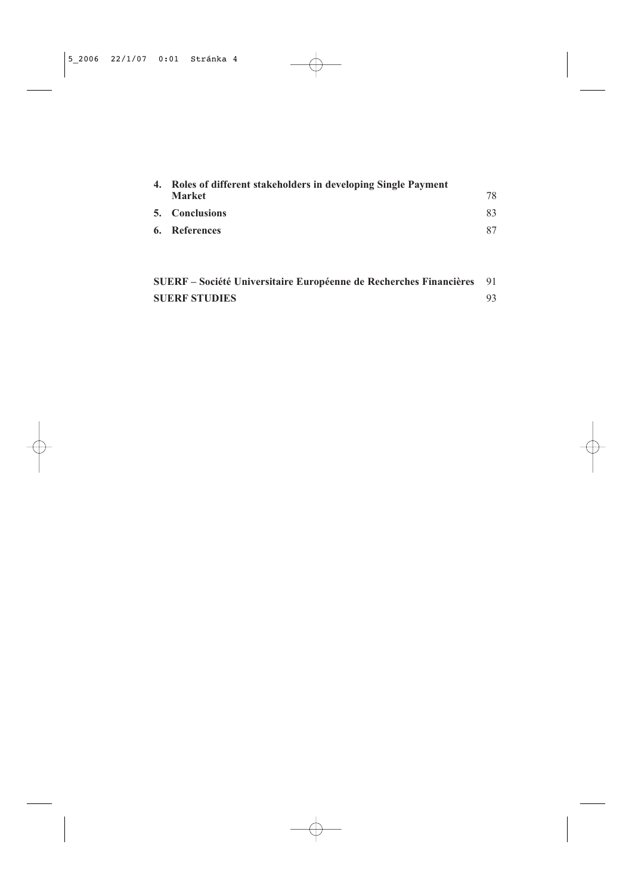| 4.                                                                               | Roles of different stakeholders in developing Single Payment<br>78<br><b>Market</b> |    |  |
|----------------------------------------------------------------------------------|-------------------------------------------------------------------------------------|----|--|
|                                                                                  | 5. Conclusions                                                                      | 83 |  |
|                                                                                  | 6. References                                                                       | 87 |  |
|                                                                                  |                                                                                     |    |  |
|                                                                                  |                                                                                     |    |  |
| <b>SUERF – Société Universitaire Européenne de Recherches Financières</b><br>-91 |                                                                                     |    |  |

| <b>SUERF STUDIES</b> | - |  |
|----------------------|---|--|
|                      |   |  |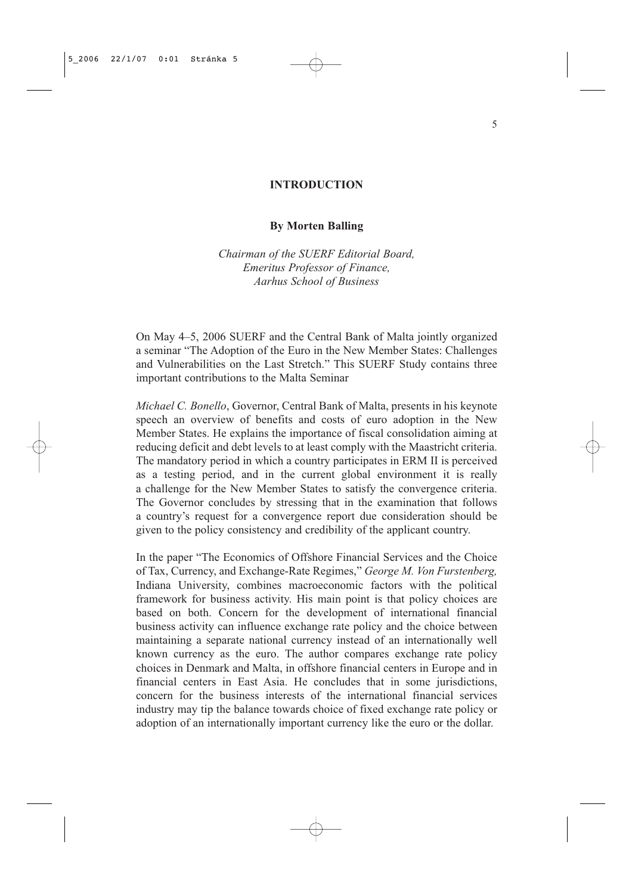## **INTRODUCTION**

## **By Morten Balling**

*Chairman of the SUERF Editorial Board, Emeritus Professor of Finance, Aarhus School of Business*

On May 4–5, 2006 SUERF and the Central Bank of Malta jointly organized a seminar "The Adoption of the Euro in the New Member States: Challenges and Vulnerabilities on the Last Stretch." This SUERF Study contains three important contributions to the Malta Seminar

*Michael C. Bonello*, Governor, Central Bank of Malta, presents in his keynote speech an overview of benefits and costs of euro adoption in the New Member States. He explains the importance of fiscal consolidation aiming at reducing deficit and debt levels to at least comply with the Maastricht criteria. The mandatory period in which a country participates in ERM II is perceived as a testing period, and in the current global environment it is really a challenge for the New Member States to satisfy the convergence criteria. The Governor concludes by stressing that in the examination that follows a country's request for a convergence report due consideration should be given to the policy consistency and credibility of the applicant country.

In the paper "The Economics of Offshore Financial Services and the Choice of Tax, Currency, and Exchange-Rate Regimes," *George M. Von Furstenberg,* Indiana University, combines macroeconomic factors with the political framework for business activity. His main point is that policy choices are based on both. Concern for the development of international financial business activity can influence exchange rate policy and the choice between maintaining a separate national currency instead of an internationally well known currency as the euro. The author compares exchange rate policy choices in Denmark and Malta, in offshore financial centers in Europe and in financial centers in East Asia. He concludes that in some jurisdictions, concern for the business interests of the international financial services industry may tip the balance towards choice of fixed exchange rate policy or adoption of an internationally important currency like the euro or the dollar.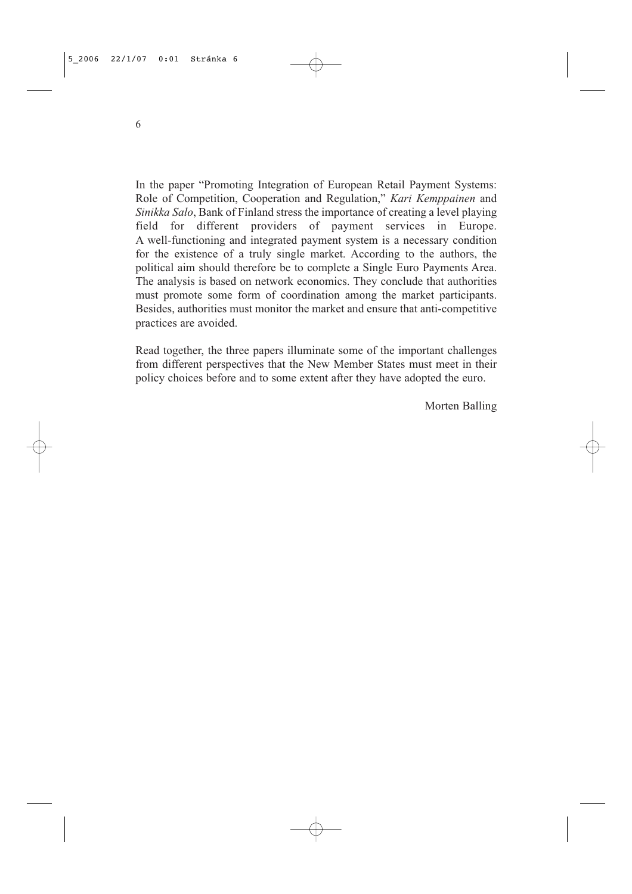In the paper "Promoting Integration of European Retail Payment Systems: Role of Competition, Cooperation and Regulation," *Kari Kemppainen* and *Sinikka Salo*, Bank of Finland stress the importance of creating a level playing field for different providers of payment services in Europe. A well-functioning and integrated payment system is a necessary condition for the existence of a truly single market. According to the authors, the political aim should therefore be to complete a Single Euro Payments Area. The analysis is based on network economics. They conclude that authorities must promote some form of coordination among the market participants. Besides, authorities must monitor the market and ensure that anti-competitive practices are avoided.

Read together, the three papers illuminate some of the important challenges from different perspectives that the New Member States must meet in their policy choices before and to some extent after they have adopted the euro.

Morten Balling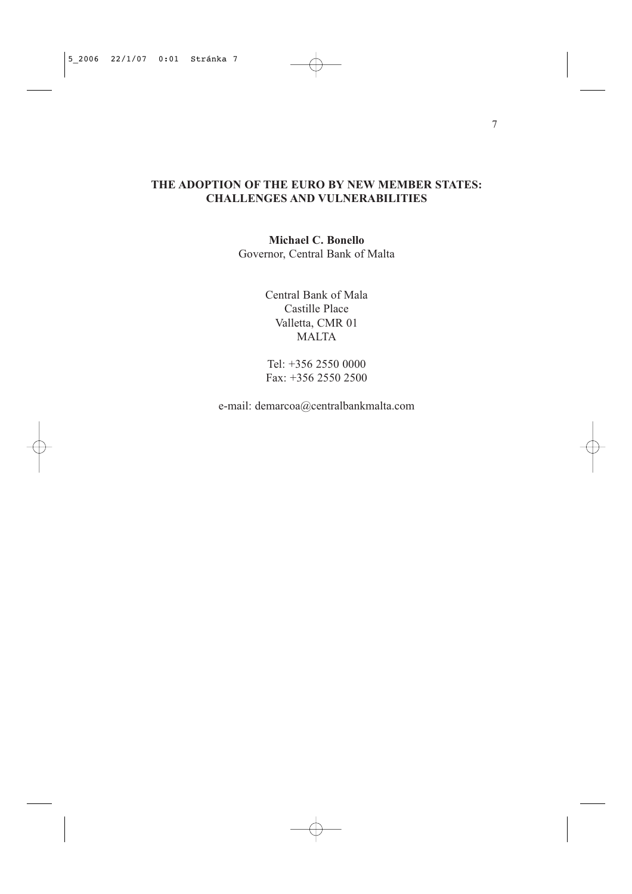# **THE ADOPTION OF THE EURO BY NEW MEMBER STATES: CHALLENGES AND VULNERABILITIES**

**Michael C. Bonello** Governor, Central Bank of Malta

> Central Bank of Mala Castille Place Valletta, CMR 01 MALTA

Tel: +356 2550 0000 Fax: +356 2550 2500

e-mail: demarcoa@centralbankmalta.com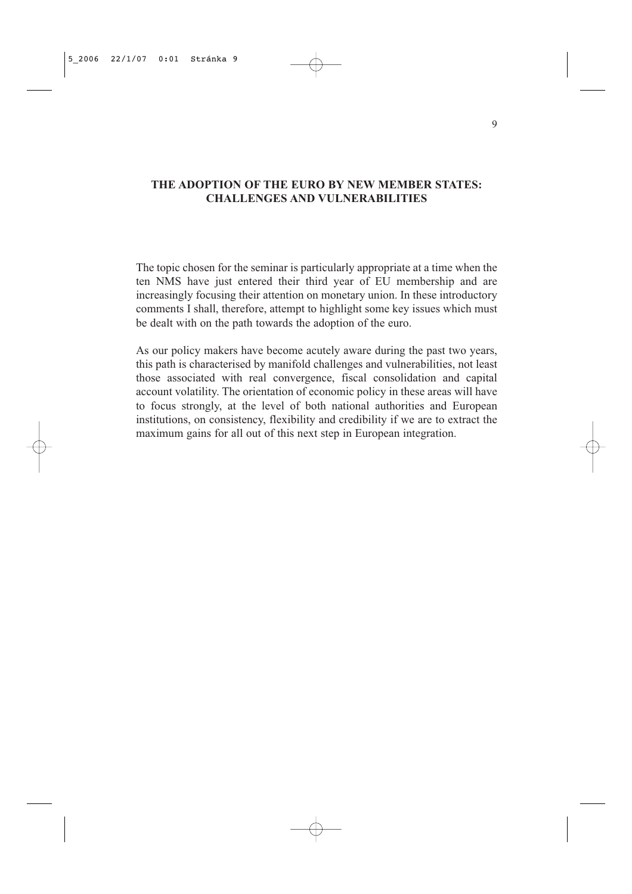## **THE ADOPTION OF THE EURO BY NEW MEMBER STATES: CHALLENGES AND VULNERABILITIES**

The topic chosen for the seminar is particularly appropriate at a time when the ten NMS have just entered their third year of EU membership and are increasingly focusing their attention on monetary union. In these introductory comments I shall, therefore, attempt to highlight some key issues which must be dealt with on the path towards the adoption of the euro.

As our policy makers have become acutely aware during the past two years, this path is characterised by manifold challenges and vulnerabilities, not least those associated with real convergence, fiscal consolidation and capital account volatility. The orientation of economic policy in these areas will have to focus strongly, at the level of both national authorities and European institutions, on consistency, flexibility and credibility if we are to extract the maximum gains for all out of this next step in European integration.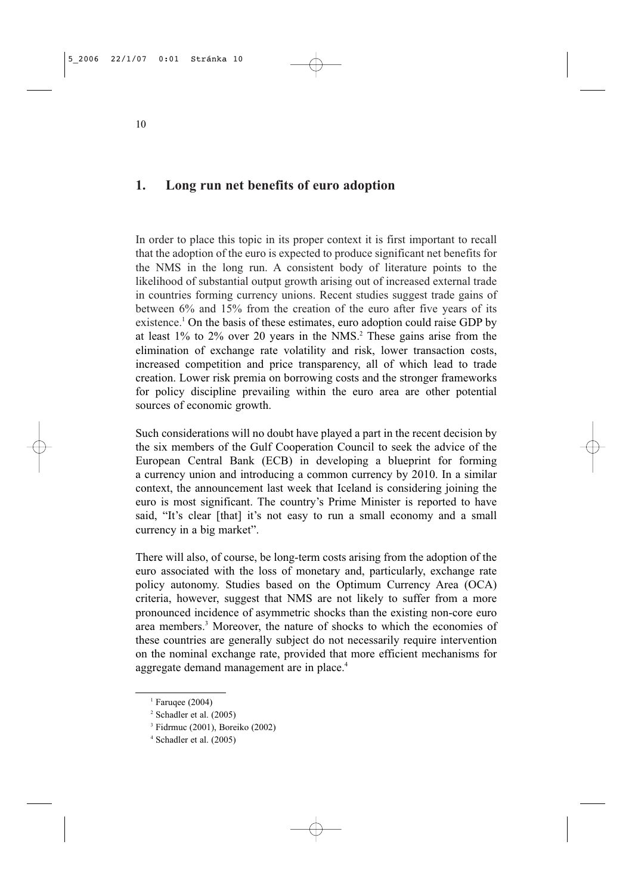**1. Long run net benefits of euro adoption**

In order to place this topic in its proper context it is first important to recall that the adoption of the euro is expected to produce significant net benefits for the NMS in the long run. A consistent body of literature points to the likelihood of substantial output growth arising out of increased external trade in countries forming currency unions. Recent studies suggest trade gains of between 6% and 15% from the creation of the euro after five years of its existence.1 On the basis of these estimates, euro adoption could raise GDP by at least  $1\%$  to  $2\%$  over 20 years in the NMS.<sup>2</sup> These gains arise from the elimination of exchange rate volatility and risk, lower transaction costs, increased competition and price transparency, all of which lead to trade creation. Lower risk premia on borrowing costs and the stronger frameworks for policy discipline prevailing within the euro area are other potential sources of economic growth.

Such considerations will no doubt have played a part in the recent decision by the six members of the Gulf Cooperation Council to seek the advice of the European Central Bank (ECB) in developing a blueprint for forming a currency union and introducing a common currency by 2010. In a similar context, the announcement last week that Iceland is considering joining the euro is most significant. The country's Prime Minister is reported to have said, "It's clear [that] it's not easy to run a small economy and a small currency in a big market".

There will also, of course, be long-term costs arising from the adoption of the euro associated with the loss of monetary and, particularly, exchange rate policy autonomy. Studies based on the Optimum Currency Area (OCA) criteria, however, suggest that NMS are not likely to suffer from a more pronounced incidence of asymmetric shocks than the existing non-core euro area members.3 Moreover, the nature of shocks to which the economies of these countries are generally subject do not necessarily require intervention on the nominal exchange rate, provided that more efficient mechanisms for aggregate demand management are in place.<sup>4</sup>

10

 $1$  Faruqee (2004)

 $2$  Schadler et al. (2005)

<sup>3</sup> Fidrmuc (2001), Boreiko (2002)

<sup>4</sup> Schadler et al. (2005)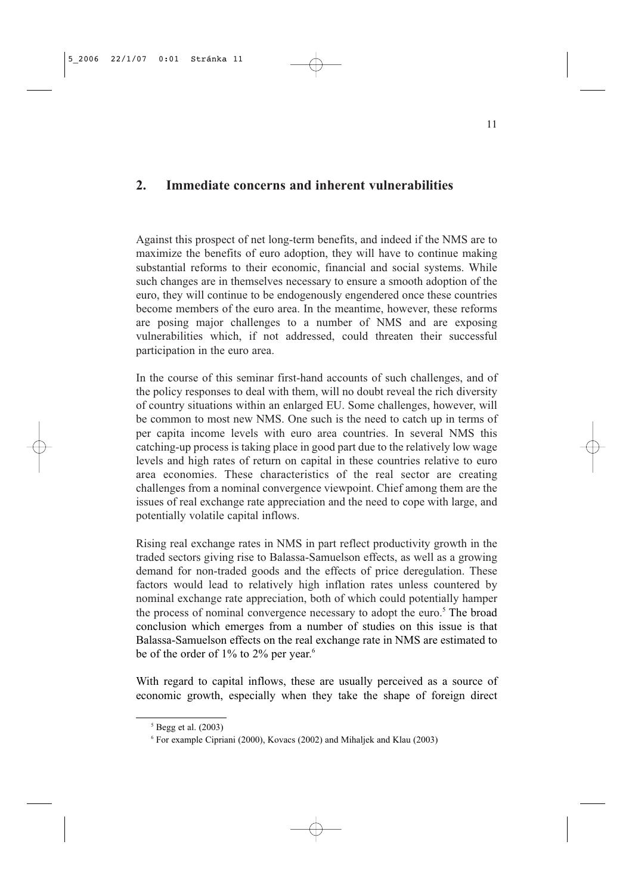# **2. Immediate concerns and inherent vulnerabilities**

Against this prospect of net long-term benefits, and indeed if the NMS are to maximize the benefits of euro adoption, they will have to continue making substantial reforms to their economic, financial and social systems. While such changes are in themselves necessary to ensure a smooth adoption of the euro, they will continue to be endogenously engendered once these countries become members of the euro area. In the meantime, however, these reforms are posing major challenges to a number of NMS and are exposing vulnerabilities which, if not addressed, could threaten their successful participation in the euro area.

In the course of this seminar first-hand accounts of such challenges, and of the policy responses to deal with them, will no doubt reveal the rich diversity of country situations within an enlarged EU. Some challenges, however, will be common to most new NMS. One such is the need to catch up in terms of per capita income levels with euro area countries. In several NMS this catching-up process is taking place in good part due to the relatively low wage levels and high rates of return on capital in these countries relative to euro area economies. These characteristics of the real sector are creating challenges from a nominal convergence viewpoint. Chief among them are the issues of real exchange rate appreciation and the need to cope with large, and potentially volatile capital inflows.

Rising real exchange rates in NMS in part reflect productivity growth in the traded sectors giving rise to Balassa-Samuelson effects, as well as a growing demand for non-traded goods and the effects of price deregulation. These factors would lead to relatively high inflation rates unless countered by nominal exchange rate appreciation, both of which could potentially hamper the process of nominal convergence necessary to adopt the euro.<sup>5</sup> The broad conclusion which emerges from a number of studies on this issue is that Balassa-Samuelson effects on the real exchange rate in NMS are estimated to be of the order of 1% to 2% per year.<sup>6</sup>

With regard to capital inflows, these are usually perceived as a source of economic growth, especially when they take the shape of foreign direct

 $<sup>5</sup>$  Begg et al. (2003)</sup>

<sup>6</sup> For example Cipriani (2000), Kovacs (2002) and Mihaljek and Klau (2003)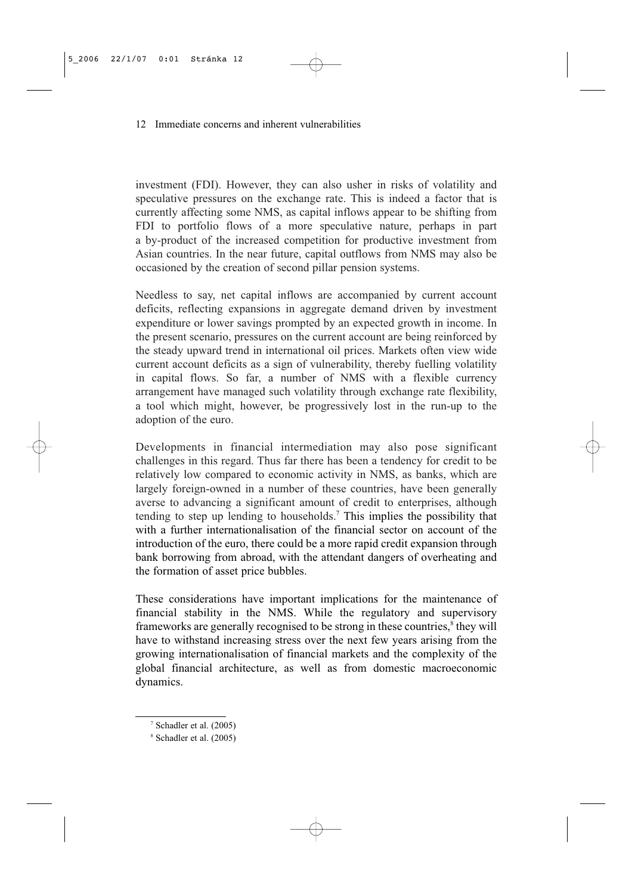12 Immediate concerns and inherent vulnerabilities

investment (FDI). However, they can also usher in risks of volatility and speculative pressures on the exchange rate. This is indeed a factor that is currently affecting some NMS, as capital inflows appear to be shifting from FDI to portfolio flows of a more speculative nature, perhaps in part a by-product of the increased competition for productive investment from Asian countries. In the near future, capital outflows from NMS may also be occasioned by the creation of second pillar pension systems.

Needless to say, net capital inflows are accompanied by current account deficits, reflecting expansions in aggregate demand driven by investment expenditure or lower savings prompted by an expected growth in income. In the present scenario, pressures on the current account are being reinforced by the steady upward trend in international oil prices. Markets often view wide current account deficits as a sign of vulnerability, thereby fuelling volatility in capital flows. So far, a number of NMS with a flexible currency arrangement have managed such volatility through exchange rate flexibility, a tool which might, however, be progressively lost in the run-up to the adoption of the euro.

Developments in financial intermediation may also pose significant challenges in this regard. Thus far there has been a tendency for credit to be relatively low compared to economic activity in NMS, as banks, which are largely foreign-owned in a number of these countries, have been generally averse to advancing a significant amount of credit to enterprises, although tending to step up lending to households.7 This implies the possibility that with a further internationalisation of the financial sector on account of the introduction of the euro, there could be a more rapid credit expansion through bank borrowing from abroad, with the attendant dangers of overheating and the formation of asset price bubbles.

These considerations have important implications for the maintenance of financial stability in the NMS. While the regulatory and supervisory frameworks are generally recognised to be strong in these countries,<sup>8</sup> they will have to withstand increasing stress over the next few years arising from the growing internationalisation of financial markets and the complexity of the global financial architecture, as well as from domestic macroeconomic dynamics.

<sup>7</sup> Schadler et al. (2005)

<sup>8</sup> Schadler et al. (2005)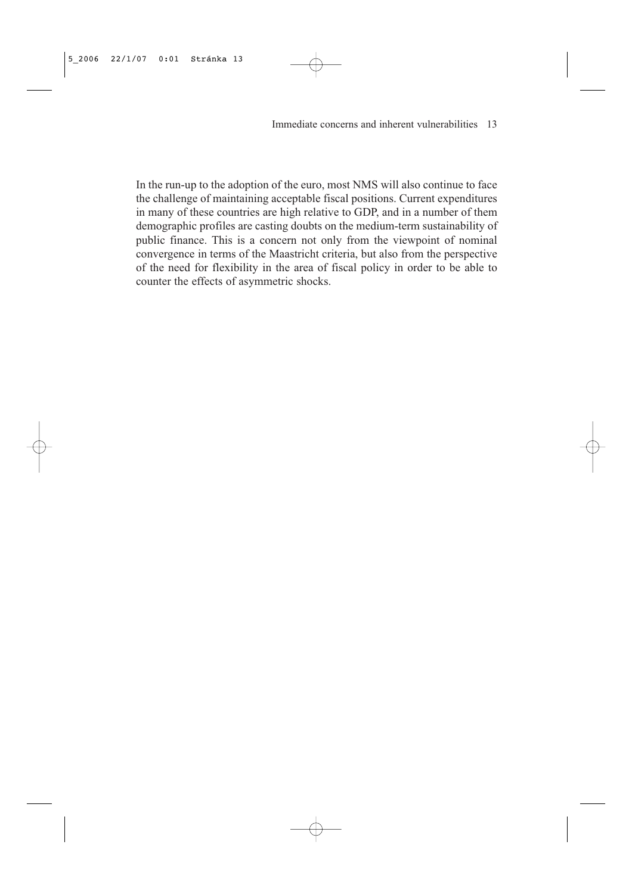Immediate concerns and inherent vulnerabilities 13

In the run-up to the adoption of the euro, most NMS will also continue to face the challenge of maintaining acceptable fiscal positions. Current expenditures in many of these countries are high relative to GDP, and in a number of them demographic profiles are casting doubts on the medium-term sustainability of public finance. This is a concern not only from the viewpoint of nominal convergence in terms of the Maastricht criteria, but also from the perspective of the need for flexibility in the area of fiscal policy in order to be able to counter the effects of asymmetric shocks.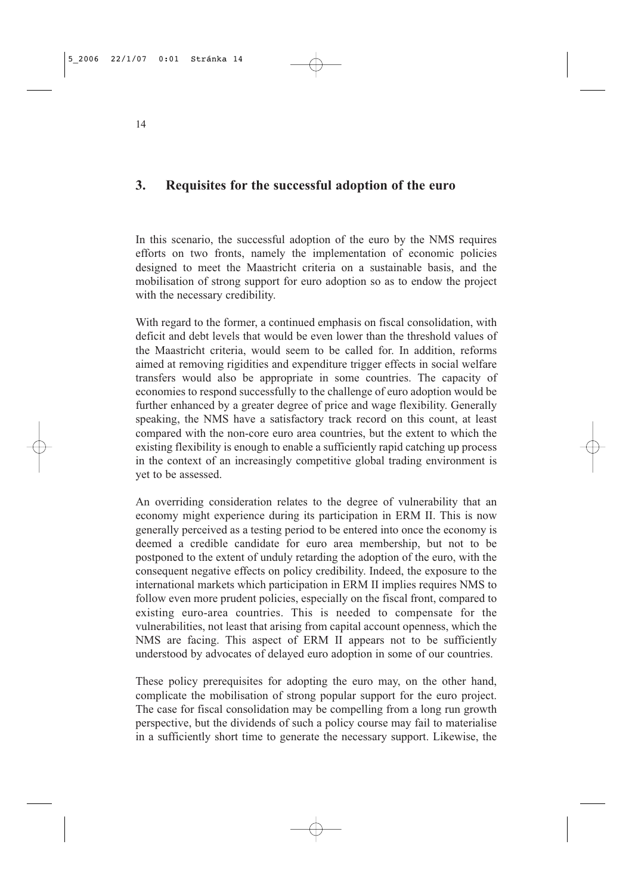# **3. Requisites for the successful adoption of the euro**

In this scenario, the successful adoption of the euro by the NMS requires efforts on two fronts, namely the implementation of economic policies designed to meet the Maastricht criteria on a sustainable basis, and the mobilisation of strong support for euro adoption so as to endow the project with the necessary credibility.

With regard to the former, a continued emphasis on fiscal consolidation, with deficit and debt levels that would be even lower than the threshold values of the Maastricht criteria, would seem to be called for. In addition, reforms aimed at removing rigidities and expenditure trigger effects in social welfare transfers would also be appropriate in some countries. The capacity of economies to respond successfully to the challenge of euro adoption would be further enhanced by a greater degree of price and wage flexibility. Generally speaking, the NMS have a satisfactory track record on this count, at least compared with the non-core euro area countries, but the extent to which the existing flexibility is enough to enable a sufficiently rapid catching up process in the context of an increasingly competitive global trading environment is yet to be assessed.

An overriding consideration relates to the degree of vulnerability that an economy might experience during its participation in ERM II. This is now generally perceived as a testing period to be entered into once the economy is deemed a credible candidate for euro area membership, but not to be postponed to the extent of unduly retarding the adoption of the euro, with the consequent negative effects on policy credibility. Indeed, the exposure to the international markets which participation in ERM II implies requires NMS to follow even more prudent policies, especially on the fiscal front, compared to existing euro-area countries. This is needed to compensate for the vulnerabilities, not least that arising from capital account openness, which the NMS are facing. This aspect of ERM II appears not to be sufficiently understood by advocates of delayed euro adoption in some of our countries.

These policy prerequisites for adopting the euro may, on the other hand, complicate the mobilisation of strong popular support for the euro project. The case for fiscal consolidation may be compelling from a long run growth perspective, but the dividends of such a policy course may fail to materialise in a sufficiently short time to generate the necessary support. Likewise, the

#### 14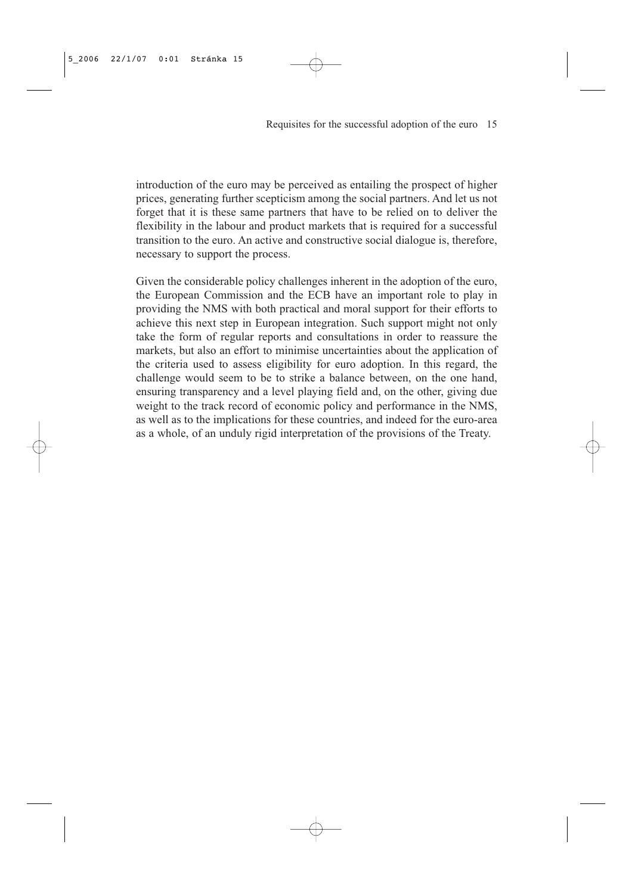Requisites for the successful adoption of the euro 15

introduction of the euro may be perceived as entailing the prospect of higher prices, generating further scepticism among the social partners. And let us not forget that it is these same partners that have to be relied on to deliver the flexibility in the labour and product markets that is required for a successful transition to the euro. An active and constructive social dialogue is, therefore, necessary to support the process.

Given the considerable policy challenges inherent in the adoption of the euro, the European Commission and the ECB have an important role to play in providing the NMS with both practical and moral support for their efforts to achieve this next step in European integration. Such support might not only take the form of regular reports and consultations in order to reassure the markets, but also an effort to minimise uncertainties about the application of the criteria used to assess eligibility for euro adoption. In this regard, the challenge would seem to be to strike a balance between, on the one hand, ensuring transparency and a level playing field and, on the other, giving due weight to the track record of economic policy and performance in the NMS, as well as to the implications for these countries, and indeed for the euro-area as a whole, of an unduly rigid interpretation of the provisions of the Treaty.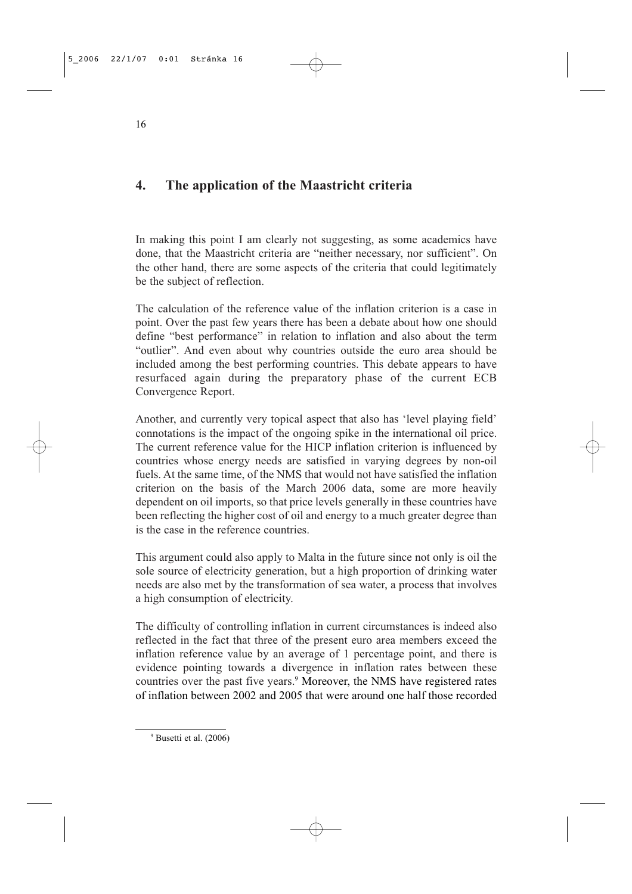# **4. The application of the Maastricht criteria**

In making this point I am clearly not suggesting, as some academics have done, that the Maastricht criteria are "neither necessary, nor sufficient". On the other hand, there are some aspects of the criteria that could legitimately be the subject of reflection.

The calculation of the reference value of the inflation criterion is a case in point. Over the past few years there has been a debate about how one should define "best performance" in relation to inflation and also about the term "outlier". And even about why countries outside the euro area should be included among the best performing countries. This debate appears to have resurfaced again during the preparatory phase of the current ECB Convergence Report.

Another, and currently very topical aspect that also has 'level playing field' connotations is the impact of the ongoing spike in the international oil price. The current reference value for the HICP inflation criterion is influenced by countries whose energy needs are satisfied in varying degrees by non-oil fuels. At the same time, of the NMS that would not have satisfied the inflation criterion on the basis of the March 2006 data, some are more heavily dependent on oil imports, so that price levels generally in these countries have been reflecting the higher cost of oil and energy to a much greater degree than is the case in the reference countries.

This argument could also apply to Malta in the future since not only is oil the sole source of electricity generation, but a high proportion of drinking water needs are also met by the transformation of sea water, a process that involves a high consumption of electricity.

The difficulty of controlling inflation in current circumstances is indeed also reflected in the fact that three of the present euro area members exceed the inflation reference value by an average of 1 percentage point, and there is evidence pointing towards a divergence in inflation rates between these countries over the past five years.<sup>9</sup> Moreover, the NMS have registered rates of inflation between 2002 and 2005 that were around one half those recorded

16

 $<sup>9</sup>$  Busetti et al. (2006)</sup>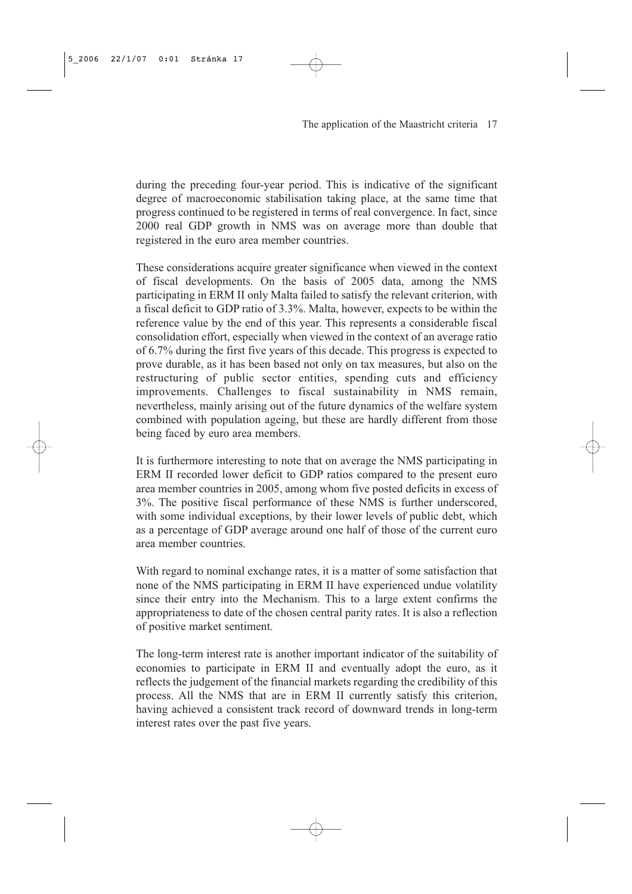The application of the Maastricht criteria 17

during the preceding four-year period. This is indicative of the significant degree of macroeconomic stabilisation taking place, at the same time that progress continued to be registered in terms of real convergence. In fact, since 2000 real GDP growth in NMS was on average more than double that registered in the euro area member countries.

These considerations acquire greater significance when viewed in the context of fiscal developments. On the basis of 2005 data, among the NMS participating in ERM II only Malta failed to satisfy the relevant criterion, with a fiscal deficit to GDP ratio of 3.3%. Malta, however, expects to be within the reference value by the end of this year. This represents a considerable fiscal consolidation effort, especially when viewed in the context of an average ratio of 6.7% during the first five years of this decade. This progress is expected to prove durable, as it has been based not only on tax measures, but also on the restructuring of public sector entities, spending cuts and efficiency improvements. Challenges to fiscal sustainability in NMS remain, nevertheless, mainly arising out of the future dynamics of the welfare system combined with population ageing, but these are hardly different from those being faced by euro area members.

It is furthermore interesting to note that on average the NMS participating in ERM II recorded lower deficit to GDP ratios compared to the present euro area member countries in 2005, among whom five posted deficits in excess of 3%. The positive fiscal performance of these NMS is further underscored, with some individual exceptions, by their lower levels of public debt, which as a percentage of GDP average around one half of those of the current euro area member countries.

With regard to nominal exchange rates, it is a matter of some satisfaction that none of the NMS participating in ERM II have experienced undue volatility since their entry into the Mechanism. This to a large extent confirms the appropriateness to date of the chosen central parity rates. It is also a reflection of positive market sentiment.

The long-term interest rate is another important indicator of the suitability of economies to participate in ERM II and eventually adopt the euro, as it reflects the judgement of the financial markets regarding the credibility of this process. All the NMS that are in ERM II currently satisfy this criterion, having achieved a consistent track record of downward trends in long-term interest rates over the past five years.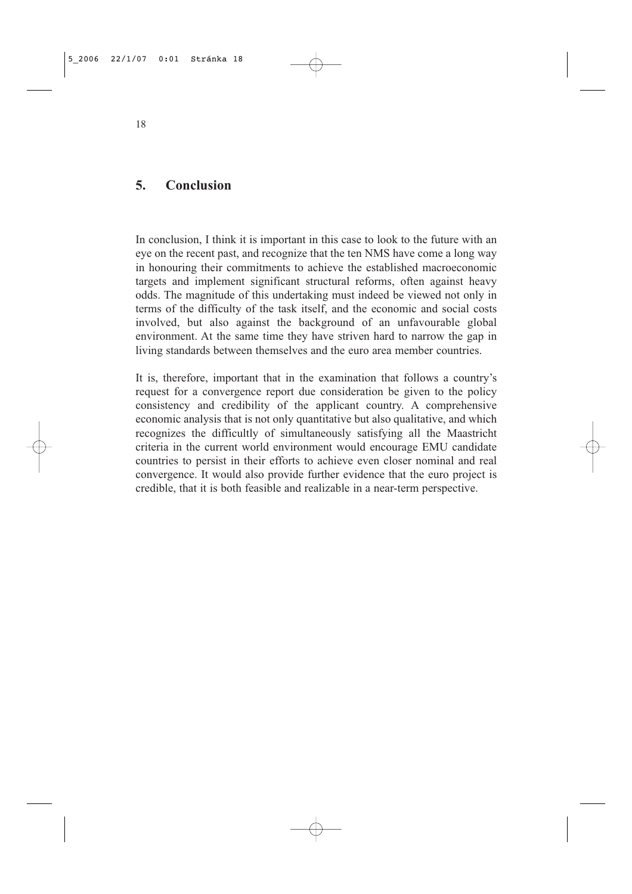18

# **5. Conclusion**

In conclusion, I think it is important in this case to look to the future with an eye on the recent past, and recognize that the ten NMS have come a long way in honouring their commitments to achieve the established macroeconomic targets and implement significant structural reforms, often against heavy odds. The magnitude of this undertaking must indeed be viewed not only in terms of the difficulty of the task itself, and the economic and social costs involved, but also against the background of an unfavourable global environment. At the same time they have striven hard to narrow the gap in living standards between themselves and the euro area member countries.

It is, therefore, important that in the examination that follows a country's request for a convergence report due consideration be given to the policy consistency and credibility of the applicant country. A comprehensive economic analysis that is not only quantitative but also qualitative, and which recognizes the difficultly of simultaneously satisfying all the Maastricht criteria in the current world environment would encourage EMU candidate countries to persist in their efforts to achieve even closer nominal and real convergence. It would also provide further evidence that the euro project is credible, that it is both feasible and realizable in a near-term perspective.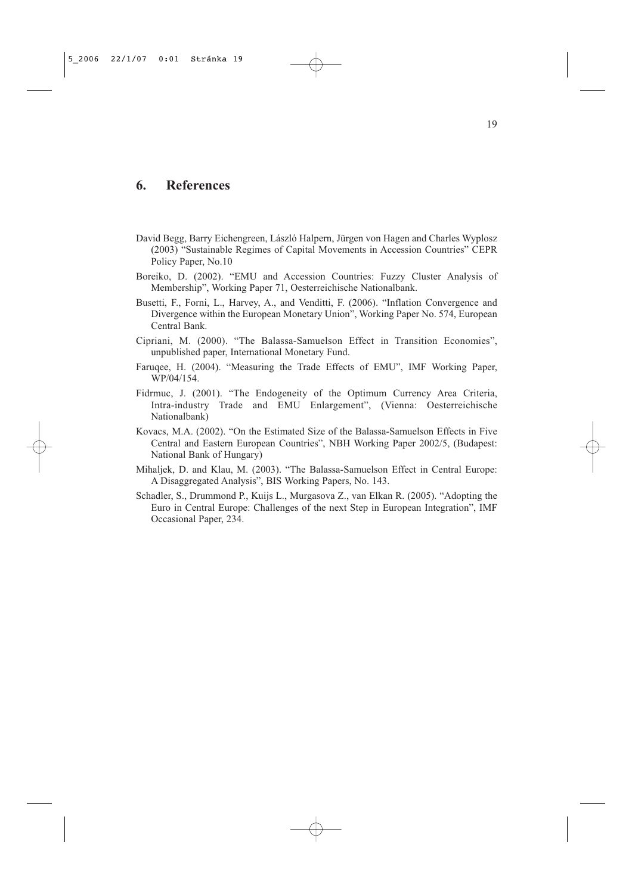# **6. References**

- David Begg, Barry Eichengreen, László Halpern, Jürgen von Hagen and Charles Wyplosz (2003) "Sustainable Regimes of Capital Movements in Accession Countries" CEPR Policy Paper, No.10
- Boreiko, D. (2002). "EMU and Accession Countries: Fuzzy Cluster Analysis of Membership", Working Paper 71, Oesterreichische Nationalbank.
- Busetti, F., Forni, L., Harvey, A., and Venditti, F. (2006). "Inflation Convergence and Divergence within the European Monetary Union", Working Paper No. 574, European Central Bank.
- Cipriani, M. (2000). "The Balassa-Samuelson Effect in Transition Economies", unpublished paper, International Monetary Fund.
- Faruqee, H. (2004). "Measuring the Trade Effects of EMU", IMF Working Paper, WP/04/154.
- Fidrmuc, J. (2001). "The Endogeneity of the Optimum Currency Area Criteria, Intra-industry Trade and EMU Enlargement", (Vienna: Oesterreichische Nationalbank)
- Kovacs, M.A. (2002). "On the Estimated Size of the Balassa-Samuelson Effects in Five Central and Eastern European Countries", NBH Working Paper 2002/5, (Budapest: National Bank of Hungary)
- Mihaljek, D. and Klau, M. (2003). "The Balassa-Samuelson Effect in Central Europe: A Disaggregated Analysis", BIS Working Papers, No. 143.
- Schadler, S., Drummond P., Kuijs L., Murgasova Z., van Elkan R. (2005). "Adopting the Euro in Central Europe: Challenges of the next Step in European Integration", IMF Occasional Paper, 234.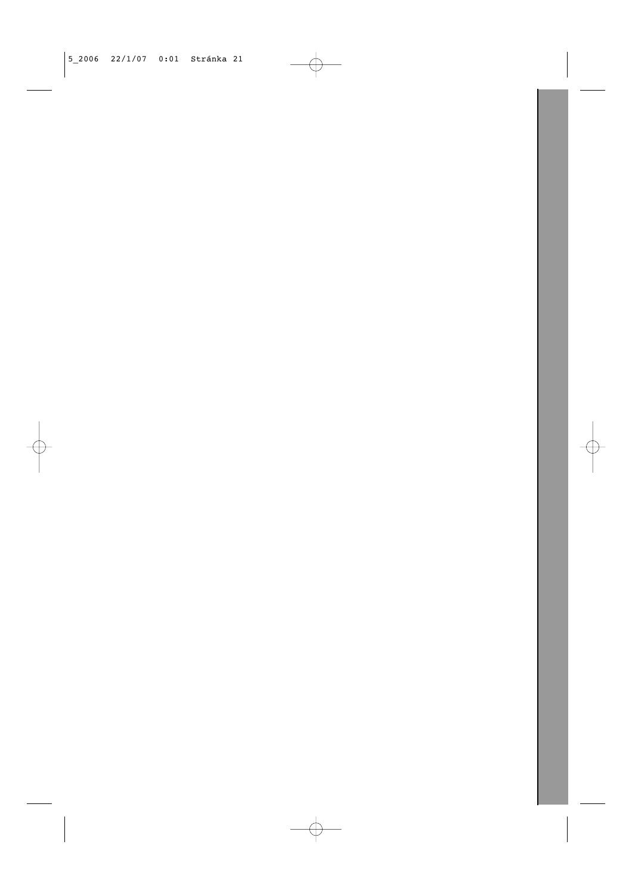€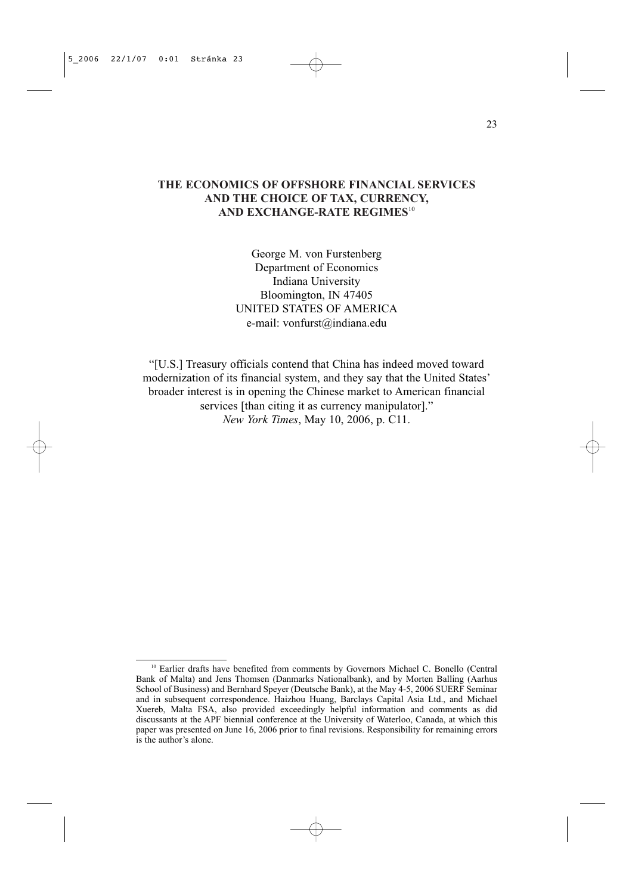# **THE ECONOMICS OF OFFSHORE FINANCIAL SERVICES AND THE CHOICE OF TAX, CURRENCY, AND EXCHANGE-RATE REGIMES**<sup>10</sup>

George M. von Furstenberg Department of Economics Indiana University Bloomington, IN 47405 UNITED STATES OF AMERICA e-mail: vonfurst@indiana.edu

"[U.S.] Treasury officials contend that China has indeed moved toward modernization of its financial system, and they say that the United States' broader interest is in opening the Chinese market to American financial services [than citing it as currency manipulator]." *New York Times*, May 10, 2006, p. C11.

<sup>&</sup>lt;sup>10</sup> Earlier drafts have benefited from comments by Governors Michael C. Bonello (Central Bank of Malta) and Jens Thomsen (Danmarks Nationalbank), and by Morten Balling (Aarhus School of Business) and Bernhard Speyer (Deutsche Bank), at the May 4-5, 2006 SUERF Seminar and in subsequent correspondence. Haizhou Huang, Barclays Capital Asia Ltd., and Michael Xuereb, Malta FSA, also provided exceedingly helpful information and comments as did discussants at the APF biennial conference at the University of Waterloo, Canada, at which this paper was presented on June 16, 2006 prior to final revisions. Responsibility for remaining errors is the author's alone.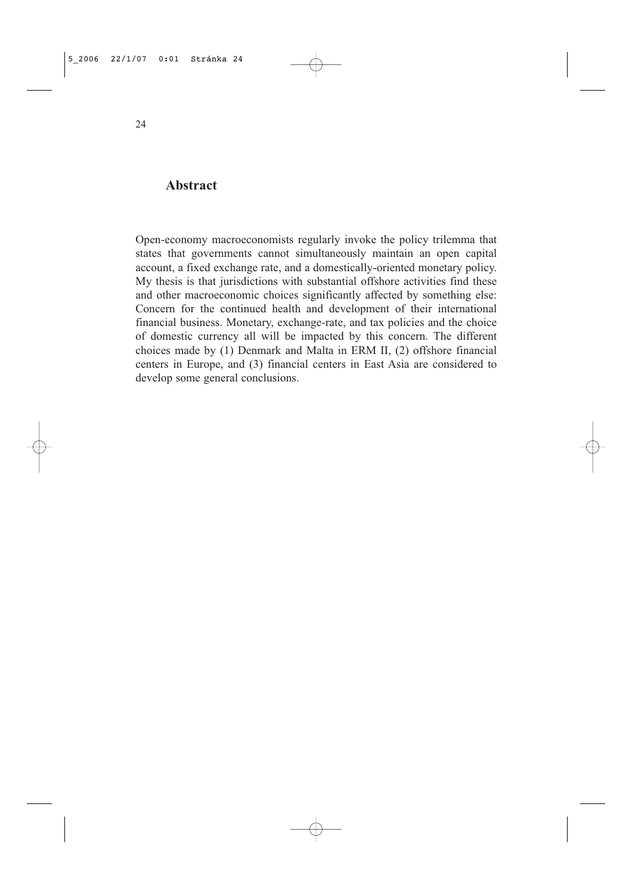# **Abstract**

Open-economy macroeconomists regularly invoke the policy trilemma that states that governments cannot simultaneously maintain an open capital account, a fixed exchange rate, and a domestically-oriented monetary policy. My thesis is that jurisdictions with substantial offshore activities find these and other macroeconomic choices significantly affected by something else: Concern for the continued health and development of their international financial business. Monetary, exchange-rate, and tax policies and the choice of domestic currency all will be impacted by this concern. The different choices made by (1) Denmark and Malta in ERM II, (2) offshore financial centers in Europe, and (3) financial centers in East Asia are considered to develop some general conclusions.

#### 24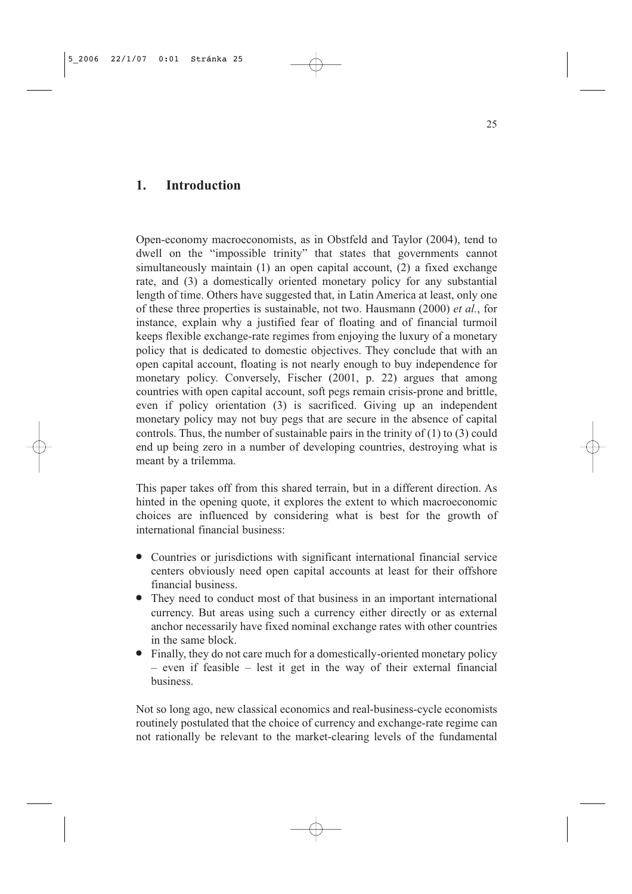# **1. Introduction**

Open-economy macroeconomists, as in Obstfeld and Taylor (2004), tend to dwell on the "impossible trinity" that states that governments cannot simultaneously maintain (1) an open capital account, (2) a fixed exchange rate, and (3) a domestically oriented monetary policy for any substantial length of time. Others have suggested that, in Latin America at least, only one of these three properties is sustainable, not two. Hausmann (2000) *et al.*, for instance, explain why a justified fear of floating and of financial turmoil keeps flexible exchange-rate regimes from enjoying the luxury of a monetary policy that is dedicated to domestic objectives. They conclude that with an open capital account, floating is not nearly enough to buy independence for monetary policy. Conversely, Fischer (2001, p. 22) argues that among countries with open capital account, soft pegs remain crisis-prone and brittle, even if policy orientation (3) is sacrificed. Giving up an independent monetary policy may not buy pegs that are secure in the absence of capital controls. Thus, the number of sustainable pairs in the trinity of (1) to (3) could end up being zero in a number of developing countries, destroying what is meant by a trilemma.

This paper takes off from this shared terrain, but in a different direction. As hinted in the opening quote, it explores the extent to which macroeconomic choices are influenced by considering what is best for the growth of international financial business:

- Countries or jurisdictions with significant international financial service centers obviously need open capital accounts at least for their offshore financial business.
- They need to conduct most of that business in an important international currency. But areas using such a currency either directly or as external anchor necessarily have fixed nominal exchange rates with other countries in the same block.
- Finally, they do not care much for a domestically-oriented monetary policy – even if feasible – lest it get in the way of their external financial business.

Not so long ago, new classical economics and real-business-cycle economists routinely postulated that the choice of currency and exchange-rate regime can not rationally be relevant to the market-clearing levels of the fundamental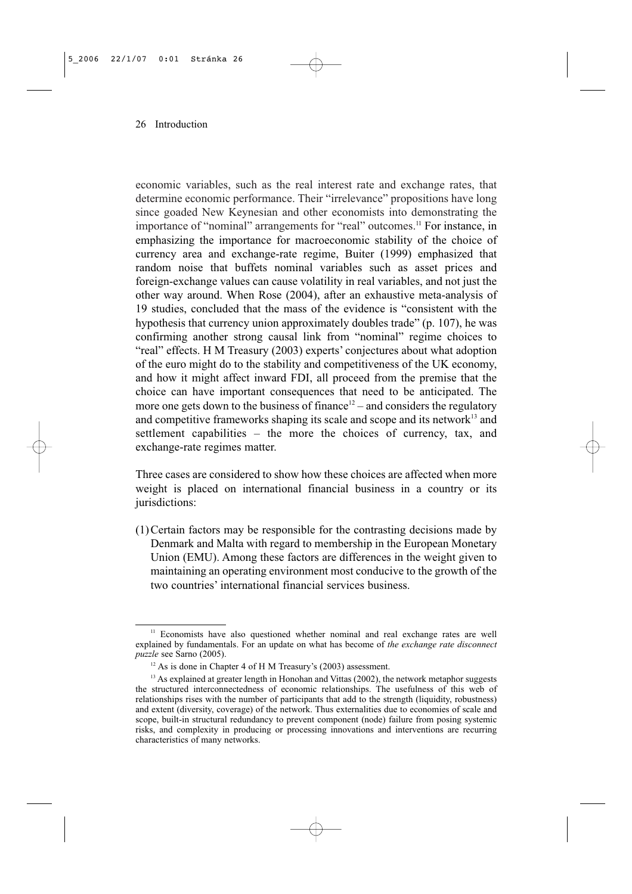26 Introduction

economic variables, such as the real interest rate and exchange rates, that determine economic performance. Their "irrelevance" propositions have long since goaded New Keynesian and other economists into demonstrating the importance of "nominal" arrangements for "real" outcomes.<sup>11</sup> For instance, in emphasizing the importance for macroeconomic stability of the choice of currency area and exchange-rate regime, Buiter (1999) emphasized that random noise that buffets nominal variables such as asset prices and foreign-exchange values can cause volatility in real variables, and not just the other way around. When Rose (2004), after an exhaustive meta-analysis of 19 studies, concluded that the mass of the evidence is "consistent with the hypothesis that currency union approximately doubles trade" (p. 107), he was confirming another strong causal link from "nominal" regime choices to "real" effects. H M Treasury (2003) experts' conjectures about what adoption of the euro might do to the stability and competitiveness of the UK economy, and how it might affect inward FDI, all proceed from the premise that the choice can have important consequences that need to be anticipated. The more one gets down to the business of finance $12$  – and considers the regulatory and competitive frameworks shaping its scale and scope and its network<sup>13</sup> and settlement capabilities – the more the choices of currency, tax, and exchange-rate regimes matter.

Three cases are considered to show how these choices are affected when more weight is placed on international financial business in a country or its jurisdictions:

(1)Certain factors may be responsible for the contrasting decisions made by Denmark and Malta with regard to membership in the European Monetary Union (EMU). Among these factors are differences in the weight given to maintaining an operating environment most conducive to the growth of the two countries' international financial services business.

<sup>&</sup>lt;sup>11</sup> Economists have also questioned whether nominal and real exchange rates are well explained by fundamentals. For an update on what has become of *the exchange rate disconnect puzzle* see Sarno (2005).

<sup>&</sup>lt;sup>12</sup> As is done in Chapter 4 of H M Treasury's (2003) assessment.

<sup>&</sup>lt;sup>13</sup> As explained at greater length in Honohan and Vittas (2002), the network metaphor suggests the structured interconnectedness of economic relationships. The usefulness of this web of relationships rises with the number of participants that add to the strength (liquidity, robustness) and extent (diversity, coverage) of the network. Thus externalities due to economies of scale and scope, built-in structural redundancy to prevent component (node) failure from posing systemic risks, and complexity in producing or processing innovations and interventions are recurring characteristics of many networks.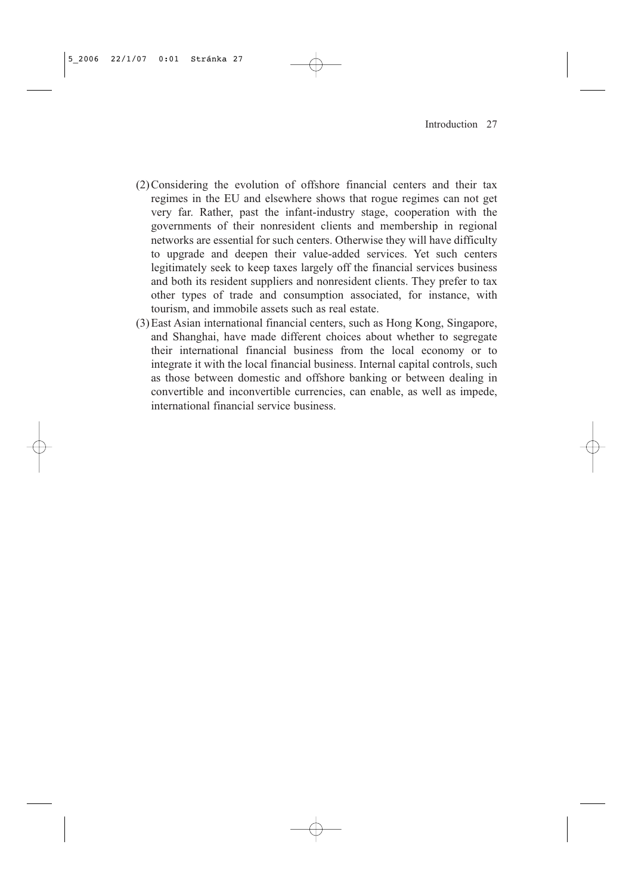Introduction 27

- (2)Considering the evolution of offshore financial centers and their tax regimes in the EU and elsewhere shows that rogue regimes can not get very far. Rather, past the infant-industry stage, cooperation with the governments of their nonresident clients and membership in regional networks are essential for such centers. Otherwise they will have difficulty to upgrade and deepen their value-added services. Yet such centers legitimately seek to keep taxes largely off the financial services business and both its resident suppliers and nonresident clients. They prefer to tax other types of trade and consumption associated, for instance, with tourism, and immobile assets such as real estate.
- (3)East Asian international financial centers, such as Hong Kong, Singapore, and Shanghai, have made different choices about whether to segregate their international financial business from the local economy or to integrate it with the local financial business. Internal capital controls, such as those between domestic and offshore banking or between dealing in convertible and inconvertible currencies, can enable, as well as impede, international financial service business.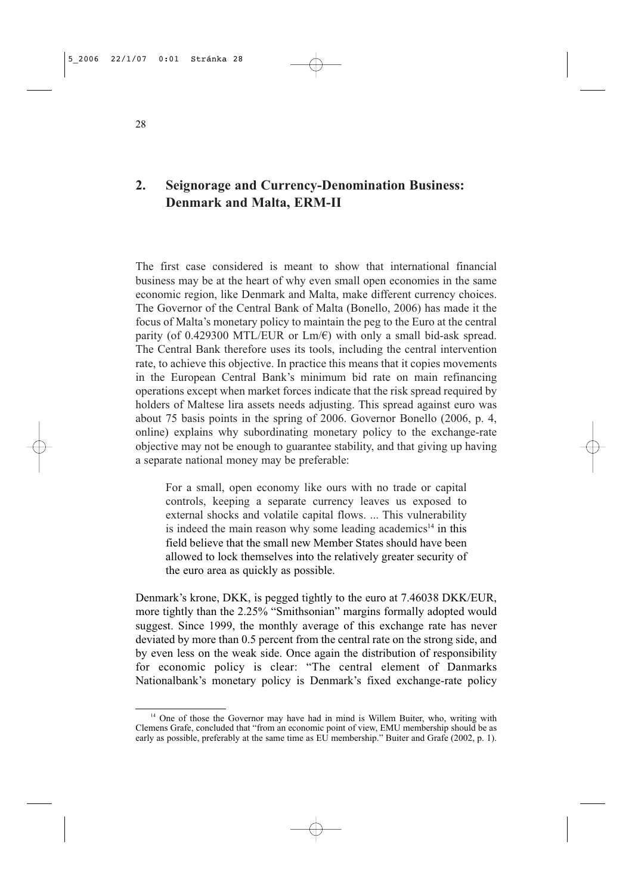The first case considered is meant to show that international financial business may be at the heart of why even small open economies in the same economic region, like Denmark and Malta, make different currency choices. The Governor of the Central Bank of Malta (Bonello, 2006) has made it the focus of Malta's monetary policy to maintain the peg to the Euro at the central parity (of 0.429300 MTL/EUR or  $Lm/\epsilon$ ) with only a small bid-ask spread. The Central Bank therefore uses its tools, including the central intervention rate, to achieve this objective. In practice this means that it copies movements in the European Central Bank's minimum bid rate on main refinancing operations except when market forces indicate that the risk spread required by holders of Maltese lira assets needs adjusting. This spread against euro was about 75 basis points in the spring of 2006. Governor Bonello (2006, p. 4, online) explains why subordinating monetary policy to the exchange-rate objective may not be enough to guarantee stability, and that giving up having a separate national money may be preferable:

For a small, open economy like ours with no trade or capital controls, keeping a separate currency leaves us exposed to external shocks and volatile capital flows. ... This vulnerability is indeed the main reason why some leading academics<sup>14</sup> in this field believe that the small new Member States should have been allowed to lock themselves into the relatively greater security of the euro area as quickly as possible.

Denmark's krone, DKK, is pegged tightly to the euro at 7.46038 DKK/EUR, more tightly than the 2.25% "Smithsonian" margins formally adopted would suggest. Since 1999, the monthly average of this exchange rate has never deviated by more than 0.5 percent from the central rate on the strong side, and by even less on the weak side. Once again the distribution of responsibility for economic policy is clear: "The central element of Danmarks Nationalbank's monetary policy is Denmark's fixed exchange-rate policy

#### 28

<sup>&</sup>lt;sup>14</sup> One of those the Governor may have had in mind is Willem Buiter, who, writing with Clemens Grafe, concluded that "from an economic point of view, EMU membership should be as early as possible, preferably at the same time as EU membership." Buiter and Grafe (2002, p. 1).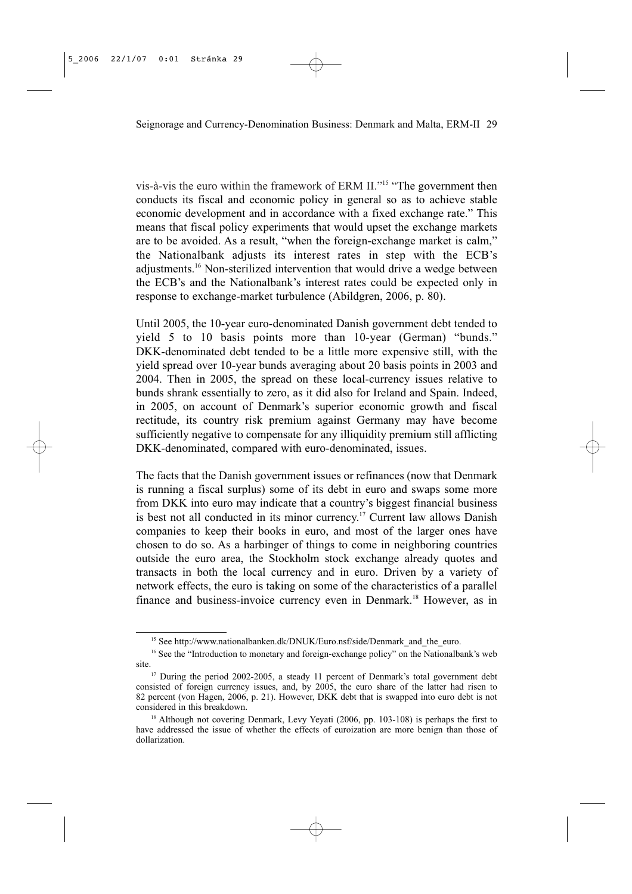vis-à-vis the euro within the framework of ERM II."15 "The government then conducts its fiscal and economic policy in general so as to achieve stable economic development and in accordance with a fixed exchange rate." This means that fiscal policy experiments that would upset the exchange markets are to be avoided. As a result, "when the foreign-exchange market is calm," the Nationalbank adjusts its interest rates in step with the ECB's adjustments.16 Non-sterilized intervention that would drive a wedge between the ECB's and the Nationalbank's interest rates could be expected only in response to exchange-market turbulence (Abildgren, 2006, p. 80).

Until 2005, the 10-year euro-denominated Danish government debt tended to yield 5 to 10 basis points more than 10-year (German) "bunds." DKK-denominated debt tended to be a little more expensive still, with the yield spread over 10-year bunds averaging about 20 basis points in 2003 and 2004. Then in 2005, the spread on these local-currency issues relative to bunds shrank essentially to zero, as it did also for Ireland and Spain. Indeed, in 2005, on account of Denmark's superior economic growth and fiscal rectitude, its country risk premium against Germany may have become sufficiently negative to compensate for any illiquidity premium still afflicting DKK-denominated, compared with euro-denominated, issues.

The facts that the Danish government issues or refinances (now that Denmark is running a fiscal surplus) some of its debt in euro and swaps some more from DKK into euro may indicate that a country's biggest financial business is best not all conducted in its minor currency.<sup>17</sup> Current law allows Danish companies to keep their books in euro, and most of the larger ones have chosen to do so. As a harbinger of things to come in neighboring countries outside the euro area, the Stockholm stock exchange already quotes and transacts in both the local currency and in euro. Driven by a variety of network effects, the euro is taking on some of the characteristics of a parallel finance and business-invoice currency even in Denmark.<sup>18</sup> However, as in

<sup>15</sup> See http://www.nationalbanken.dk/DNUK/Euro.nsf/side/Denmark\_and\_the\_euro.

<sup>&</sup>lt;sup>16</sup> See the "Introduction to monetary and foreign-exchange policy" on the Nationalbank's web

site.<br><sup>17</sup> During the period 2002-2005, a steady 11 percent of Denmark's total government debt consisted of foreign currency issues, and, by 2005, the euro share of the latter had risen to 82 percent (von Hagen, 2006, p. 21). However, DKK debt that is swapped into euro debt is not

considered in this breakdown. 18 Although not covering Denmark, Levy Yeyati (2006, pp. 103-108) is perhaps the first to have addressed the issue of whether the effects of euroization are more benign than those of dollarization.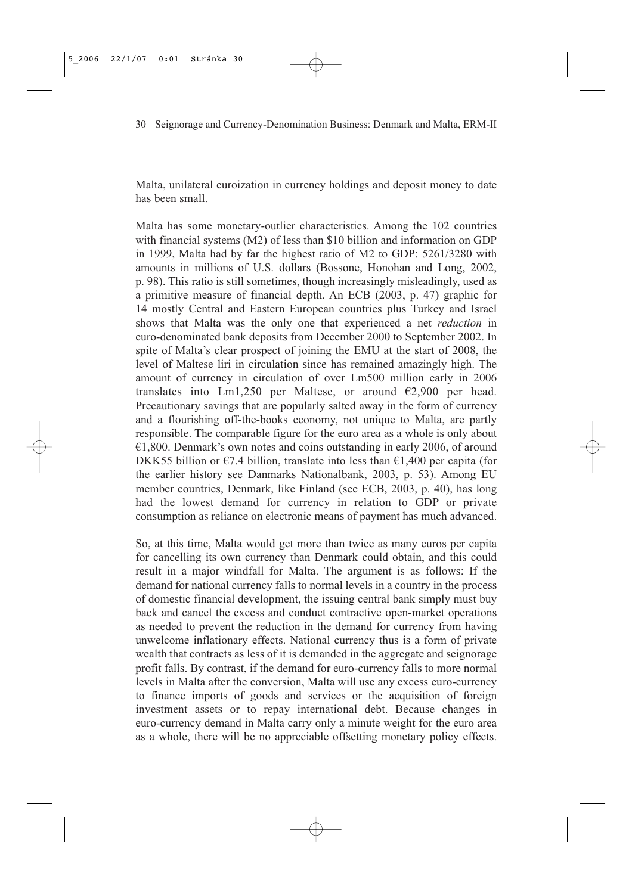Malta, unilateral euroization in currency holdings and deposit money to date has been small.

Malta has some monetary-outlier characteristics. Among the 102 countries with financial systems (M2) of less than \$10 billion and information on GDP in 1999, Malta had by far the highest ratio of M2 to GDP: 5261/3280 with amounts in millions of U.S. dollars (Bossone, Honohan and Long, 2002, p. 98). This ratio is still sometimes, though increasingly misleadingly, used as a primitive measure of financial depth. An ECB (2003, p. 47) graphic for 14 mostly Central and Eastern European countries plus Turkey and Israel shows that Malta was the only one that experienced a net *reduction* in euro-denominated bank deposits from December 2000 to September 2002. In spite of Malta's clear prospect of joining the EMU at the start of 2008, the level of Maltese liri in circulation since has remained amazingly high. The amount of currency in circulation of over Lm500 million early in 2006 translates into Lm1,250 per Maltese, or around  $\epsilon$ 2,900 per head. Precautionary savings that are popularly salted away in the form of currency and a flourishing off-the-books economy, not unique to Malta, are partly responsible. The comparable figure for the euro area as a whole is only about  $€1,800$ . Denmark's own notes and coins outstanding in early 2006, of around DKK55 billion or  $\epsilon$ 7.4 billion, translate into less than  $\epsilon$ 1,400 per capita (for the earlier history see Danmarks Nationalbank, 2003, p. 53). Among EU member countries, Denmark, like Finland (see ECB, 2003, p. 40), has long had the lowest demand for currency in relation to GDP or private consumption as reliance on electronic means of payment has much advanced.

So, at this time, Malta would get more than twice as many euros per capita for cancelling its own currency than Denmark could obtain, and this could result in a major windfall for Malta. The argument is as follows: If the demand for national currency falls to normal levels in a country in the process of domestic financial development, the issuing central bank simply must buy back and cancel the excess and conduct contractive open-market operations as needed to prevent the reduction in the demand for currency from having unwelcome inflationary effects. National currency thus is a form of private wealth that contracts as less of it is demanded in the aggregate and seignorage profit falls. By contrast, if the demand for euro-currency falls to more normal levels in Malta after the conversion, Malta will use any excess euro-currency to finance imports of goods and services or the acquisition of foreign investment assets or to repay international debt. Because changes in euro-currency demand in Malta carry only a minute weight for the euro area as a whole, there will be no appreciable offsetting monetary policy effects.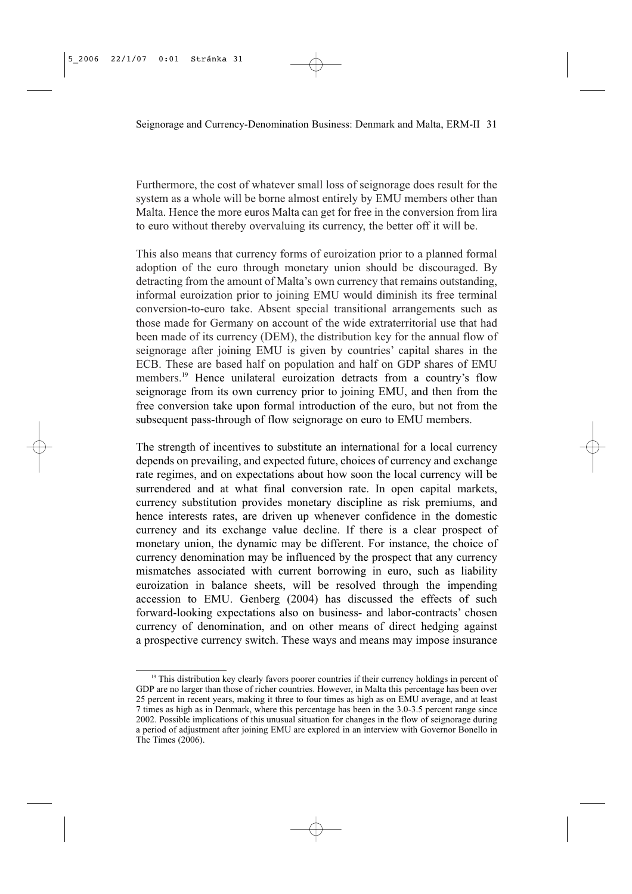Furthermore, the cost of whatever small loss of seignorage does result for the system as a whole will be borne almost entirely by EMU members other than Malta. Hence the more euros Malta can get for free in the conversion from lira to euro without thereby overvaluing its currency, the better off it will be.

This also means that currency forms of euroization prior to a planned formal adoption of the euro through monetary union should be discouraged. By detracting from the amount of Malta's own currency that remains outstanding, informal euroization prior to joining EMU would diminish its free terminal conversion-to-euro take. Absent special transitional arrangements such as those made for Germany on account of the wide extraterritorial use that had been made of its currency (DEM), the distribution key for the annual flow of seignorage after joining EMU is given by countries' capital shares in the ECB. These are based half on population and half on GDP shares of EMU members.<sup>19</sup> Hence unilateral euroization detracts from a country's flow seignorage from its own currency prior to joining EMU, and then from the free conversion take upon formal introduction of the euro, but not from the subsequent pass-through of flow seignorage on euro to EMU members.

The strength of incentives to substitute an international for a local currency depends on prevailing, and expected future, choices of currency and exchange rate regimes, and on expectations about how soon the local currency will be surrendered and at what final conversion rate. In open capital markets, currency substitution provides monetary discipline as risk premiums, and hence interests rates, are driven up whenever confidence in the domestic currency and its exchange value decline. If there is a clear prospect of monetary union, the dynamic may be different. For instance, the choice of currency denomination may be influenced by the prospect that any currency mismatches associated with current borrowing in euro, such as liability euroization in balance sheets, will be resolved through the impending accession to EMU. Genberg (2004) has discussed the effects of such forward-looking expectations also on business- and labor-contracts' chosen currency of denomination, and on other means of direct hedging against a prospective currency switch. These ways and means may impose insurance

<sup>&</sup>lt;sup>19</sup> This distribution key clearly favors poorer countries if their currency holdings in percent of GDP are no larger than those of richer countries. However, in Malta this percentage has been over 25 percent in recent years, making it three to four times as high as on EMU average, and at least 7 times as high as in Denmark, where this percentage has been in the 3.0-3.5 percent range since 2002. Possible implications of this unusual situation for changes in the flow of seignorage during a period of adjustment after joining EMU are explored in an interview with Governor Bonello in The Times (2006).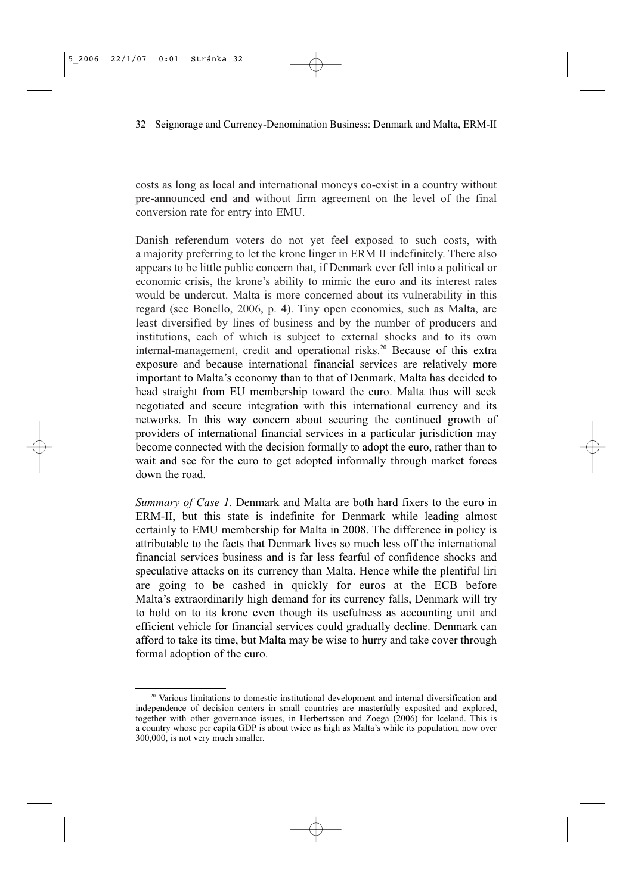costs as long as local and international moneys co-exist in a country without pre-announced end and without firm agreement on the level of the final conversion rate for entry into EMU.

Danish referendum voters do not yet feel exposed to such costs, with a majority preferring to let the krone linger in ERM II indefinitely. There also appears to be little public concern that, if Denmark ever fell into a political or economic crisis, the krone's ability to mimic the euro and its interest rates would be undercut. Malta is more concerned about its vulnerability in this regard (see Bonello, 2006, p. 4). Tiny open economies, such as Malta, are least diversified by lines of business and by the number of producers and institutions, each of which is subject to external shocks and to its own internal-management, credit and operational risks.<sup>20</sup> Because of this extra exposure and because international financial services are relatively more important to Malta's economy than to that of Denmark, Malta has decided to head straight from EU membership toward the euro. Malta thus will seek negotiated and secure integration with this international currency and its networks. In this way concern about securing the continued growth of providers of international financial services in a particular jurisdiction may become connected with the decision formally to adopt the euro, rather than to wait and see for the euro to get adopted informally through market forces down the road.

*Summary of Case 1.* Denmark and Malta are both hard fixers to the euro in ERM-II, but this state is indefinite for Denmark while leading almost certainly to EMU membership for Malta in 2008. The difference in policy is attributable to the facts that Denmark lives so much less off the international financial services business and is far less fearful of confidence shocks and speculative attacks on its currency than Malta. Hence while the plentiful liri are going to be cashed in quickly for euros at the ECB before Malta's extraordinarily high demand for its currency falls, Denmark will try to hold on to its krone even though its usefulness as accounting unit and efficient vehicle for financial services could gradually decline. Denmark can afford to take its time, but Malta may be wise to hurry and take cover through formal adoption of the euro.

<sup>&</sup>lt;sup>2</sup> Various limitations to domestic institutional development and internal diversification and independence of decision centers in small countries are masterfully exposited and explored, together with other governance issues, in Herbertsson and Zoega (2006) for Iceland. This is a country whose per capita GDP is about twice as high as Malta's while its population, now over 300,000, is not very much smaller.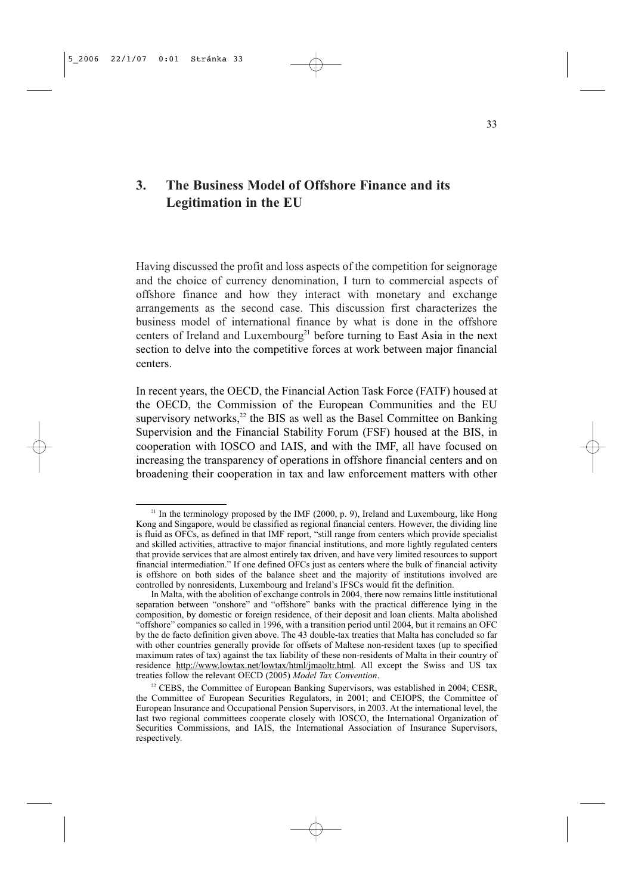# **3. The Business Model of Offshore Finance and its Legitimation in the EU**

Having discussed the profit and loss aspects of the competition for seignorage and the choice of currency denomination, I turn to commercial aspects of offshore finance and how they interact with monetary and exchange arrangements as the second case. This discussion first characterizes the business model of international finance by what is done in the offshore centers of Ireland and Luxembourg<sup>21</sup> before turning to East Asia in the next section to delve into the competitive forces at work between major financial centers.

In recent years, the OECD, the Financial Action Task Force (FATF) housed at the OECD, the Commission of the European Communities and the EU supervisory networks, $22$  the BIS as well as the Basel Committee on Banking Supervision and the Financial Stability Forum (FSF) housed at the BIS, in cooperation with IOSCO and IAIS, and with the IMF, all have focused on increasing the transparency of operations in offshore financial centers and on broadening their cooperation in tax and law enforcement matters with other

 $21$  In the terminology proposed by the IMF (2000, p. 9), Ireland and Luxembourg, like Hong Kong and Singapore, would be classified as regional financial centers. However, the dividing line is fluid as OFCs, as defined in that IMF report, "still range from centers which provide specialist and skilled activities, attractive to major financial institutions, and more lightly regulated centers that provide services that are almost entirely tax driven, and have very limited resources to support financial intermediation." If one defined OFCs just as centers where the bulk of financial activity is offshore on both sides of the balance sheet and the majority of institutions involved are controlled by nonresidents, Luxembourg and Ireland's IFSCs would fit the definition.

In Malta, with the abolition of exchange controls in 2004, there now remains little institutional separation between "onshore" and "offshore" banks with the practical difference lying in the composition, by domestic or foreign residence, of their deposit and loan clients. Malta abolished "offshore" companies so called in 1996, with a transition period until 2004, but it remains an OFC by the de facto definition given above. The 43 double-tax treaties that Malta has concluded so far with other countries generally provide for offsets of Maltese non-resident taxes (up to specified maximum rates of tax) against the tax liability of these non-residents of Malta in their country of residence http://www.lowtax.net/lowtax/html/jmaoltr.html. All except the Swiss and US tax treaties follow the relevant OECD (2005) *Model Tax Convention*.<br><sup>22</sup> CEBS, the Committee of European Banking Supervisors, was established in 2004; CESR,

the Committee of European Securities Regulators, in 2001; and CEIOPS, the Committee of European Insurance and Occupational Pension Supervisors, in 2003. At the international level, the last two regional committees cooperate closely with IOSCO, the International Organization of Securities Commissions, and IAIS, the International Association of Insurance Supervisors, respectively.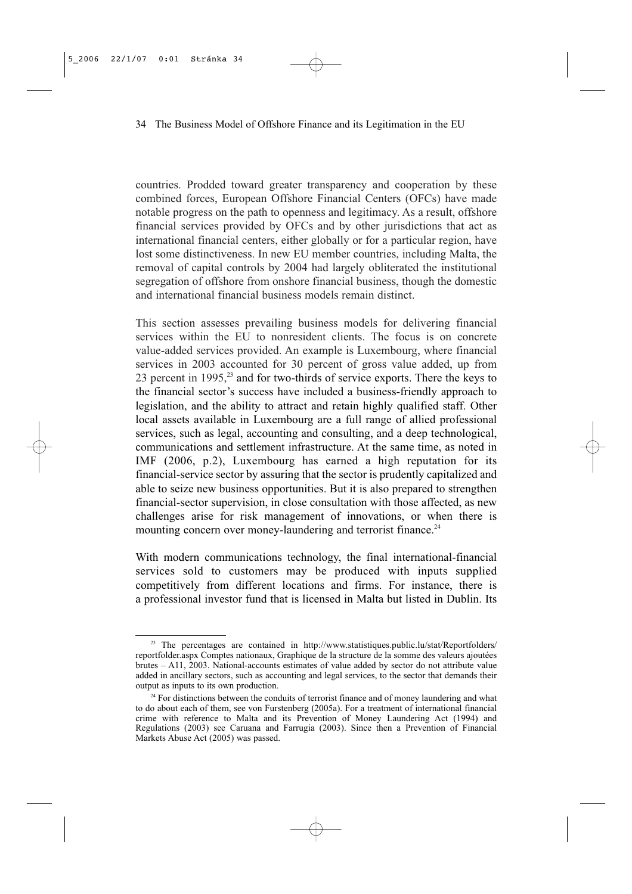34 The Business Model of Offshore Finance and its Legitimation in the EU

countries. Prodded toward greater transparency and cooperation by these combined forces, European Offshore Financial Centers (OFCs) have made notable progress on the path to openness and legitimacy. As a result, offshore financial services provided by OFCs and by other jurisdictions that act as international financial centers, either globally or for a particular region, have lost some distinctiveness. In new EU member countries, including Malta, the removal of capital controls by 2004 had largely obliterated the institutional segregation of offshore from onshore financial business, though the domestic and international financial business models remain distinct.

This section assesses prevailing business models for delivering financial services within the EU to nonresident clients. The focus is on concrete value-added services provided. An example is Luxembourg, where financial services in 2003 accounted for 30 percent of gross value added, up from 23 percent in  $1995$ ,<sup>23</sup> and for two-thirds of service exports. There the keys to the financial sector's success have included a business-friendly approach to legislation, and the ability to attract and retain highly qualified staff. Other local assets available in Luxembourg are a full range of allied professional services, such as legal, accounting and consulting, and a deep technological, communications and settlement infrastructure. At the same time, as noted in IMF (2006, p.2), Luxembourg has earned a high reputation for its financial-service sector by assuring that the sector is prudently capitalized and able to seize new business opportunities. But it is also prepared to strengthen financial-sector supervision, in close consultation with those affected, as new challenges arise for risk management of innovations, or when there is mounting concern over money-laundering and terrorist finance.<sup>24</sup>

With modern communications technology, the final international-financial services sold to customers may be produced with inputs supplied competitively from different locations and firms. For instance, there is a professional investor fund that is licensed in Malta but listed in Dublin. Its

<sup>&</sup>lt;sup>23</sup> The percentages are contained in http://www.statistiques.public.lu/stat/Reportfolders/ reportfolder.aspx Comptes nationaux, Graphique de la structure de la somme des valeurs ajoutées brutes – A11, 2003. National-accounts estimates of value added by sector do not attribute value added in ancillary sectors, such as accounting and legal services, to the sector that demands their

output as inputs to its own production. 24 For distinctions between the conduits of terrorist finance and of money laundering and what to do about each of them, see von Furstenberg (2005a). For a treatment of international financial crime with reference to Malta and its Prevention of Money Laundering Act (1994) and Regulations (2003) see Caruana and Farrugia (2003). Since then a Prevention of Financial Markets Abuse Act (2005) was passed.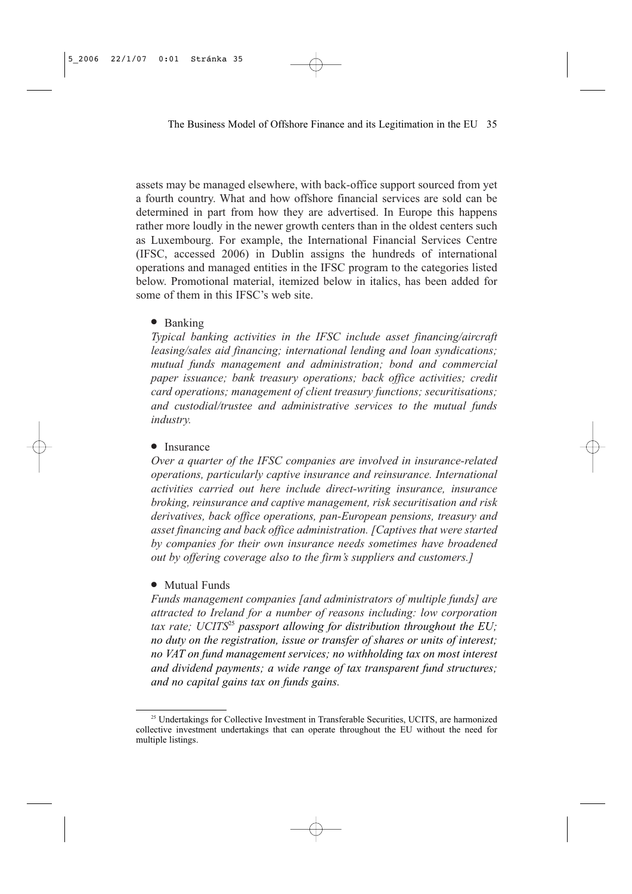The Business Model of Offshore Finance and its Legitimation in the EU 35

assets may be managed elsewhere, with back-office support sourced from yet a fourth country. What and how offshore financial services are sold can be determined in part from how they are advertised. In Europe this happens rather more loudly in the newer growth centers than in the oldest centers such as Luxembourg. For example, the International Financial Services Centre (IFSC, accessed 2006) in Dublin assigns the hundreds of international operations and managed entities in the IFSC program to the categories listed below. Promotional material, itemized below in italics, has been added for some of them in this IFSC's web site.

#### ● Banking

*Typical banking activities in the IFSC include asset financing/aircraft leasing/sales aid financing; international lending and loan syndications; mutual funds management and administration; bond and commercial paper issuance; bank treasury operations; back office activities; credit card operations; management of client treasury functions; securitisations; and custodial/trustee and administrative services to the mutual funds industry.*

## ● Insurance

*Over a quarter of the IFSC companies are involved in insurance-related operations, particularly captive insurance and reinsurance. International activities carried out here include direct-writing insurance, insurance broking, reinsurance and captive management, risk securitisation and risk derivatives, back office operations, pan-European pensions, treasury and asset financing and back office administration. [Captives that were started by companies for their own insurance needs sometimes have broadened out by offering coverage also to the firm's suppliers and customers.]*

#### ● Mutual Funds

*Funds management companies [and administrators of multiple funds] are attracted to Ireland for a number of reasons including: low corporation tax rate; UCITS*<sup>25</sup> *passport allowing for distribution throughout the EU; no duty on the registration, issue or transfer of shares or units of interest; no VAT on fund management services; no withholding tax on most interest and dividend payments; a wide range of tax transparent fund structures; and no capital gains tax on funds gains.*

 $25$  Undertakings for Collective Investment in Transferable Securities, UCITS, are harmonized collective investment undertakings that can operate throughout the EU without the need for multiple listings.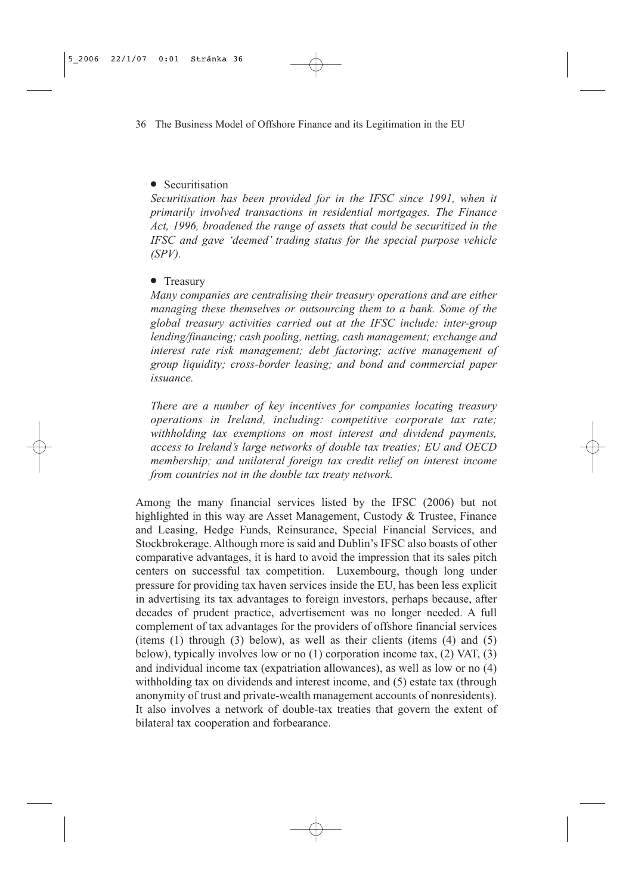36 The Business Model of Offshore Finance and its Legitimation in the EU

## • Securitisation

*Securitisation has been provided for in the IFSC since 1991, when it primarily involved transactions in residential mortgages. The Finance Act, 1996, broadened the range of assets that could be securitized in the IFSC and gave 'deemed' trading status for the special purpose vehicle (SPV).*

#### ● Treasury

*Many companies are centralising their treasury operations and are either managing these themselves or outsourcing them to a bank. Some of the global treasury activities carried out at the IFSC include: inter-group lending/financing; cash pooling, netting, cash management; exchange and interest rate risk management; debt factoring; active management of group liquidity; cross-border leasing; and bond and commercial paper issuance.* 

*There are a number of key incentives for companies locating treasury operations in Ireland, including: competitive corporate tax rate; withholding tax exemptions on most interest and dividend payments, access to Ireland's large networks of double tax treaties; EU and OECD membership; and unilateral foreign tax credit relief on interest income from countries not in the double tax treaty network.*

Among the many financial services listed by the IFSC (2006) but not highlighted in this way are Asset Management, Custody & Trustee, Finance and Leasing, Hedge Funds, Reinsurance, Special Financial Services, and Stockbrokerage. Although more is said and Dublin's IFSC also boasts of other comparative advantages, it is hard to avoid the impression that its sales pitch centers on successful tax competition. Luxembourg, though long under pressure for providing tax haven services inside the EU, has been less explicit in advertising its tax advantages to foreign investors, perhaps because, after decades of prudent practice, advertisement was no longer needed. A full complement of tax advantages for the providers of offshore financial services (items (1) through (3) below), as well as their clients (items (4) and (5) below), typically involves low or no (1) corporation income tax, (2) VAT, (3) and individual income tax (expatriation allowances), as well as low or no (4) withholding tax on dividends and interest income, and (5) estate tax (through anonymity of trust and private-wealth management accounts of nonresidents). It also involves a network of double-tax treaties that govern the extent of bilateral tax cooperation and forbearance.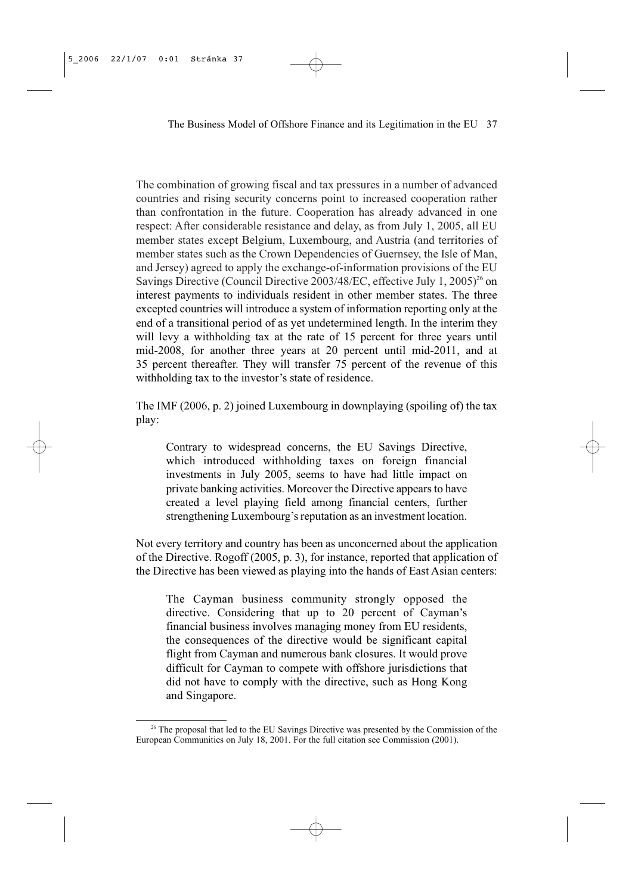The combination of growing fiscal and tax pressures in a number of advanced countries and rising security concerns point to increased cooperation rather than confrontation in the future. Cooperation has already advanced in one respect: After considerable resistance and delay, as from July 1, 2005, all EU member states except Belgium, Luxembourg, and Austria (and territories of member states such as the Crown Dependencies of Guernsey, the Isle of Man, and Jersey) agreed to apply the exchange-of-information provisions of the EU Savings Directive (Council Directive 2003/48/EC, effective July 1, 2005)<sup>26</sup> on interest payments to individuals resident in other member states. The three excepted countries will introduce a system of information reporting only at the end of a transitional period of as yet undetermined length. In the interim they will levy a withholding tax at the rate of 15 percent for three years until mid-2008, for another three years at 20 percent until mid-2011, and at 35 percent thereafter. They will transfer 75 percent of the revenue of this withholding tax to the investor's state of residence.

The IMF (2006, p. 2) joined Luxembourg in downplaying (spoiling of) the tax play:

Contrary to widespread concerns, the EU Savings Directive, which introduced withholding taxes on foreign financial investments in July 2005, seems to have had little impact on private banking activities. Moreover the Directive appears to have created a level playing field among financial centers, further strengthening Luxembourg's reputation as an investment location.

Not every territory and country has been as unconcerned about the application of the Directive. Rogoff (2005, p. 3), for instance, reported that application of the Directive has been viewed as playing into the hands of East Asian centers:

The Cayman business community strongly opposed the directive. Considering that up to 20 percent of Cayman's financial business involves managing money from EU residents, the consequences of the directive would be significant capital flight from Cayman and numerous bank closures. It would prove difficult for Cayman to compete with offshore jurisdictions that did not have to comply with the directive, such as Hong Kong and Singapore.

<sup>&</sup>lt;sup>26</sup> The proposal that led to the EU Savings Directive was presented by the Commission of the European Communities on July 18, 2001. For the full citation see Commission (2001).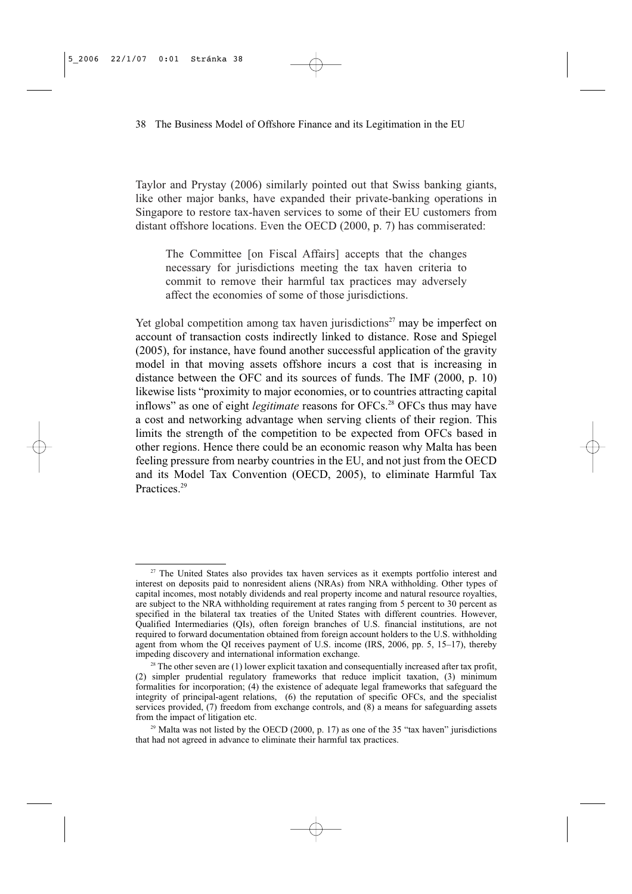Taylor and Prystay (2006) similarly pointed out that Swiss banking giants, like other major banks, have expanded their private-banking operations in Singapore to restore tax-haven services to some of their EU customers from distant offshore locations. Even the OECD (2000, p. 7) has commiserated:

The Committee [on Fiscal Affairs] accepts that the changes necessary for jurisdictions meeting the tax haven criteria to commit to remove their harmful tax practices may adversely affect the economies of some of those jurisdictions.

Yet global competition among tax haven jurisdictions<sup>27</sup> may be imperfect on account of transaction costs indirectly linked to distance. Rose and Spiegel (2005), for instance, have found another successful application of the gravity model in that moving assets offshore incurs a cost that is increasing in distance between the OFC and its sources of funds. The IMF (2000, p. 10) likewise lists "proximity to major economies, or to countries attracting capital inflows" as one of eight *legitimate* reasons for OFCs.<sup>28</sup> OFCs thus may have a cost and networking advantage when serving clients of their region. This limits the strength of the competition to be expected from OFCs based in other regions. Hence there could be an economic reason why Malta has been feeling pressure from nearby countries in the EU, and not just from the OECD and its Model Tax Convention (OECD, 2005), to eliminate Harmful Tax Practices.<sup>29</sup>

<sup>&</sup>lt;sup>27</sup> The United States also provides tax haven services as it exempts portfolio interest and interest on deposits paid to nonresident aliens (NRAs) from NRA withholding. Other types of capital incomes, most notably dividends and real property income and natural resource royalties, are subject to the NRA withholding requirement at rates ranging from 5 percent to 30 percent as specified in the bilateral tax treaties of the United States with different countries. However, Qualified Intermediaries (QIs), often foreign branches of U.S. financial institutions, are not required to forward documentation obtained from foreign account holders to the U.S. withholding agent from whom the QI receives payment of U.S. income (IRS, 2006, pp. 5, 15–17), thereby impeding discovery and international information exchange.

 $28$  The other seven are (1) lower explicit taxation and consequentially increased after tax profit, (2) simpler prudential regulatory frameworks that reduce implicit taxation, (3) minimum formalities for incorporation; (4) the existence of adequate legal frameworks that safeguard the integrity of principal-agent relations, (6) the reputation of specific OFCs, and the specialist services provided, (7) freedom from exchange controls, and (8) a means for safeguarding assets from the impact of litigation etc.

 $29$  Malta was not listed by the OECD (2000, p. 17) as one of the 35 "tax haven" jurisdictions that had not agreed in advance to eliminate their harmful tax practices.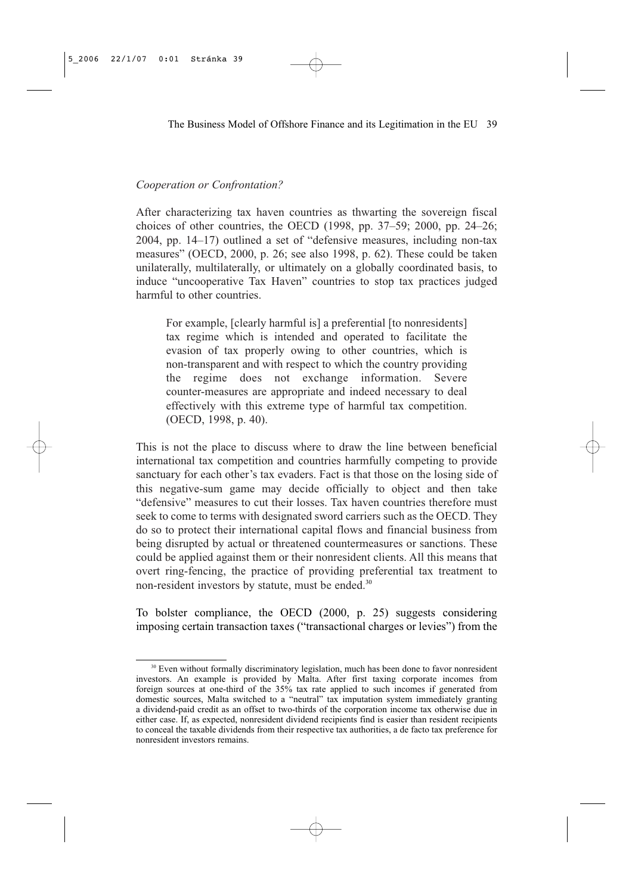## *Cooperation or Confrontation?*

After characterizing tax haven countries as thwarting the sovereign fiscal choices of other countries, the OECD (1998, pp. 37–59; 2000, pp. 24–26; 2004, pp. 14–17) outlined a set of "defensive measures, including non-tax measures" (OECD, 2000, p. 26; see also 1998, p. 62). These could be taken unilaterally, multilaterally, or ultimately on a globally coordinated basis, to induce "uncooperative Tax Haven" countries to stop tax practices judged harmful to other countries.

For example, [clearly harmful is] a preferential [to nonresidents] tax regime which is intended and operated to facilitate the evasion of tax properly owing to other countries, which is non-transparent and with respect to which the country providing the regime does not exchange information. Severe counter-measures are appropriate and indeed necessary to deal effectively with this extreme type of harmful tax competition. (OECD, 1998, p. 40).

This is not the place to discuss where to draw the line between beneficial international tax competition and countries harmfully competing to provide sanctuary for each other's tax evaders. Fact is that those on the losing side of this negative-sum game may decide officially to object and then take "defensive" measures to cut their losses. Tax haven countries therefore must seek to come to terms with designated sword carriers such as the OECD. They do so to protect their international capital flows and financial business from being disrupted by actual or threatened countermeasures or sanctions. These could be applied against them or their nonresident clients. All this means that overt ring-fencing, the practice of providing preferential tax treatment to non-resident investors by statute, must be ended.<sup>30</sup>

To bolster compliance, the OECD (2000, p. 25) suggests considering imposing certain transaction taxes ("transactional charges or levies") from the

<sup>&</sup>lt;sup>30</sup> Even without formally discriminatory legislation, much has been done to favor nonresident investors. An example is provided by Malta. After first taxing corporate incomes from foreign sources at one-third of the 35% tax rate applied to such incomes if generated from domestic sources, Malta switched to a "neutral" tax imputation system immediately granting a dividend-paid credit as an offset to two-thirds of the corporation income tax otherwise due in either case. If, as expected, nonresident dividend recipients find is easier than resident recipients to conceal the taxable dividends from their respective tax authorities, a de facto tax preference for nonresident investors remains.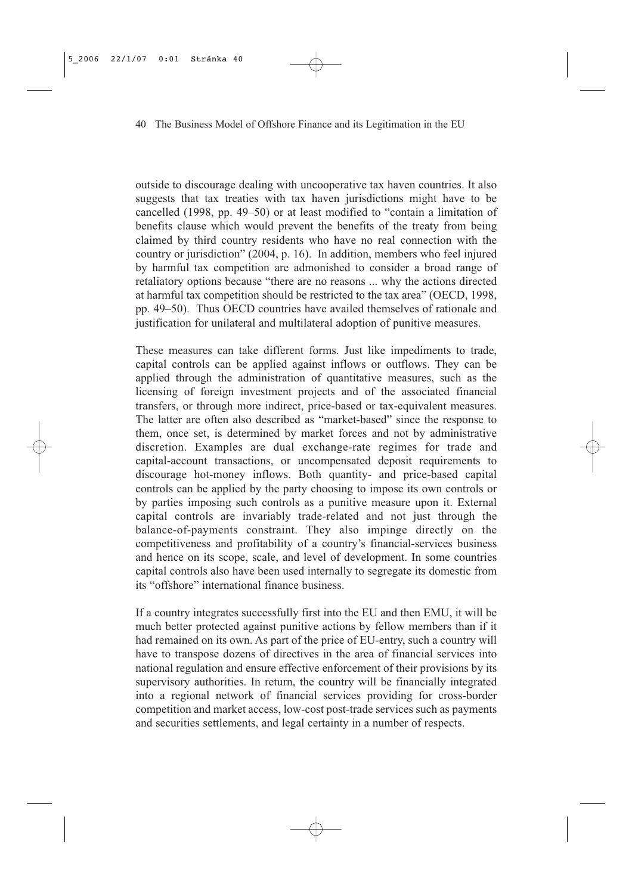outside to discourage dealing with uncooperative tax haven countries. It also suggests that tax treaties with tax haven jurisdictions might have to be cancelled (1998, pp. 49–50) or at least modified to "contain a limitation of benefits clause which would prevent the benefits of the treaty from being claimed by third country residents who have no real connection with the country or jurisdiction" (2004, p. 16). In addition, members who feel injured by harmful tax competition are admonished to consider a broad range of retaliatory options because "there are no reasons ... why the actions directed at harmful tax competition should be restricted to the tax area" (OECD, 1998, pp. 49–50). Thus OECD countries have availed themselves of rationale and justification for unilateral and multilateral adoption of punitive measures.

These measures can take different forms. Just like impediments to trade, capital controls can be applied against inflows or outflows. They can be applied through the administration of quantitative measures, such as the licensing of foreign investment projects and of the associated financial transfers, or through more indirect, price-based or tax-equivalent measures. The latter are often also described as "market-based" since the response to them, once set, is determined by market forces and not by administrative discretion. Examples are dual exchange-rate regimes for trade and capital-account transactions, or uncompensated deposit requirements to discourage hot-money inflows. Both quantity- and price-based capital controls can be applied by the party choosing to impose its own controls or by parties imposing such controls as a punitive measure upon it. External capital controls are invariably trade-related and not just through the balance-of-payments constraint. They also impinge directly on the competitiveness and profitability of a country's financial-services business and hence on its scope, scale, and level of development. In some countries capital controls also have been used internally to segregate its domestic from its "offshore" international finance business.

If a country integrates successfully first into the EU and then EMU, it will be much better protected against punitive actions by fellow members than if it had remained on its own. As part of the price of EU-entry, such a country will have to transpose dozens of directives in the area of financial services into national regulation and ensure effective enforcement of their provisions by its supervisory authorities. In return, the country will be financially integrated into a regional network of financial services providing for cross-border competition and market access, low-cost post-trade services such as payments and securities settlements, and legal certainty in a number of respects.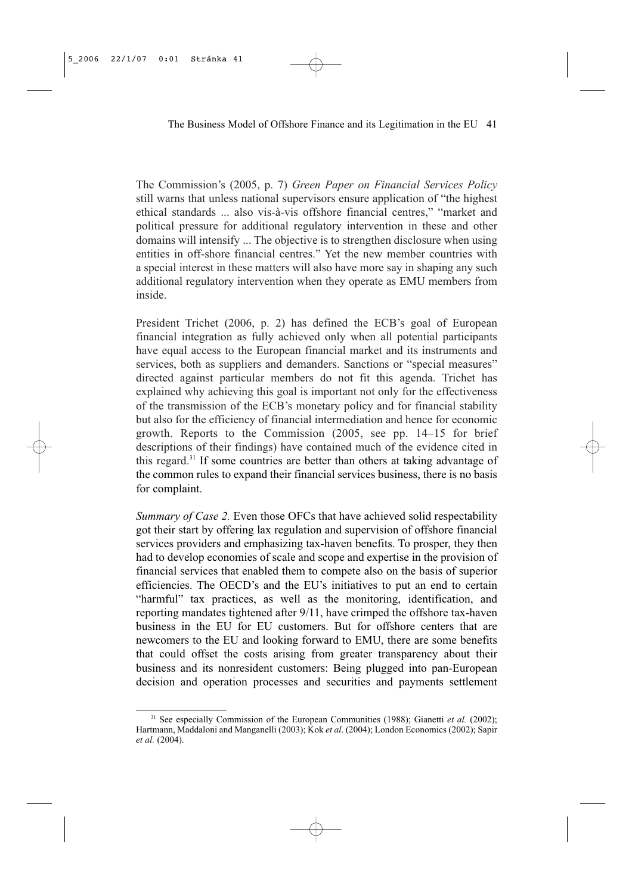The Commission's (2005, p. 7) *Green Paper on Financial Services Policy* still warns that unless national supervisors ensure application of "the highest ethical standards ... also vis-à-vis offshore financial centres," "market and political pressure for additional regulatory intervention in these and other domains will intensify ... The objective is to strengthen disclosure when using entities in off-shore financial centres." Yet the new member countries with a special interest in these matters will also have more say in shaping any such additional regulatory intervention when they operate as EMU members from inside.

President Trichet (2006, p. 2) has defined the ECB's goal of European financial integration as fully achieved only when all potential participants have equal access to the European financial market and its instruments and services, both as suppliers and demanders. Sanctions or "special measures" directed against particular members do not fit this agenda. Trichet has explained why achieving this goal is important not only for the effectiveness of the transmission of the ECB's monetary policy and for financial stability but also for the efficiency of financial intermediation and hence for economic growth. Reports to the Commission (2005, see pp. 14–15 for brief descriptions of their findings) have contained much of the evidence cited in this regard.31 If some countries are better than others at taking advantage of the common rules to expand their financial services business, there is no basis for complaint.

*Summary of Case 2.* Even those OFCs that have achieved solid respectability got their start by offering lax regulation and supervision of offshore financial services providers and emphasizing tax-haven benefits. To prosper, they then had to develop economies of scale and scope and expertise in the provision of financial services that enabled them to compete also on the basis of superior efficiencies. The OECD's and the EU's initiatives to put an end to certain "harmful" tax practices, as well as the monitoring, identification, and reporting mandates tightened after 9/11, have crimped the offshore tax-haven business in the EU for EU customers. But for offshore centers that are newcomers to the EU and looking forward to EMU, there are some benefits that could offset the costs arising from greater transparency about their business and its nonresident customers: Being plugged into pan-European decision and operation processes and securities and payments settlement

<sup>&</sup>lt;sup>31</sup> See especially Commission of the European Communities (1988); Gianetti et al. (2002); Hartmann, Maddaloni and Manganelli (2003); Kok *et al*. (2004); London Economics (2002); Sapir *et al.* (2004).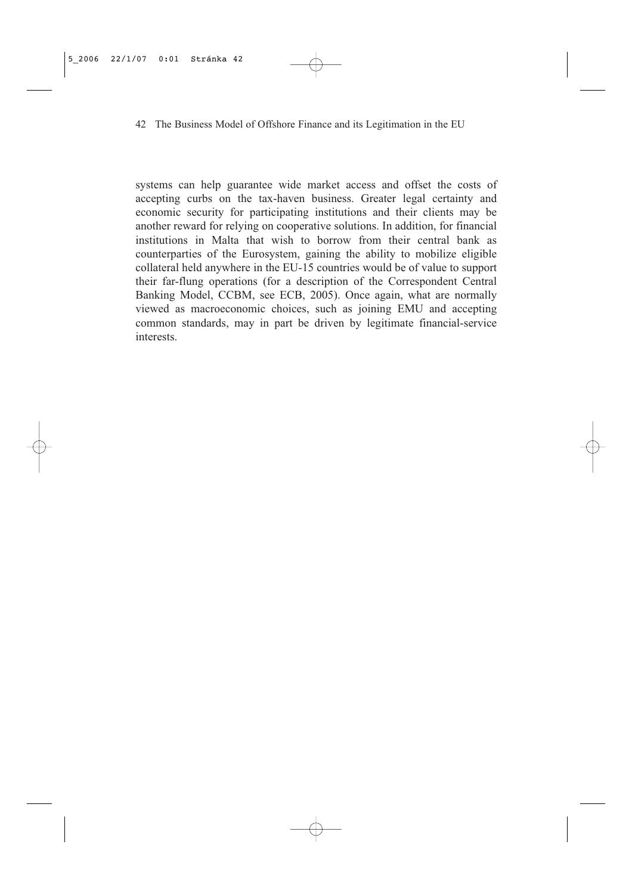systems can help guarantee wide market access and offset the costs of accepting curbs on the tax-haven business. Greater legal certainty and economic security for participating institutions and their clients may be another reward for relying on cooperative solutions. In addition, for financial institutions in Malta that wish to borrow from their central bank as counterparties of the Eurosystem, gaining the ability to mobilize eligible collateral held anywhere in the EU-15 countries would be of value to support their far-flung operations (for a description of the Correspondent Central Banking Model, CCBM, see ECB, 2005). Once again, what are normally viewed as macroeconomic choices, such as joining EMU and accepting common standards, may in part be driven by legitimate financial-service interests.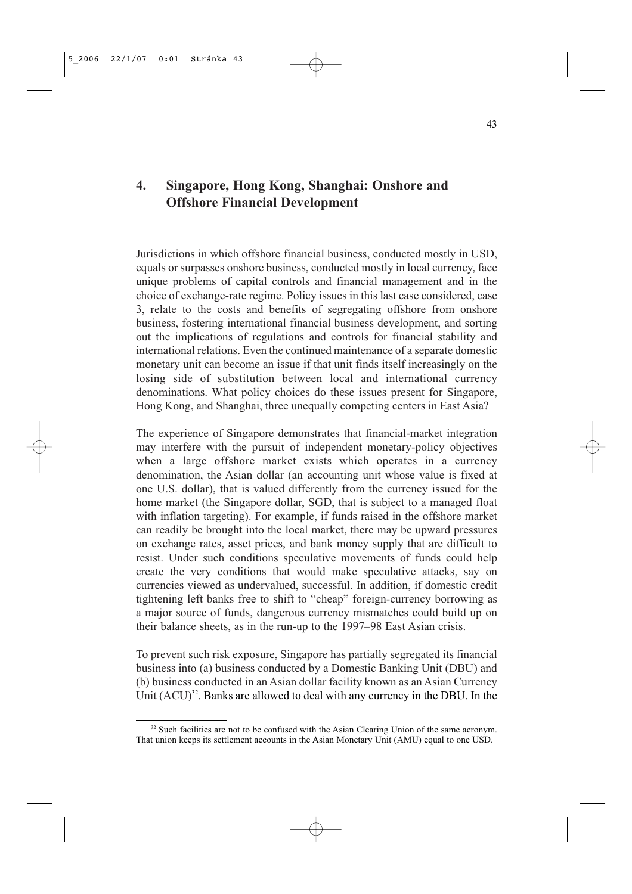Jurisdictions in which offshore financial business, conducted mostly in USD, equals or surpasses onshore business, conducted mostly in local currency, face unique problems of capital controls and financial management and in the choice of exchange-rate regime. Policy issues in this last case considered, case 3, relate to the costs and benefits of segregating offshore from onshore business, fostering international financial business development, and sorting out the implications of regulations and controls for financial stability and international relations. Even the continued maintenance of a separate domestic monetary unit can become an issue if that unit finds itself increasingly on the losing side of substitution between local and international currency denominations. What policy choices do these issues present for Singapore, Hong Kong, and Shanghai, three unequally competing centers in East Asia?

The experience of Singapore demonstrates that financial-market integration may interfere with the pursuit of independent monetary-policy objectives when a large offshore market exists which operates in a currency denomination, the Asian dollar (an accounting unit whose value is fixed at one U.S. dollar), that is valued differently from the currency issued for the home market (the Singapore dollar, SGD, that is subject to a managed float with inflation targeting). For example, if funds raised in the offshore market can readily be brought into the local market, there may be upward pressures on exchange rates, asset prices, and bank money supply that are difficult to resist. Under such conditions speculative movements of funds could help create the very conditions that would make speculative attacks, say on currencies viewed as undervalued, successful. In addition, if domestic credit tightening left banks free to shift to "cheap" foreign-currency borrowing as a major source of funds, dangerous currency mismatches could build up on their balance sheets, as in the run-up to the 1997–98 East Asian crisis.

To prevent such risk exposure, Singapore has partially segregated its financial business into (a) business conducted by a Domestic Banking Unit (DBU) and (b) business conducted in an Asian dollar facility known as an Asian Currency Unit (ACU)<sup>32</sup>. Banks are allowed to deal with any currency in the DBU. In the

<sup>&</sup>lt;sup>32</sup> Such facilities are not to be confused with the Asian Clearing Union of the same acronym. That union keeps its settlement accounts in the Asian Monetary Unit (AMU) equal to one USD.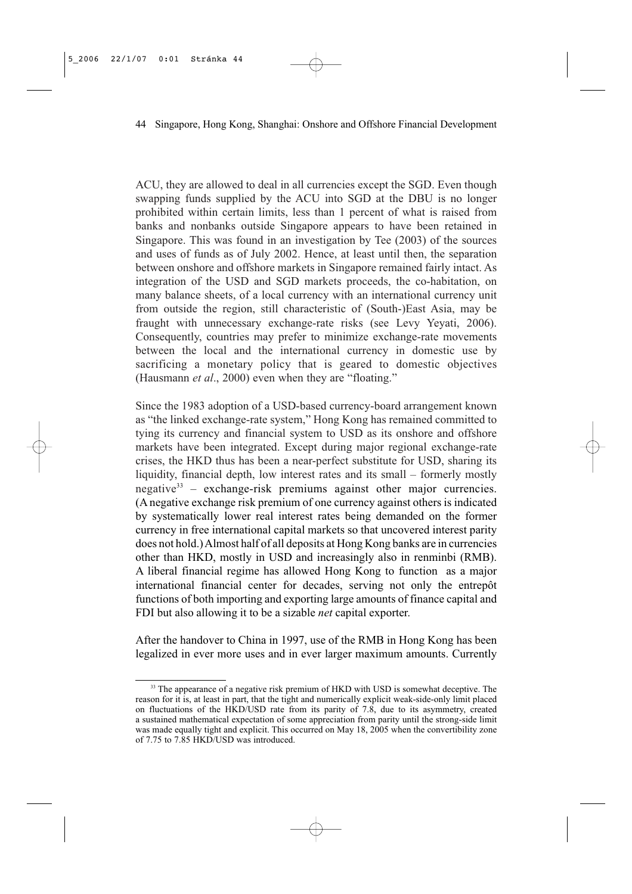ACU, they are allowed to deal in all currencies except the SGD. Even though swapping funds supplied by the ACU into SGD at the DBU is no longer prohibited within certain limits, less than 1 percent of what is raised from banks and nonbanks outside Singapore appears to have been retained in Singapore. This was found in an investigation by Tee (2003) of the sources and uses of funds as of July 2002. Hence, at least until then, the separation between onshore and offshore markets in Singapore remained fairly intact. As integration of the USD and SGD markets proceeds, the co-habitation, on many balance sheets, of a local currency with an international currency unit from outside the region, still characteristic of (South-)East Asia, may be fraught with unnecessary exchange-rate risks (see Levy Yeyati, 2006). Consequently, countries may prefer to minimize exchange-rate movements between the local and the international currency in domestic use by sacrificing a monetary policy that is geared to domestic objectives (Hausmann *et al*., 2000) even when they are "floating."

Since the 1983 adoption of a USD-based currency-board arrangement known as "the linked exchange-rate system," Hong Kong has remained committed to tying its currency and financial system to USD as its onshore and offshore markets have been integrated. Except during major regional exchange-rate crises, the HKD thus has been a near-perfect substitute for USD, sharing its liquidity, financial depth, low interest rates and its small – formerly mostly  $negative<sup>33</sup>$  – exchange-risk premiums against other major currencies. (A negative exchange risk premium of one currency against others is indicated by systematically lower real interest rates being demanded on the former currency in free international capital markets so that uncovered interest parity does not hold.) Almost half of all deposits at Hong Kong banks are in currencies other than HKD, mostly in USD and increasingly also in renminbi (RMB). A liberal financial regime has allowed Hong Kong to function as a major international financial center for decades, serving not only the entrepôt functions of both importing and exporting large amounts of finance capital and FDI but also allowing it to be a sizable *net* capital exporter.

After the handover to China in 1997, use of the RMB in Hong Kong has been legalized in ever more uses and in ever larger maximum amounts. Currently

<sup>&</sup>lt;sup>33</sup> The appearance of a negative risk premium of HKD with USD is somewhat deceptive. The reason for it is, at least in part, that the tight and numerically explicit weak-side-only limit placed on fluctuations of the HKD/USD rate from its parity of 7.8, due to its asymmetry, created a sustained mathematical expectation of some appreciation from parity until the strong-side limit was made equally tight and explicit. This occurred on May 18, 2005 when the convertibility zone of 7.75 to 7.85 HKD/USD was introduced.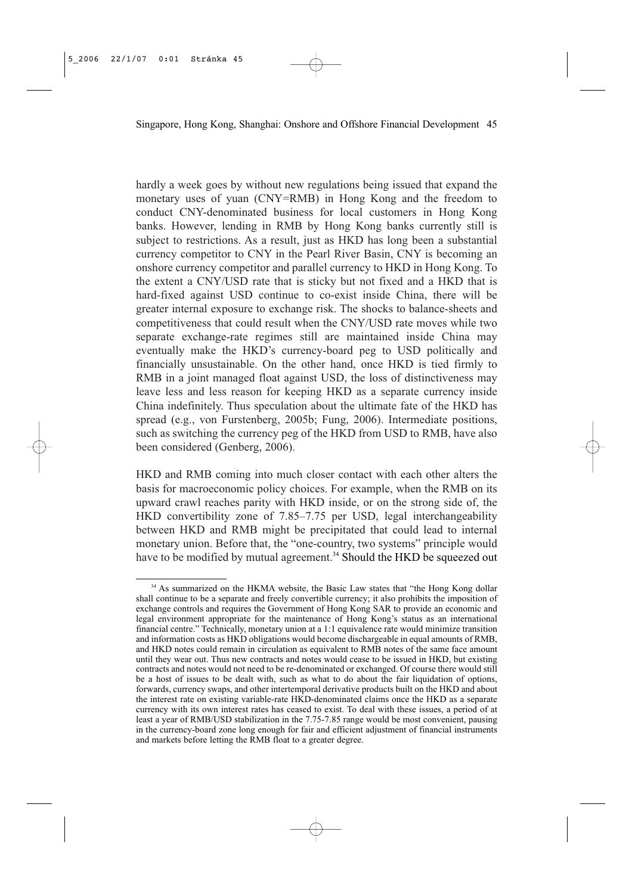hardly a week goes by without new regulations being issued that expand the monetary uses of yuan (CNY=RMB) in Hong Kong and the freedom to conduct CNY-denominated business for local customers in Hong Kong banks. However, lending in RMB by Hong Kong banks currently still is subject to restrictions. As a result, just as HKD has long been a substantial currency competitor to CNY in the Pearl River Basin, CNY is becoming an onshore currency competitor and parallel currency to HKD in Hong Kong. To the extent a CNY/USD rate that is sticky but not fixed and a HKD that is hard-fixed against USD continue to co-exist inside China, there will be greater internal exposure to exchange risk. The shocks to balance-sheets and competitiveness that could result when the CNY/USD rate moves while two separate exchange-rate regimes still are maintained inside China may eventually make the HKD's currency-board peg to USD politically and financially unsustainable. On the other hand, once HKD is tied firmly to RMB in a joint managed float against USD, the loss of distinctiveness may leave less and less reason for keeping HKD as a separate currency inside China indefinitely. Thus speculation about the ultimate fate of the HKD has spread (e.g., von Furstenberg, 2005b; Fung, 2006). Intermediate positions, such as switching the currency peg of the HKD from USD to RMB, have also been considered (Genberg, 2006).

HKD and RMB coming into much closer contact with each other alters the basis for macroeconomic policy choices. For example, when the RMB on its upward crawl reaches parity with HKD inside, or on the strong side of, the HKD convertibility zone of 7.85–7.75 per USD, legal interchangeability between HKD and RMB might be precipitated that could lead to internal monetary union. Before that, the "one-country, two systems" principle would have to be modified by mutual agreement.<sup>34</sup> Should the HKD be squeezed out

<sup>&</sup>lt;sup>34</sup> As summarized on the HKMA website, the Basic Law states that "the Hong Kong dollar shall continue to be a separate and freely convertible currency; it also prohibits the imposition of exchange controls and requires the Government of Hong Kong SAR to provide an economic and legal environment appropriate for the maintenance of Hong Kong's status as an international financial centre." Technically, monetary union at a 1:1 equivalence rate would minimize transition and information costs as HKD obligations would become dischargeable in equal amounts of RMB, and HKD notes could remain in circulation as equivalent to RMB notes of the same face amount until they wear out. Thus new contracts and notes would cease to be issued in HKD, but existing contracts and notes would not need to be re-denominated or exchanged. Of course there would still be a host of issues to be dealt with, such as what to do about the fair liquidation of options, forwards, currency swaps, and other intertemporal derivative products built on the HKD and about the interest rate on existing variable-rate HKD-denominated claims once the HKD as a separate currency with its own interest rates has ceased to exist. To deal with these issues, a period of at least a year of RMB/USD stabilization in the 7.75-7.85 range would be most convenient, pausing in the currency-board zone long enough for fair and efficient adjustment of financial instruments and markets before letting the RMB float to a greater degree.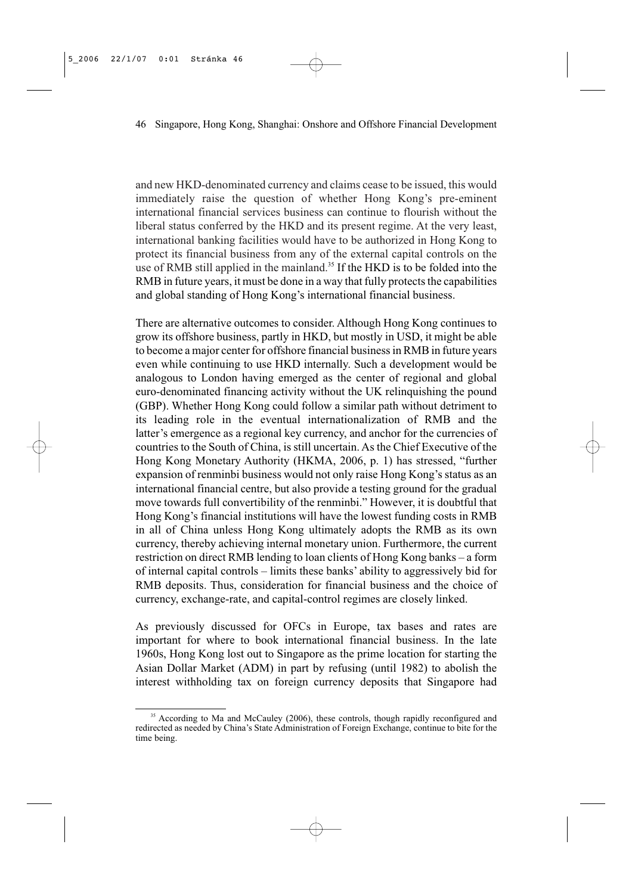and new HKD-denominated currency and claims cease to be issued, this would immediately raise the question of whether Hong Kong's pre-eminent international financial services business can continue to flourish without the liberal status conferred by the HKD and its present regime. At the very least, international banking facilities would have to be authorized in Hong Kong to protect its financial business from any of the external capital controls on the use of RMB still applied in the mainland.<sup>35</sup> If the HKD is to be folded into the RMB in future years, it must be done in a way that fully protects the capabilities and global standing of Hong Kong's international financial business.

There are alternative outcomes to consider. Although Hong Kong continues to grow its offshore business, partly in HKD, but mostly in USD, it might be able to become a major center for offshore financial business in RMB in future years even while continuing to use HKD internally. Such a development would be analogous to London having emerged as the center of regional and global euro-denominated financing activity without the UK relinquishing the pound (GBP). Whether Hong Kong could follow a similar path without detriment to its leading role in the eventual internationalization of RMB and the latter's emergence as a regional key currency, and anchor for the currencies of countries to the South of China, is still uncertain. As the Chief Executive of the Hong Kong Monetary Authority (HKMA, 2006, p. 1) has stressed, "further expansion of renminbi business would not only raise Hong Kong's status as an international financial centre, but also provide a testing ground for the gradual move towards full convertibility of the renminbi." However, it is doubtful that Hong Kong's financial institutions will have the lowest funding costs in RMB in all of China unless Hong Kong ultimately adopts the RMB as its own currency, thereby achieving internal monetary union. Furthermore, the current restriction on direct RMB lending to loan clients of Hong Kong banks – a form of internal capital controls – limits these banks' ability to aggressively bid for RMB deposits. Thus, consideration for financial business and the choice of currency, exchange-rate, and capital-control regimes are closely linked.

As previously discussed for OFCs in Europe, tax bases and rates are important for where to book international financial business. In the late 1960s, Hong Kong lost out to Singapore as the prime location for starting the Asian Dollar Market (ADM) in part by refusing (until 1982) to abolish the interest withholding tax on foreign currency deposits that Singapore had

<sup>&</sup>lt;sup>35</sup> According to Ma and McCauley (2006), these controls, though rapidly reconfigured and redirected as needed by China's State Administration of Foreign Exchange, continue to bite for the time being.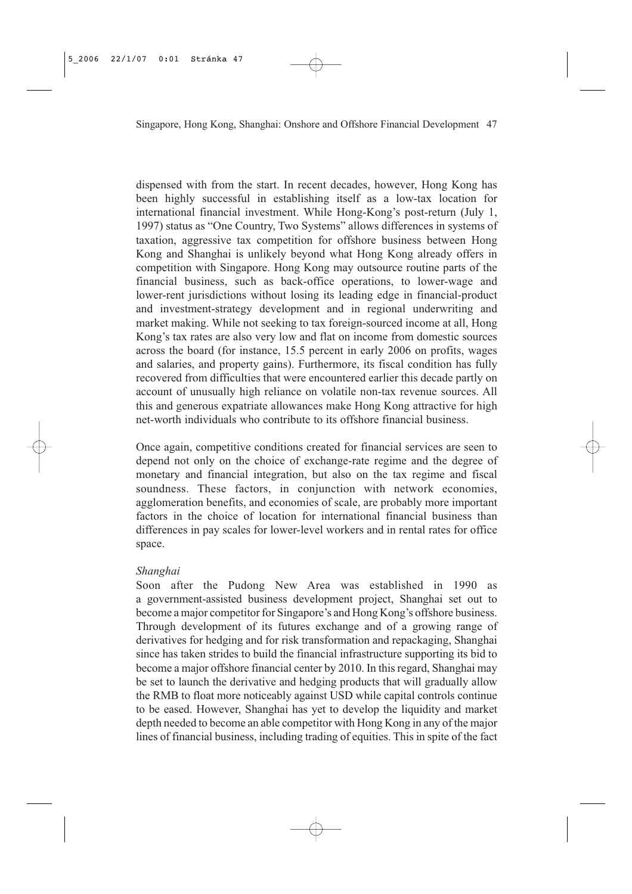dispensed with from the start. In recent decades, however, Hong Kong has been highly successful in establishing itself as a low-tax location for international financial investment. While Hong-Kong's post-return (July 1, 1997) status as "One Country, Two Systems" allows differences in systems of taxation, aggressive tax competition for offshore business between Hong Kong and Shanghai is unlikely beyond what Hong Kong already offers in competition with Singapore. Hong Kong may outsource routine parts of the financial business, such as back-office operations, to lower-wage and lower-rent jurisdictions without losing its leading edge in financial-product and investment-strategy development and in regional underwriting and market making. While not seeking to tax foreign-sourced income at all, Hong Kong's tax rates are also very low and flat on income from domestic sources across the board (for instance, 15.5 percent in early 2006 on profits, wages and salaries, and property gains). Furthermore, its fiscal condition has fully recovered from difficulties that were encountered earlier this decade partly on account of unusually high reliance on volatile non-tax revenue sources. All this and generous expatriate allowances make Hong Kong attractive for high net-worth individuals who contribute to its offshore financial business.

Once again, competitive conditions created for financial services are seen to depend not only on the choice of exchange-rate regime and the degree of monetary and financial integration, but also on the tax regime and fiscal soundness. These factors, in conjunction with network economies, agglomeration benefits, and economies of scale, are probably more important factors in the choice of location for international financial business than differences in pay scales for lower-level workers and in rental rates for office space.

#### *Shanghai*

Soon after the Pudong New Area was established in 1990 as a government-assisted business development project, Shanghai set out to become a major competitor for Singapore's and Hong Kong's offshore business. Through development of its futures exchange and of a growing range of derivatives for hedging and for risk transformation and repackaging, Shanghai since has taken strides to build the financial infrastructure supporting its bid to become a major offshore financial center by 2010. In this regard, Shanghai may be set to launch the derivative and hedging products that will gradually allow the RMB to float more noticeably against USD while capital controls continue to be eased. However, Shanghai has yet to develop the liquidity and market depth needed to become an able competitor with Hong Kong in any of the major lines of financial business, including trading of equities. This in spite of the fact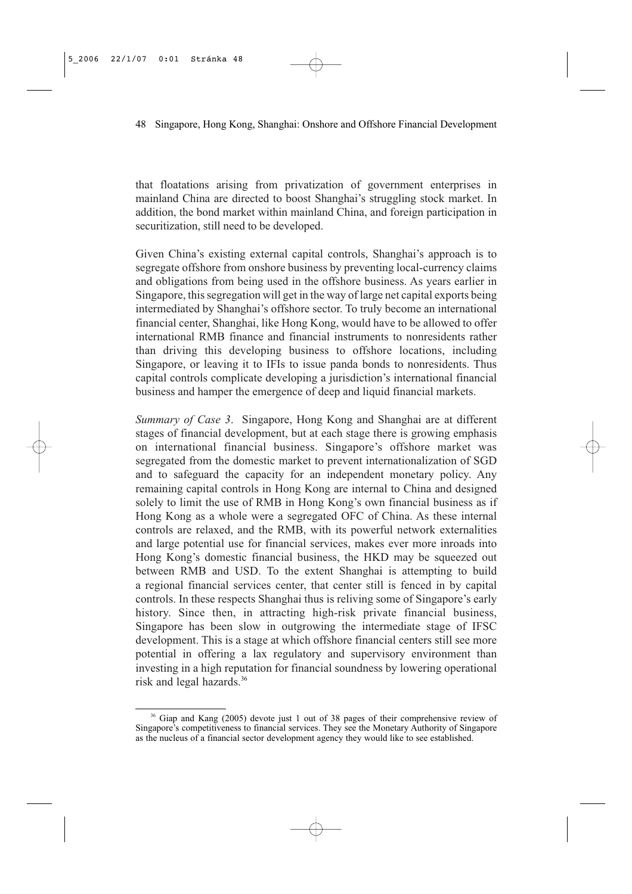that floatations arising from privatization of government enterprises in mainland China are directed to boost Shanghai's struggling stock market. In addition, the bond market within mainland China, and foreign participation in securitization, still need to be developed.

Given China's existing external capital controls, Shanghai's approach is to segregate offshore from onshore business by preventing local-currency claims and obligations from being used in the offshore business. As years earlier in Singapore, this segregation will get in the way of large net capital exports being intermediated by Shanghai's offshore sector. To truly become an international financial center, Shanghai, like Hong Kong, would have to be allowed to offer international RMB finance and financial instruments to nonresidents rather than driving this developing business to offshore locations, including Singapore, or leaving it to IFIs to issue panda bonds to nonresidents. Thus capital controls complicate developing a jurisdiction's international financial business and hamper the emergence of deep and liquid financial markets.

*Summary of Case 3*. Singapore, Hong Kong and Shanghai are at different stages of financial development, but at each stage there is growing emphasis on international financial business. Singapore's offshore market was segregated from the domestic market to prevent internationalization of SGD and to safeguard the capacity for an independent monetary policy. Any remaining capital controls in Hong Kong are internal to China and designed solely to limit the use of RMB in Hong Kong's own financial business as if Hong Kong as a whole were a segregated OFC of China. As these internal controls are relaxed, and the RMB, with its powerful network externalities and large potential use for financial services, makes ever more inroads into Hong Kong's domestic financial business, the HKD may be squeezed out between RMB and USD. To the extent Shanghai is attempting to build a regional financial services center, that center still is fenced in by capital controls. In these respects Shanghai thus is reliving some of Singapore's early history. Since then, in attracting high-risk private financial business, Singapore has been slow in outgrowing the intermediate stage of IFSC development. This is a stage at which offshore financial centers still see more potential in offering a lax regulatory and supervisory environment than investing in a high reputation for financial soundness by lowering operational risk and legal hazards.36

<sup>36</sup> Giap and Kang (2005) devote just 1 out of 38 pages of their comprehensive review of Singapore's competitiveness to financial services. They see the Monetary Authority of Singapore as the nucleus of a financial sector development agency they would like to see established.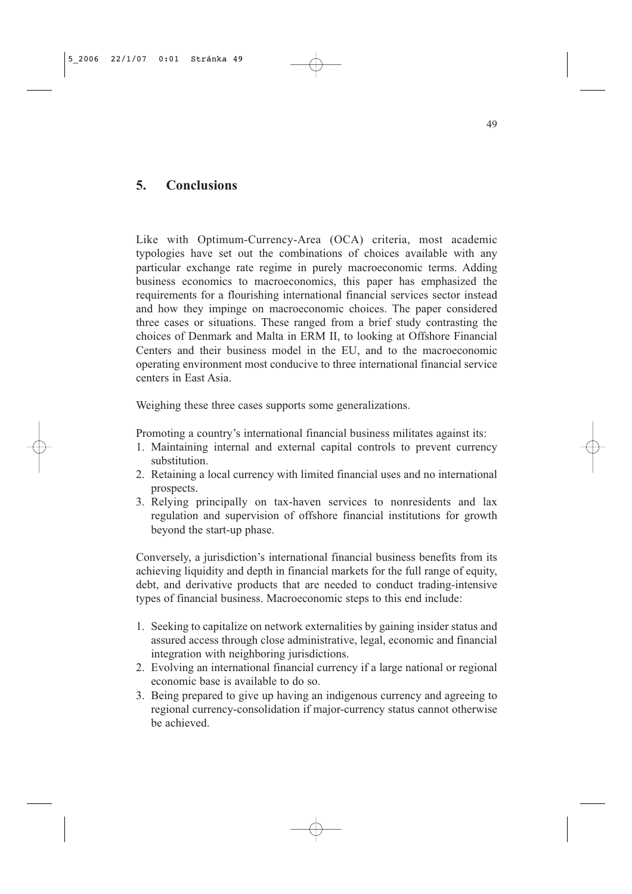# **5. Conclusions**

Like with Optimum-Currency-Area (OCA) criteria, most academic typologies have set out the combinations of choices available with any particular exchange rate regime in purely macroeconomic terms. Adding business economics to macroeconomics, this paper has emphasized the requirements for a flourishing international financial services sector instead and how they impinge on macroeconomic choices. The paper considered three cases or situations. These ranged from a brief study contrasting the choices of Denmark and Malta in ERM II, to looking at Offshore Financial Centers and their business model in the EU, and to the macroeconomic operating environment most conducive to three international financial service centers in East Asia.

Weighing these three cases supports some generalizations.

Promoting a country's international financial business militates against its:

- 1. Maintaining internal and external capital controls to prevent currency substitution.
- 2. Retaining a local currency with limited financial uses and no international prospects.
- 3. Relying principally on tax-haven services to nonresidents and lax regulation and supervision of offshore financial institutions for growth beyond the start-up phase.

Conversely, a jurisdiction's international financial business benefits from its achieving liquidity and depth in financial markets for the full range of equity, debt, and derivative products that are needed to conduct trading-intensive types of financial business. Macroeconomic steps to this end include:

- 1. Seeking to capitalize on network externalities by gaining insider status and assured access through close administrative, legal, economic and financial integration with neighboring jurisdictions.
- 2. Evolving an international financial currency if a large national or regional economic base is available to do so.
- 3. Being prepared to give up having an indigenous currency and agreeing to regional currency-consolidation if major-currency status cannot otherwise be achieved.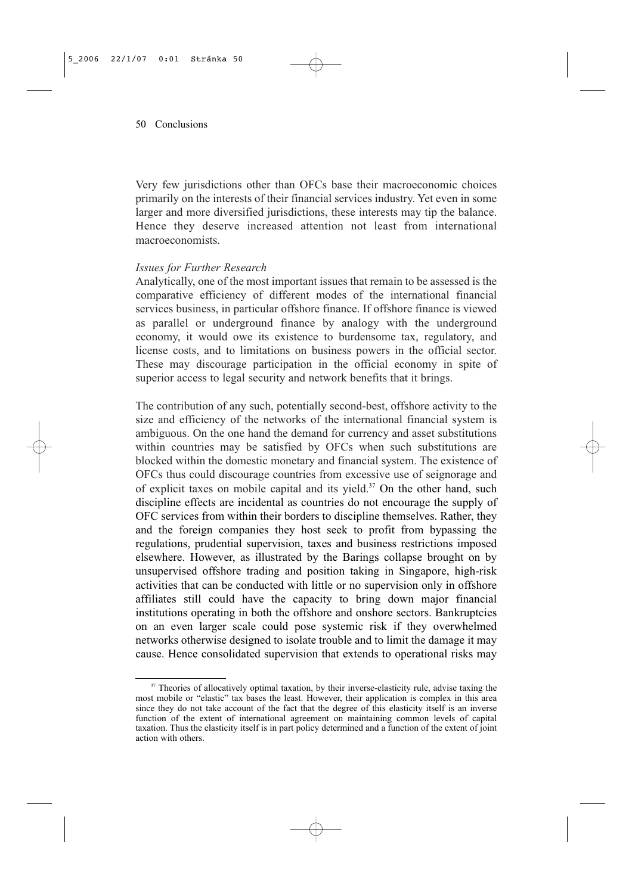#### 50 Conclusions

Very few jurisdictions other than OFCs base their macroeconomic choices primarily on the interests of their financial services industry. Yet even in some larger and more diversified jurisdictions, these interests may tip the balance. Hence they deserve increased attention not least from international macroeconomists.

#### *Issues for Further Research*

Analytically, one of the most important issues that remain to be assessed is the comparative efficiency of different modes of the international financial services business, in particular offshore finance. If offshore finance is viewed as parallel or underground finance by analogy with the underground economy, it would owe its existence to burdensome tax, regulatory, and license costs, and to limitations on business powers in the official sector. These may discourage participation in the official economy in spite of superior access to legal security and network benefits that it brings.

The contribution of any such, potentially second-best, offshore activity to the size and efficiency of the networks of the international financial system is ambiguous. On the one hand the demand for currency and asset substitutions within countries may be satisfied by OFCs when such substitutions are blocked within the domestic monetary and financial system. The existence of OFCs thus could discourage countries from excessive use of seignorage and of explicit taxes on mobile capital and its yield. $37$  On the other hand, such discipline effects are incidental as countries do not encourage the supply of OFC services from within their borders to discipline themselves. Rather, they and the foreign companies they host seek to profit from bypassing the regulations, prudential supervision, taxes and business restrictions imposed elsewhere. However, as illustrated by the Barings collapse brought on by unsupervised offshore trading and position taking in Singapore, high-risk activities that can be conducted with little or no supervision only in offshore affiliates still could have the capacity to bring down major financial institutions operating in both the offshore and onshore sectors. Bankruptcies on an even larger scale could pose systemic risk if they overwhelmed networks otherwise designed to isolate trouble and to limit the damage it may cause. Hence consolidated supervision that extends to operational risks may

<sup>&</sup>lt;sup>37</sup> Theories of allocatively optimal taxation, by their inverse-elasticity rule, advise taxing the most mobile or "elastic" tax bases the least. However, their application is complex in this area since they do not take account of the fact that the degree of this elasticity itself is an inverse function of the extent of international agreement on maintaining common levels of capital taxation. Thus the elasticity itself is in part policy determined and a function of the extent of joint action with others.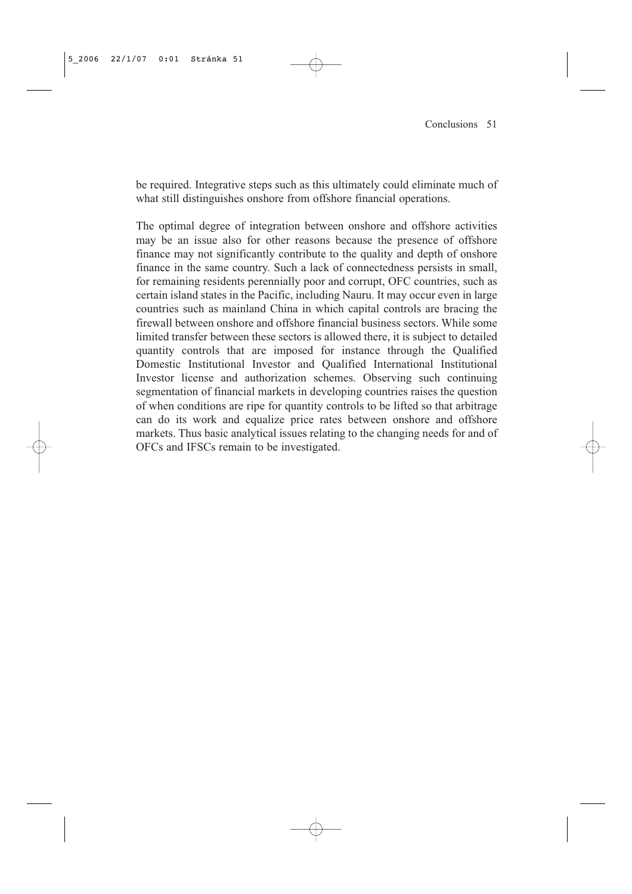Conclusions 51

be required. Integrative steps such as this ultimately could eliminate much of what still distinguishes onshore from offshore financial operations.

The optimal degree of integration between onshore and offshore activities may be an issue also for other reasons because the presence of offshore finance may not significantly contribute to the quality and depth of onshore finance in the same country. Such a lack of connectedness persists in small, for remaining residents perennially poor and corrupt, OFC countries, such as certain island states in the Pacific, including Nauru. It may occur even in large countries such as mainland China in which capital controls are bracing the firewall between onshore and offshore financial business sectors. While some limited transfer between these sectors is allowed there, it is subject to detailed quantity controls that are imposed for instance through the Qualified Domestic Institutional Investor and Qualified International Institutional Investor license and authorization schemes. Observing such continuing segmentation of financial markets in developing countries raises the question of when conditions are ripe for quantity controls to be lifted so that arbitrage can do its work and equalize price rates between onshore and offshore markets. Thus basic analytical issues relating to the changing needs for and of OFCs and IFSCs remain to be investigated.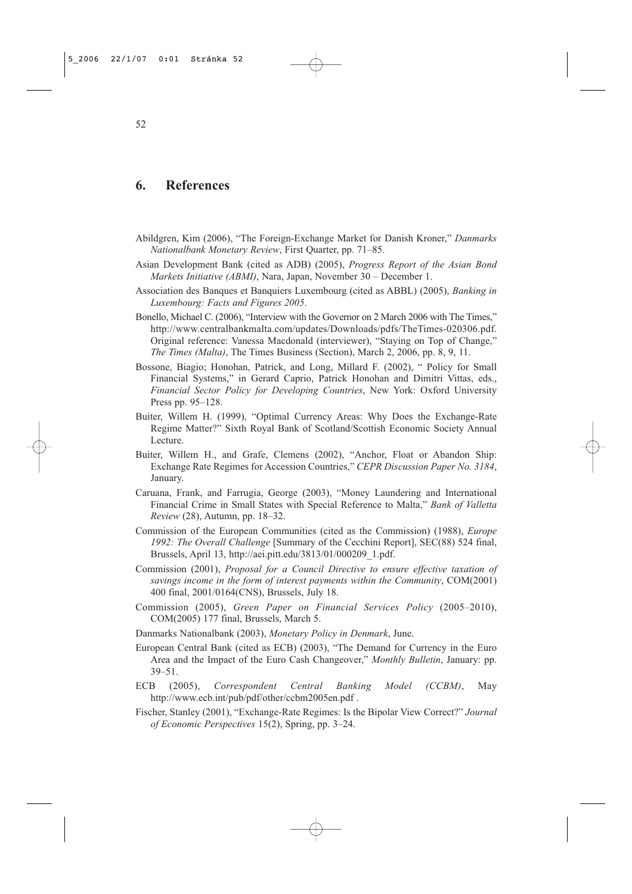52

**6. References**

- Abildgren, Kim (2006), "The Foreign-Exchange Market for Danish Kroner," *Danmarks Nationalbank Monetary Review*, First Quarter, pp. 71–85.
- Asian Development Bank (cited as ADB) (2005), *Progress Report of the Asian Bond Markets Initiative (ABMI)*, Nara, Japan, November 30 – December 1.
- Association des Banques et Banquiers Luxembourg (cited as ABBL) (2005), *Banking in Luxembourg: Facts and Figures 2005*.
- Bonello, Michael C. (2006), "Interview with the Governor on 2 March 2006 with The Times," http://www.centralbankmalta.com/updates/Downloads/pdfs/TheTimes-020306.pdf. Original reference: Vanessa Macdonald (interviewer), "Staying on Top of Change," *The Times (Malta)*, The Times Business (Section), March 2, 2006, pp. 8, 9, 11.
- Bossone, Biagio; Honohan, Patrick, and Long, Millard F. (2002), " Policy for Small Financial Systems," in Gerard Caprio, Patrick Honohan and Dimitri Vittas, eds., *Financial Sector Policy for Developing Countries*, New York: Oxford University Press pp. 95–128.
- Buiter, Willem H. (1999), "Optimal Currency Areas: Why Does the Exchange-Rate Regime Matter?" Sixth Royal Bank of Scotland/Scottish Economic Society Annual Lecture.
- Buiter, Willem H., and Grafe, Clemens (2002), "Anchor, Float or Abandon Ship: Exchange Rate Regimes for Accession Countries," *CEPR Discussion Paper No. 3184*, January.
- Caruana, Frank, and Farrugia, George (2003), "Money Laundering and International Financial Crime in Small States with Special Reference to Malta," *Bank of Valletta Review* (28), Autumn, pp. 18–32.
- Commission of the European Communities (cited as the Commission) (1988), *Europe 1992: The Overall Challenge* [Summary of the Cecchini Report], SEC(88) 524 final, Brussels, April 13, http://aei.pitt.edu/3813/01/000209\_1.pdf.
- Commission (2001), *Proposal for a Council Directive to ensure effective taxation of savings income in the form of interest payments within the Community*, COM(2001) 400 final, 2001/0164(CNS), Brussels, July 18.
- Commission (2005), *Green Paper on Financial Services Policy* (2005–2010), COM(2005) 177 final, Brussels, March 5.
- Danmarks Nationalbank (2003), *Monetary Policy in Denmark*, June.
- European Central Bank (cited as ECB) (2003), "The Demand for Currency in the Euro Area and the Impact of the Euro Cash Changeover," *Monthly Bulletin*, January: pp. 39–51.
- ECB (2005), *Correspondent Central Banking Model (CCBM)*, May http://www.ecb.int/pub/pdf/other/ccbm2005en.pdf .
- Fischer, Stanley (2001), "Exchange-Rate Regimes: Is the Bipolar View Correct?" *Journal of Economic Perspectives* 15(2), Spring, pp. 3–24.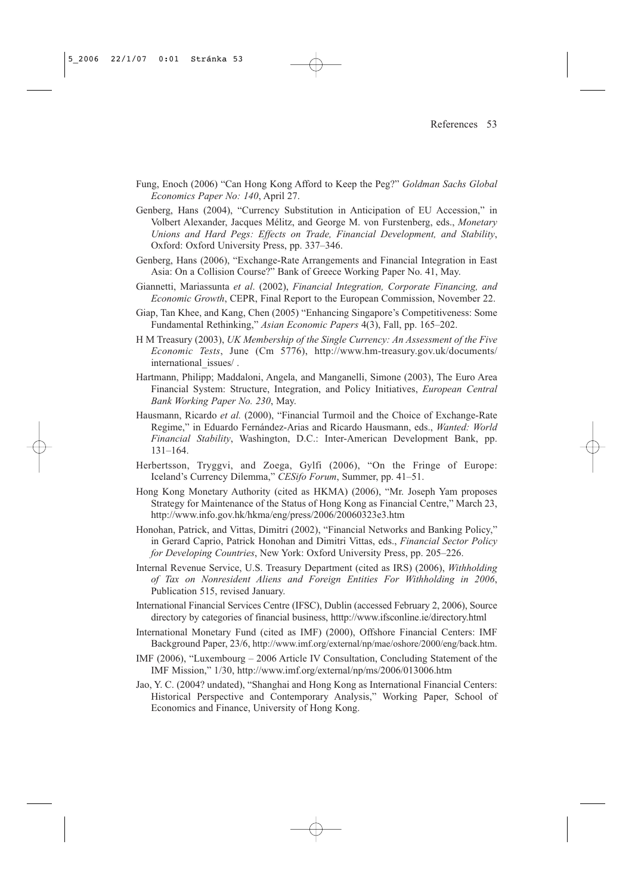- Fung, Enoch (2006) "Can Hong Kong Afford to Keep the Peg?" *Goldman Sachs Global Economics Paper No: 140*, April 27.
- Genberg, Hans (2004), "Currency Substitution in Anticipation of EU Accession," in Volbert Alexander, Jacques Mélitz, and George M. von Furstenberg, eds., *Monetary Unions and Hard Pegs: Effects on Trade, Financial Development, and Stability*, Oxford: Oxford University Press, pp. 337–346.
- Genberg, Hans (2006), "Exchange-Rate Arrangements and Financial Integration in East Asia: On a Collision Course?" Bank of Greece Working Paper No. 41, May.
- Giannetti, Mariassunta *et al*. (2002), *Financial Integration, Corporate Financing, and Economic Growth*, CEPR, Final Report to the European Commission, November 22.
- Giap, Tan Khee, and Kang, Chen (2005) "Enhancing Singapore's Competitiveness: Some Fundamental Rethinking," *Asian Economic Papers* 4(3), Fall, pp. 165–202.
- H M Treasury (2003), *UK Membership of the Single Currency: An Assessment of the Five Economic Tests*, June (Cm 5776), http://www.hm-treasury.gov.uk/documents/ international\_issues/ .
- Hartmann, Philipp; Maddaloni, Angela, and Manganelli, Simone (2003), The Euro Area Financial System: Structure, Integration, and Policy Initiatives, *European Central Bank Working Paper No. 230*, May.
- Hausmann, Ricardo *et al.* (2000), "Financial Turmoil and the Choice of Exchange-Rate Regime," in Eduardo Fernández-Arias and Ricardo Hausmann, eds., *Wanted: World Financial Stability*, Washington, D.C.: Inter-American Development Bank, pp. 131–164.
- Herbertsson, Tryggvi, and Zoega, Gylfi (2006), "On the Fringe of Europe: Iceland's Currency Dilemma," *CESifo Forum*, Summer, pp. 41–51.
- Hong Kong Monetary Authority (cited as HKMA) (2006), "Mr. Joseph Yam proposes Strategy for Maintenance of the Status of Hong Kong as Financial Centre," March 23, http://www.info.gov.hk/hkma/eng/press/2006/20060323e3.htm
- Honohan, Patrick, and Vittas, Dimitri (2002), "Financial Networks and Banking Policy," in Gerard Caprio, Patrick Honohan and Dimitri Vittas, eds., *Financial Sector Policy for Developing Countries*, New York: Oxford University Press, pp. 205–226.
- Internal Revenue Service, U.S. Treasury Department (cited as IRS) (2006), *Withholding of Tax on Nonresident Aliens and Foreign Entities For Withholding in 2006*, Publication 515, revised January.
- International Financial Services Centre (IFSC), Dublin (accessed February 2, 2006), Source directory by categories of financial business, htttp://www.ifsconline.ie/directory.html
- International Monetary Fund (cited as IMF) (2000), Offshore Financial Centers: IMF Background Paper, 23/6, http://www.imf.org/external/np/mae/oshore/2000/eng/back.htm.
- IMF (2006), "Luxembourg 2006 Article IV Consultation, Concluding Statement of the IMF Mission," 1/30, http://www.imf.org/external/np/ms/2006/013006.htm
- Jao, Y. C. (2004? undated), "Shanghai and Hong Kong as International Financial Centers: Historical Perspective and Contemporary Analysis," Working Paper, School of Economics and Finance, University of Hong Kong.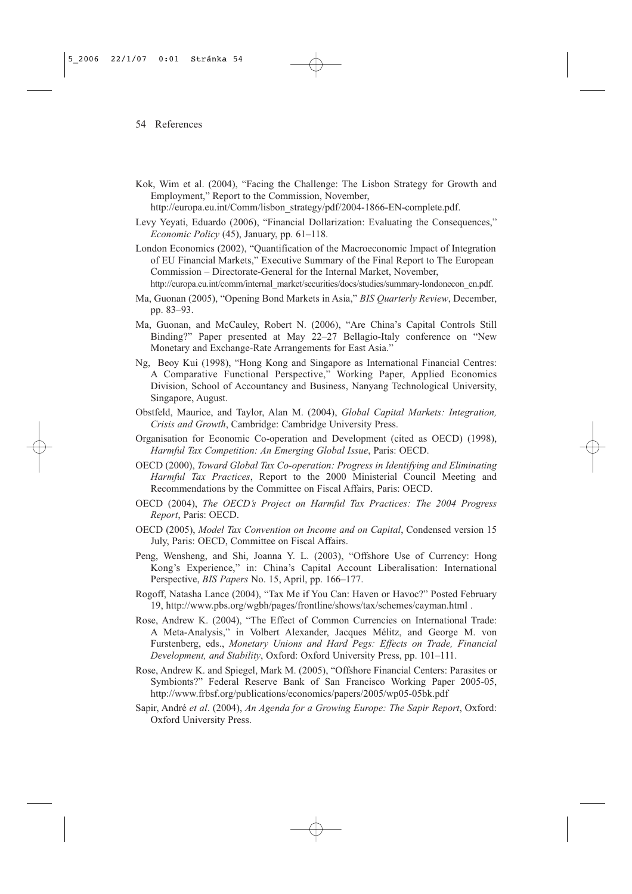54 References

Kok, Wim et al. (2004), "Facing the Challenge: The Lisbon Strategy for Growth and Employment," Report to the Commission, November,

http://europa.eu.int/Comm/lisbon\_strategy/pdf/2004-1866-EN-complete.pdf.

Levy Yeyati, Eduardo (2006), "Financial Dollarization: Evaluating the Consequences," *Economic Policy* (45), January, pp. 61–118.

London Economics (2002), "Quantification of the Macroeconomic Impact of Integration of EU Financial Markets," Executive Summary of the Final Report to The European Commission – Directorate-General for the Internal Market, November, http://europa.eu.int/comm/internal\_market/securities/docs/studies/summary-londonecon\_en.pdf.

- Ma, Guonan (2005), "Opening Bond Markets in Asia," *BIS Quarterly Review*, December, pp. 83–93.
- Ma, Guonan, and McCauley, Robert N. (2006), "Are China's Capital Controls Still Binding?" Paper presented at May 22–27 Bellagio-Italy conference on "New Monetary and Exchange-Rate Arrangements for East Asia."
- Ng, Beoy Kui (1998), "Hong Kong and Singapore as International Financial Centres: A Comparative Functional Perspective," Working Paper, Applied Economics Division, School of Accountancy and Business, Nanyang Technological University, Singapore, August.
- Obstfeld, Maurice, and Taylor, Alan M. (2004), *Global Capital Markets: Integration, Crisis and Growth*, Cambridge: Cambridge University Press.
- Organisation for Economic Co-operation and Development (cited as OECD) (1998), *Harmful Tax Competition: An Emerging Global Issue*, Paris: OECD.
- OECD (2000), *Toward Global Tax Co-operation: Progress in Identifying and Eliminating Harmful Tax Practices*, Report to the 2000 Ministerial Council Meeting and Recommendations by the Committee on Fiscal Affairs, Paris: OECD.
- OECD (2004), *The OECD's Project on Harmful Tax Practices: The 2004 Progress Report*, Paris: OECD.
- OECD (2005), *Model Tax Convention on Income and on Capital*, Condensed version 15 July, Paris: OECD, Committee on Fiscal Affairs.
- Peng, Wensheng, and Shi, Joanna Y. L. (2003), "Offshore Use of Currency: Hong Kong's Experience," in: China's Capital Account Liberalisation: International Perspective, *BIS Papers* No. 15, April, pp. 166–177.
- Rogoff, Natasha Lance (2004), "Tax Me if You Can: Haven or Havoc?" Posted February 19, http://www.pbs.org/wgbh/pages/frontline/shows/tax/schemes/cayman.html .
- Rose, Andrew K. (2004), "The Effect of Common Currencies on International Trade: A Meta-Analysis," in Volbert Alexander, Jacques Mélitz, and George M. von Furstenberg, eds., *Monetary Unions and Hard Pegs: Effects on Trade, Financial Development, and Stability*, Oxford: Oxford University Press, pp. 101–111.
- Rose, Andrew K. and Spiegel, Mark M. (2005), "Offshore Financial Centers: Parasites or Symbionts?" Federal Reserve Bank of San Francisco Working Paper 2005-05, http://www.frbsf.org/publications/economics/papers/2005/wp05-05bk.pdf
- Sapir, André *et al*. (2004), *An Agenda for a Growing Europe: The Sapir Report*, Oxford: Oxford University Press.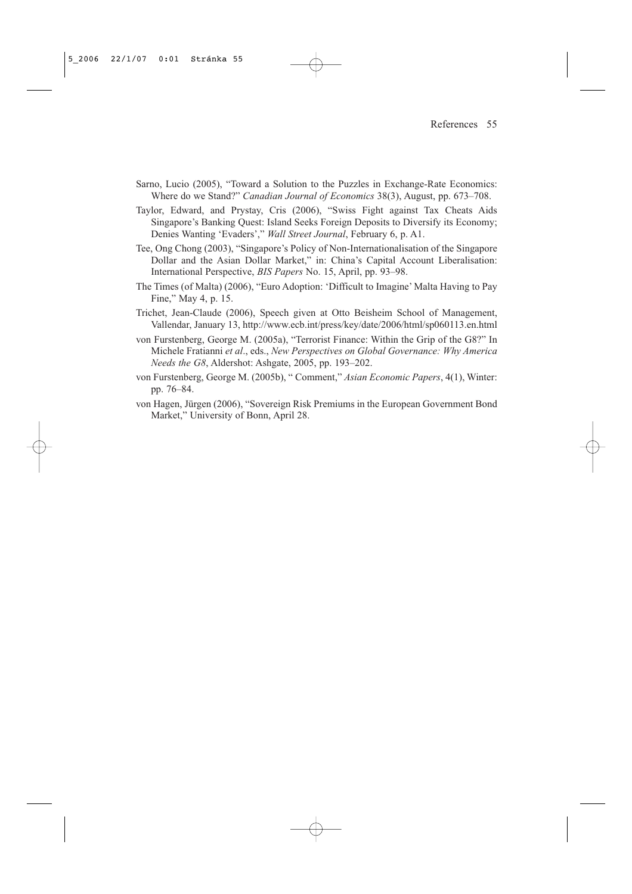References 55

- Sarno, Lucio (2005), "Toward a Solution to the Puzzles in Exchange-Rate Economics: Where do we Stand?" *Canadian Journal of Economics* 38(3), August, pp. 673–708.
- Taylor, Edward, and Prystay, Cris (2006), "Swiss Fight against Tax Cheats Aids Singapore's Banking Quest: Island Seeks Foreign Deposits to Diversify its Economy; Denies Wanting 'Evaders'," *Wall Street Journal*, February 6, p. A1.
- Tee, Ong Chong (2003), "Singapore's Policy of Non-Internationalisation of the Singapore Dollar and the Asian Dollar Market," in: China's Capital Account Liberalisation: International Perspective, *BIS Papers* No. 15, April, pp. 93–98.
- The Times (of Malta) (2006), "Euro Adoption: 'Difficult to Imagine' Malta Having to Pay Fine," May 4, p. 15.
- Trichet, Jean-Claude (2006), Speech given at Otto Beisheim School of Management, Vallendar, January 13, http://www.ecb.int/press/key/date/2006/html/sp060113.en.html
- von Furstenberg, George M. (2005a), "Terrorist Finance: Within the Grip of the G8?" In Michele Fratianni *et al*., eds., *New Perspectives on Global Governance: Why America Needs the G8*, Aldershot: Ashgate, 2005, pp. 193–202.
- von Furstenberg, George M. (2005b), " Comment," *Asian Economic Papers*, 4(1), Winter: pp. 76–84.
- von Hagen, Jürgen (2006), "Sovereign Risk Premiums in the European Government Bond Market," University of Bonn, April 28.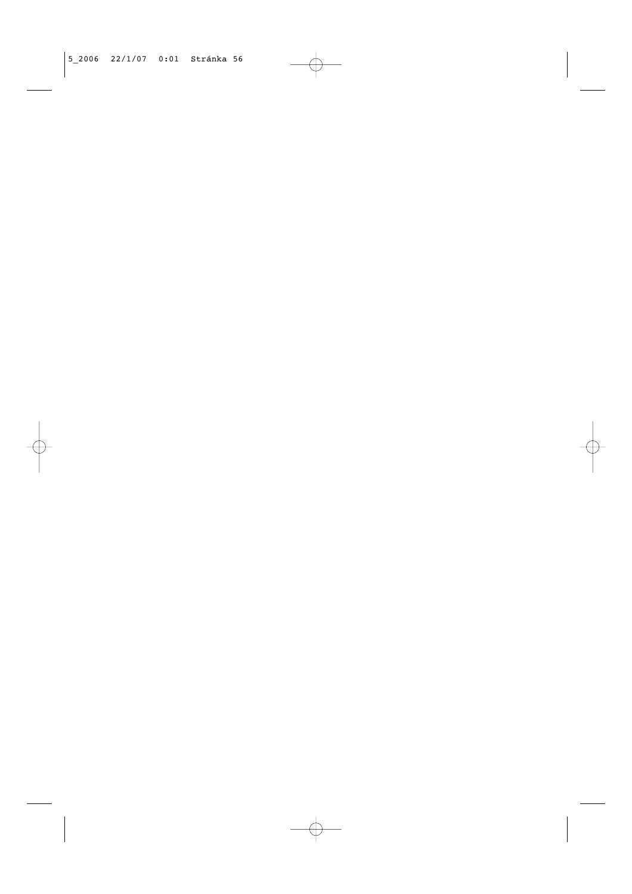5\_2006 22/1/07 0:01 Stránka 56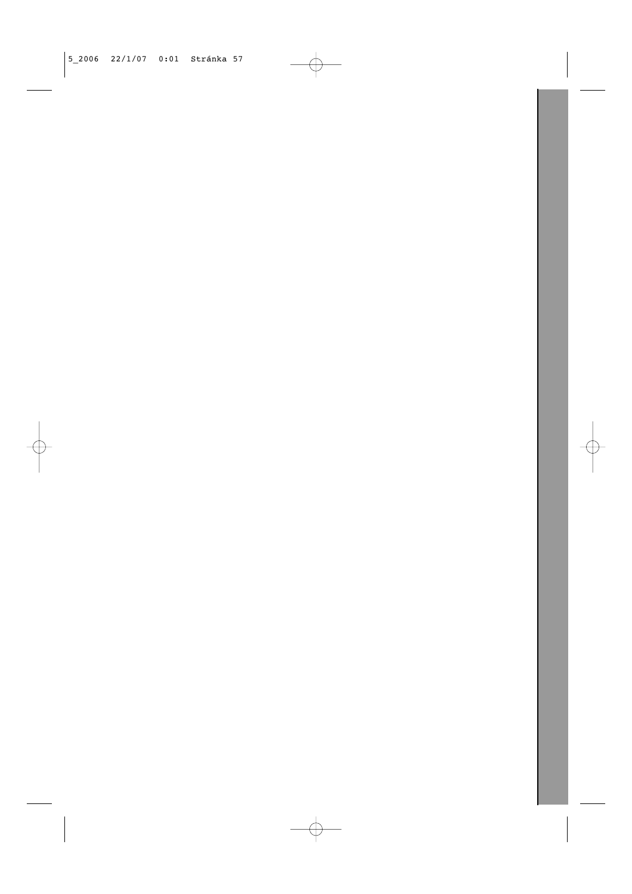5\_2006 22/1/07 0:01 Stránka 57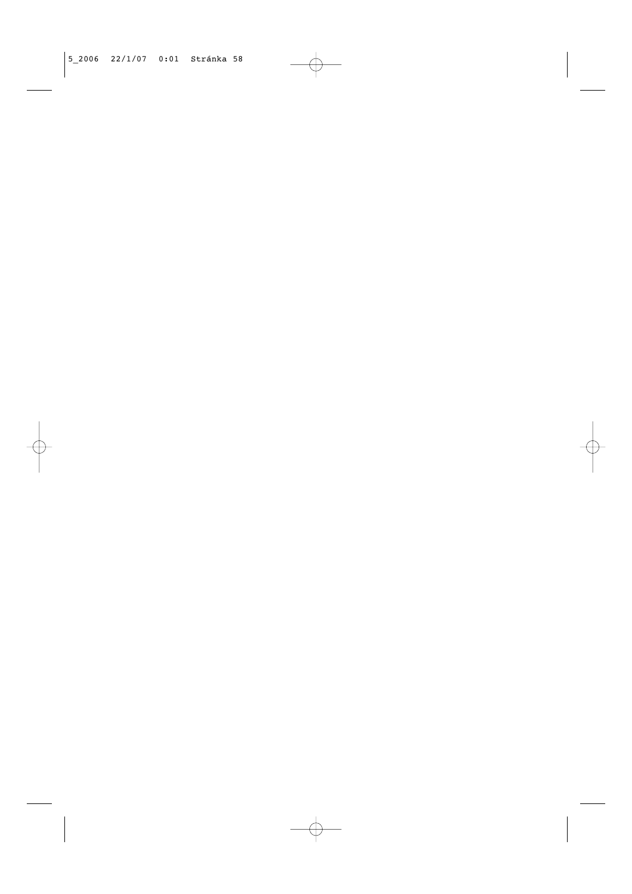5\_2006 22/1/07 0:01 Stránka 58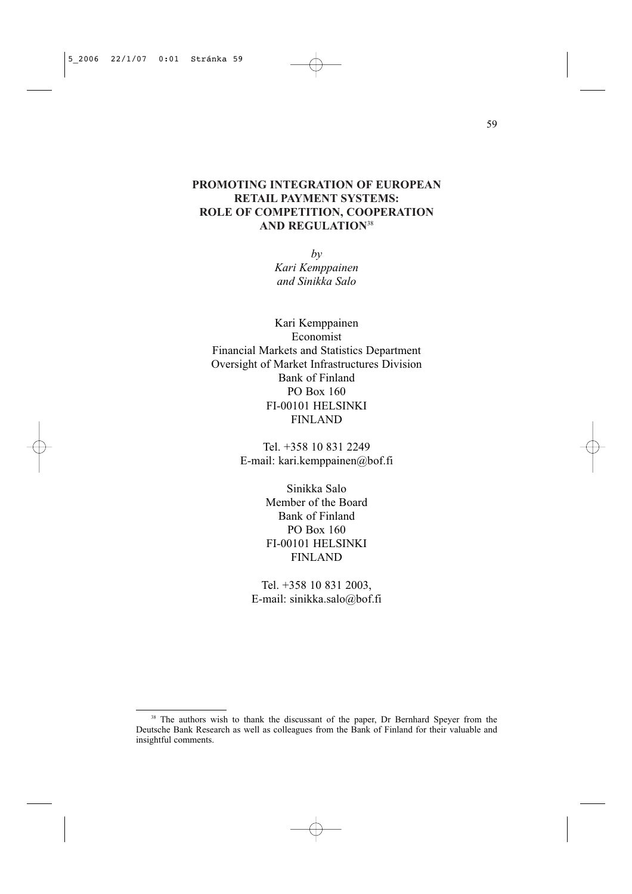## **PROMOTING INTEGRATION OF EUROPEAN RETAIL PAYMENT SYSTEMS: ROLE OF COMPETITION, COOPERATION AND REGULATION**<sup>38</sup>

 $b\nu$ 

*Kari Kemppainen and Sinikka Salo*

Kari Kemppainen Economist Financial Markets and Statistics Department Oversight of Market Infrastructures Division Bank of Finland PO Box 160 FI-00101 HELSINKI FINLAND

> Tel. +358 10 831 2249 E-mail: kari.kemppainen@bof.fi

> > Sinikka Salo Member of the Board Bank of Finland PO Box 160 FI-00101 HELSINKI FINLAND

Tel. +358 10 831 2003, E-mail: sinikka.salo@bof.fi

<sup>&</sup>lt;sup>38</sup> The authors wish to thank the discussant of the paper, Dr Bernhard Speyer from the Deutsche Bank Research as well as colleagues from the Bank of Finland for their valuable and insightful comments.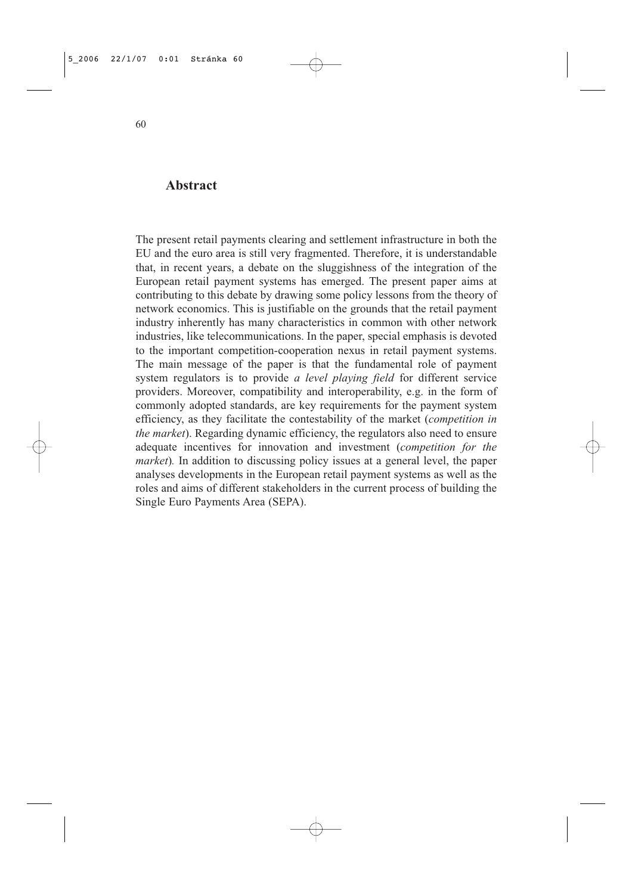**Abstract** 

The present retail payments clearing and settlement infrastructure in both the EU and the euro area is still very fragmented. Therefore, it is understandable that, in recent years, a debate on the sluggishness of the integration of the European retail payment systems has emerged. The present paper aims at contributing to this debate by drawing some policy lessons from the theory of network economics. This is justifiable on the grounds that the retail payment industry inherently has many characteristics in common with other network industries, like telecommunications. In the paper, special emphasis is devoted to the important competition-cooperation nexus in retail payment systems. The main message of the paper is that the fundamental role of payment system regulators is to provide *a level playing field* for different service providers. Moreover, compatibility and interoperability, e.g. in the form of commonly adopted standards, are key requirements for the payment system efficiency, as they facilitate the contestability of the market (*competition in the market*). Regarding dynamic efficiency, the regulators also need to ensure adequate incentives for innovation and investment (*competition for the market*). In addition to discussing policy issues at a general level, the paper analyses developments in the European retail payment systems as well as the roles and aims of different stakeholders in the current process of building the Single Euro Payments Area (SEPA).

60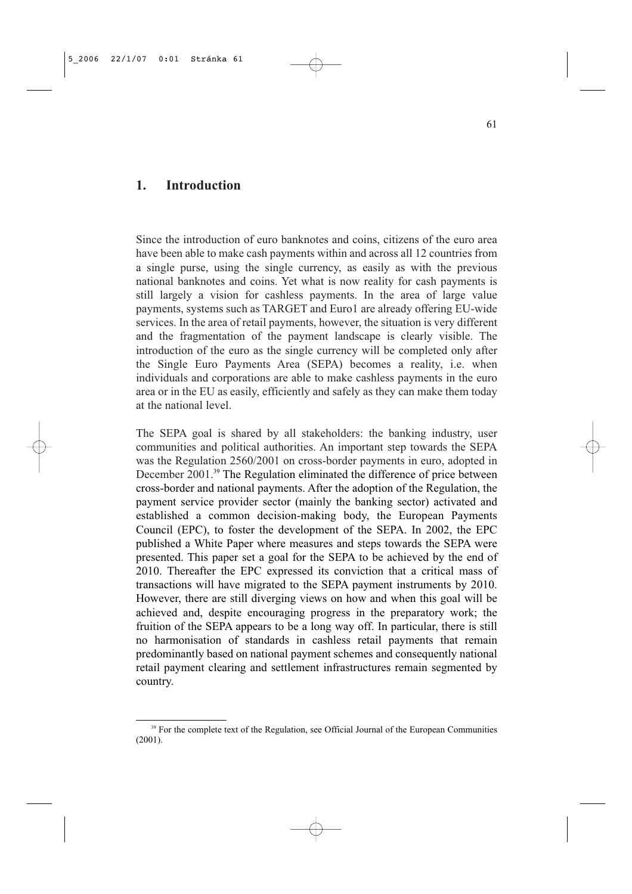# **1. Introduction**

Since the introduction of euro banknotes and coins, citizens of the euro area have been able to make cash payments within and across all 12 countries from a single purse, using the single currency, as easily as with the previous national banknotes and coins. Yet what is now reality for cash payments is still largely a vision for cashless payments. In the area of large value payments, systems such as TARGET and Euro1 are already offering EU-wide services. In the area of retail payments, however, the situation is very different and the fragmentation of the payment landscape is clearly visible. The introduction of the euro as the single currency will be completed only after the Single Euro Payments Area (SEPA) becomes a reality, i.e. when individuals and corporations are able to make cashless payments in the euro area or in the EU as easily, efficiently and safely as they can make them today at the national level.

The SEPA goal is shared by all stakeholders: the banking industry, user communities and political authorities. An important step towards the SEPA was the Regulation 2560/2001 on cross-border payments in euro, adopted in December 2001.<sup>39</sup> The Regulation eliminated the difference of price between cross-border and national payments. After the adoption of the Regulation, the payment service provider sector (mainly the banking sector) activated and established a common decision-making body, the European Payments Council (EPC), to foster the development of the SEPA. In 2002, the EPC published a White Paper where measures and steps towards the SEPA were presented. This paper set a goal for the SEPA to be achieved by the end of 2010. Thereafter the EPC expressed its conviction that a critical mass of transactions will have migrated to the SEPA payment instruments by 2010. However, there are still diverging views on how and when this goal will be achieved and, despite encouraging progress in the preparatory work; the fruition of the SEPA appears to be a long way off. In particular, there is still no harmonisation of standards in cashless retail payments that remain predominantly based on national payment schemes and consequently national retail payment clearing and settlement infrastructures remain segmented by country.

<sup>&</sup>lt;sup>39</sup> For the complete text of the Regulation, see Official Journal of the European Communities (2001).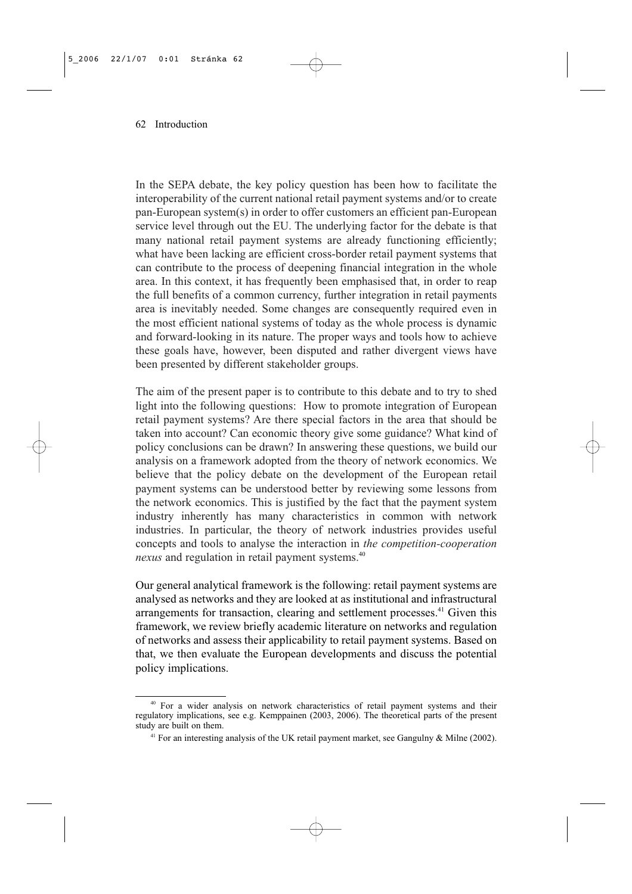#### 62 Introduction

In the SEPA debate, the key policy question has been how to facilitate the interoperability of the current national retail payment systems and/or to create pan-European system(s) in order to offer customers an efficient pan-European service level through out the EU. The underlying factor for the debate is that many national retail payment systems are already functioning efficiently; what have been lacking are efficient cross-border retail payment systems that can contribute to the process of deepening financial integration in the whole area. In this context, it has frequently been emphasised that, in order to reap the full benefits of a common currency, further integration in retail payments area is inevitably needed. Some changes are consequently required even in the most efficient national systems of today as the whole process is dynamic and forward-looking in its nature. The proper ways and tools how to achieve these goals have, however, been disputed and rather divergent views have been presented by different stakeholder groups.

The aim of the present paper is to contribute to this debate and to try to shed light into the following questions: How to promote integration of European retail payment systems? Are there special factors in the area that should be taken into account? Can economic theory give some guidance? What kind of policy conclusions can be drawn? In answering these questions, we build our analysis on a framework adopted from the theory of network economics. We believe that the policy debate on the development of the European retail payment systems can be understood better by reviewing some lessons from the network economics. This is justified by the fact that the payment system industry inherently has many characteristics in common with network industries. In particular, the theory of network industries provides useful concepts and tools to analyse the interaction in *the competition-cooperation nexus* and regulation in retail payment systems.<sup>40</sup>

Our general analytical framework is the following: retail payment systems are analysed as networks and they are looked at as institutional and infrastructural arrangements for transaction, clearing and settlement processes.<sup>41</sup> Given this framework, we review briefly academic literature on networks and regulation of networks and assess their applicability to retail payment systems. Based on that, we then evaluate the European developments and discuss the potential policy implications.

<sup>&</sup>lt;sup>40</sup> For a wider analysis on network characteristics of retail payment systems and their regulatory implications, see e.g. Kemppainen (2003, 2006). The theoretical parts of the present study are built on them.

<sup>&</sup>lt;sup>41</sup> For an interesting analysis of the UK retail payment market, see Gangulny & Milne (2002).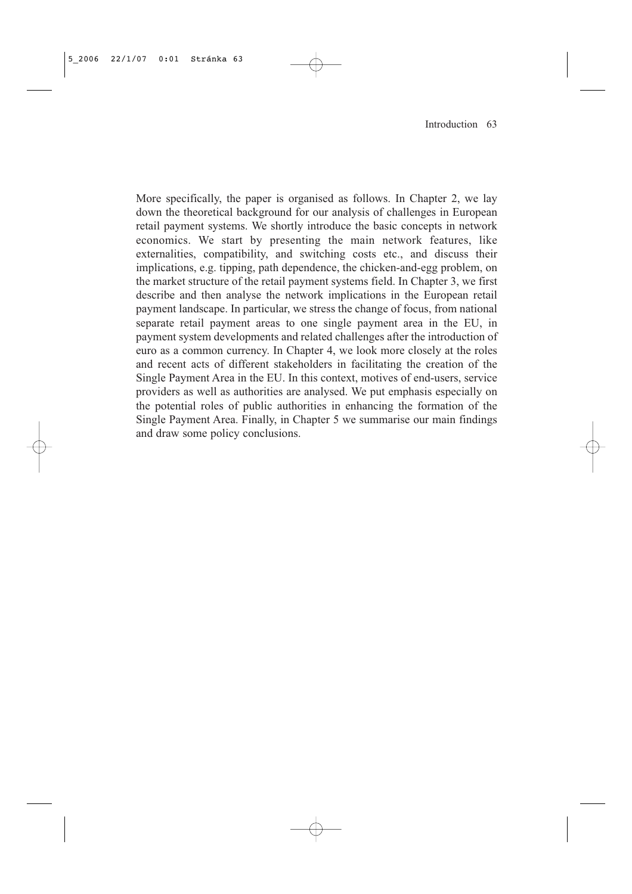Introduction 63

More specifically, the paper is organised as follows. In Chapter 2, we lay down the theoretical background for our analysis of challenges in European retail payment systems. We shortly introduce the basic concepts in network economics. We start by presenting the main network features, like externalities, compatibility, and switching costs etc., and discuss their implications, e.g. tipping, path dependence, the chicken-and-egg problem, on the market structure of the retail payment systems field. In Chapter 3, we first describe and then analyse the network implications in the European retail payment landscape. In particular, we stress the change of focus, from national separate retail payment areas to one single payment area in the EU, in payment system developments and related challenges after the introduction of euro as a common currency. In Chapter 4, we look more closely at the roles and recent acts of different stakeholders in facilitating the creation of the Single Payment Area in the EU. In this context, motives of end-users, service providers as well as authorities are analysed. We put emphasis especially on the potential roles of public authorities in enhancing the formation of the Single Payment Area. Finally, in Chapter 5 we summarise our main findings and draw some policy conclusions.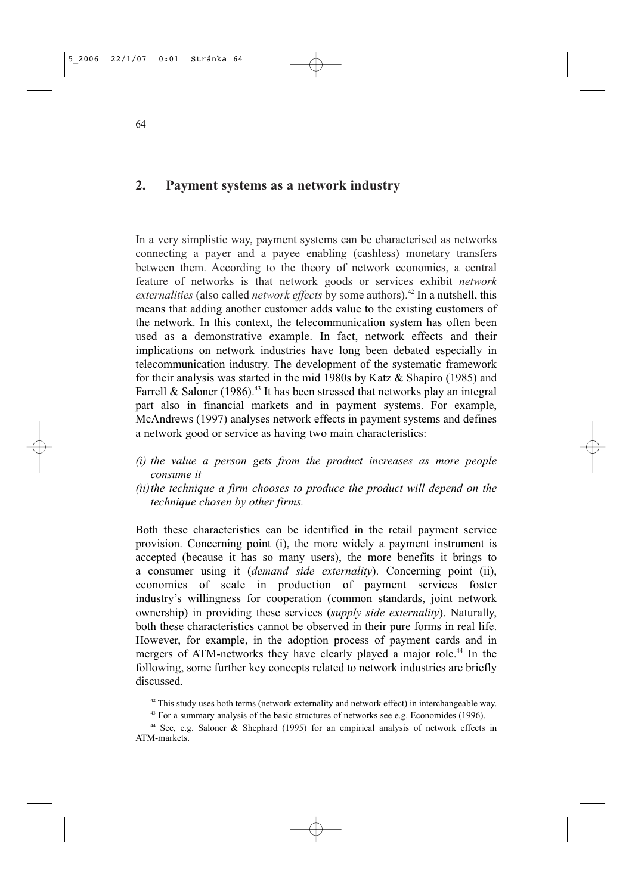In a very simplistic way, payment systems can be characterised as networks connecting a payer and a payee enabling (cashless) monetary transfers between them. According to the theory of network economics, a central feature of networks is that network goods or services exhibit *network externalities* (also called *network effects* by some authors).<sup>42</sup> In a nutshell, this means that adding another customer adds value to the existing customers of the network. In this context, the telecommunication system has often been used as a demonstrative example. In fact, network effects and their implications on network industries have long been debated especially in telecommunication industry. The development of the systematic framework for their analysis was started in the mid 1980s by Katz & Shapiro (1985) and Farrell & Saloner (1986).<sup>43</sup> It has been stressed that networks play an integral part also in financial markets and in payment systems. For example, McAndrews (1997) analyses network effects in payment systems and defines a network good or service as having two main characteristics:

- *(i) the value a person gets from the product increases as more people consume it*
- *(ii)the technique a firm chooses to produce the product will depend on the technique chosen by other firms.*

Both these characteristics can be identified in the retail payment service provision. Concerning point (i), the more widely a payment instrument is accepted (because it has so many users), the more benefits it brings to a consumer using it (*demand side externality*). Concerning point (ii), economies of scale in production of payment services foster industry's willingness for cooperation (common standards, joint network ownership) in providing these services (*supply side externality*). Naturally, both these characteristics cannot be observed in their pure forms in real life. However, for example, in the adoption process of payment cards and in mergers of ATM-networks they have clearly played a major role.<sup>44</sup> In the following, some further key concepts related to network industries are briefly discussed.

64

 $42$  This study uses both terms (network externality and network effect) in interchangeable way.

<sup>&</sup>lt;sup>43</sup> For a summary analysis of the basic structures of networks see e.g. Economides (1996).

<sup>44</sup> See, e.g. Saloner & Shephard (1995) for an empirical analysis of network effects in ATM-markets.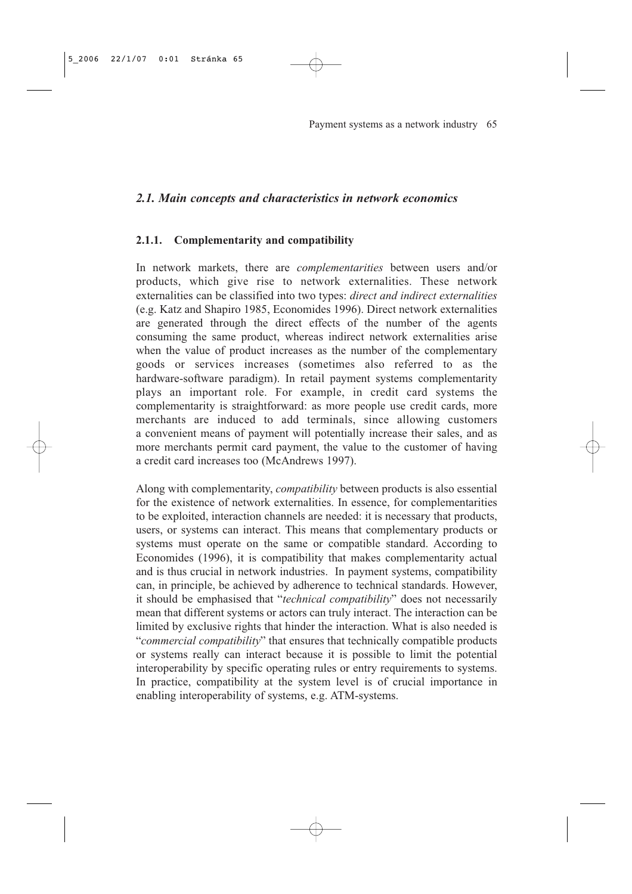### *2.1. Main concepts and characteristics in network economics*

### **2.1.1. Complementarity and compatibility**

In network markets, there are *complementarities* between users and/or products, which give rise to network externalities. These network externalities can be classified into two types: *direct and indirect externalities* (e.g. Katz and Shapiro 1985, Economides 1996). Direct network externalities are generated through the direct effects of the number of the agents consuming the same product, whereas indirect network externalities arise when the value of product increases as the number of the complementary goods or services increases (sometimes also referred to as the hardware-software paradigm). In retail payment systems complementarity plays an important role. For example, in credit card systems the complementarity is straightforward: as more people use credit cards, more merchants are induced to add terminals, since allowing customers a convenient means of payment will potentially increase their sales, and as more merchants permit card payment, the value to the customer of having a credit card increases too (McAndrews 1997).

Along with complementarity, *compatibility* between products is also essential for the existence of network externalities. In essence, for complementarities to be exploited, interaction channels are needed: it is necessary that products, users, or systems can interact. This means that complementary products or systems must operate on the same or compatible standard. According to Economides (1996), it is compatibility that makes complementarity actual and is thus crucial in network industries. In payment systems, compatibility can, in principle, be achieved by adherence to technical standards. However, it should be emphasised that "*technical compatibility*" does not necessarily mean that different systems or actors can truly interact. The interaction can be limited by exclusive rights that hinder the interaction. What is also needed is "*commercial compatibility*" that ensures that technically compatible products or systems really can interact because it is possible to limit the potential interoperability by specific operating rules or entry requirements to systems. In practice, compatibility at the system level is of crucial importance in enabling interoperability of systems, e.g. ATM-systems.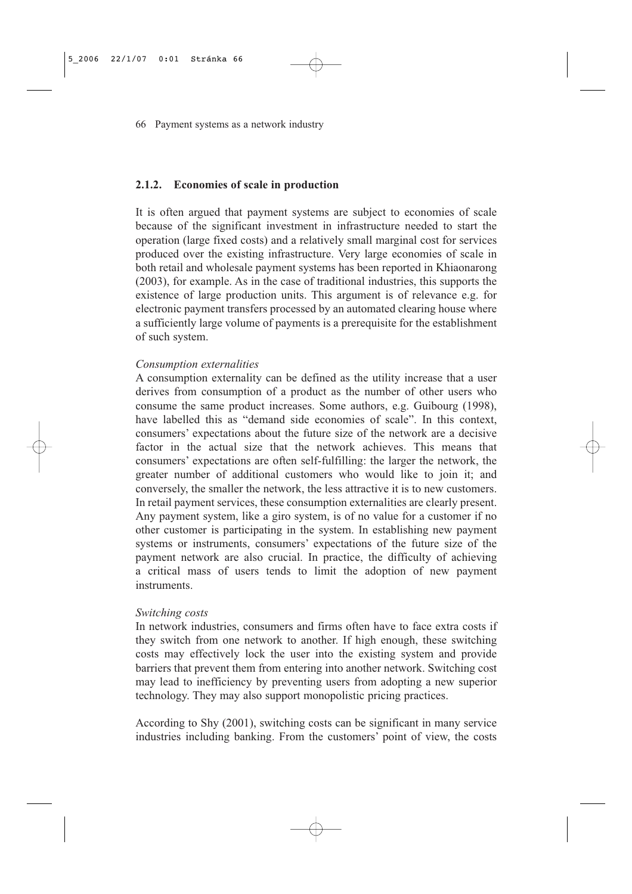## **2.1.2. Economies of scale in production**

It is often argued that payment systems are subject to economies of scale because of the significant investment in infrastructure needed to start the operation (large fixed costs) and a relatively small marginal cost for services produced over the existing infrastructure. Very large economies of scale in both retail and wholesale payment systems has been reported in Khiaonarong (2003), for example. As in the case of traditional industries, this supports the existence of large production units. This argument is of relevance e.g. for electronic payment transfers processed by an automated clearing house where a sufficiently large volume of payments is a prerequisite for the establishment of such system.

#### *Consumption externalities*

A consumption externality can be defined as the utility increase that a user derives from consumption of a product as the number of other users who consume the same product increases. Some authors, e.g. Guibourg (1998), have labelled this as "demand side economies of scale". In this context, consumers' expectations about the future size of the network are a decisive factor in the actual size that the network achieves. This means that consumers' expectations are often self-fulfilling: the larger the network, the greater number of additional customers who would like to join it; and conversely, the smaller the network, the less attractive it is to new customers. In retail payment services, these consumption externalities are clearly present. Any payment system, like a giro system, is of no value for a customer if no other customer is participating in the system. In establishing new payment systems or instruments, consumers' expectations of the future size of the payment network are also crucial. In practice, the difficulty of achieving a critical mass of users tends to limit the adoption of new payment instruments.

### *Switching costs*

In network industries, consumers and firms often have to face extra costs if they switch from one network to another. If high enough, these switching costs may effectively lock the user into the existing system and provide barriers that prevent them from entering into another network. Switching cost may lead to inefficiency by preventing users from adopting a new superior technology. They may also support monopolistic pricing practices.

According to Shy (2001), switching costs can be significant in many service industries including banking. From the customers' point of view, the costs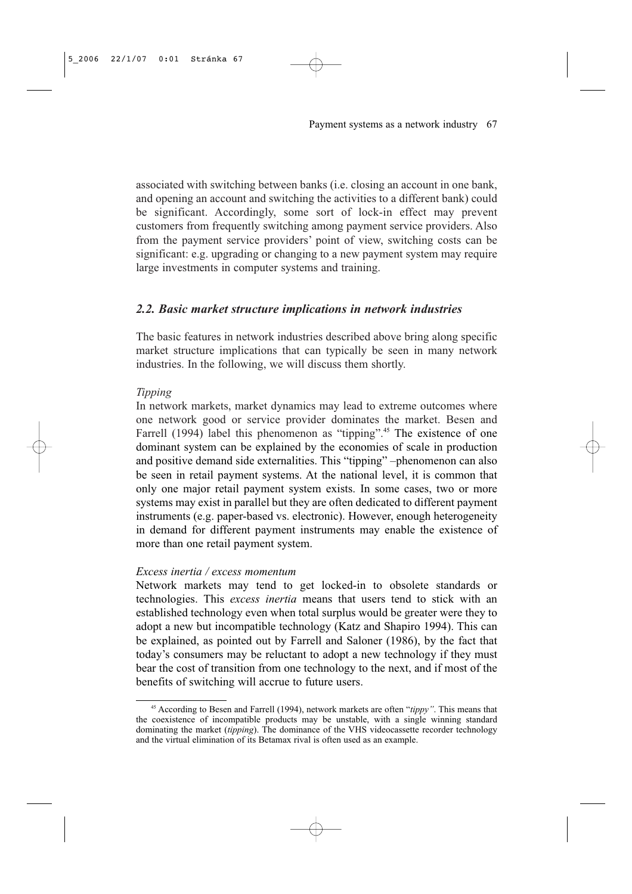associated with switching between banks (i.e. closing an account in one bank, and opening an account and switching the activities to a different bank) could be significant. Accordingly, some sort of lock-in effect may prevent customers from frequently switching among payment service providers. Also from the payment service providers' point of view, switching costs can be significant: e.g. upgrading or changing to a new payment system may require large investments in computer systems and training.

## *2.2. Basic market structure implications in network industries*

The basic features in network industries described above bring along specific market structure implications that can typically be seen in many network industries. In the following, we will discuss them shortly.

## *Tipping*

In network markets, market dynamics may lead to extreme outcomes where one network good or service provider dominates the market. Besen and Farrell (1994) label this phenomenon as "tipping".<sup>45</sup> The existence of one dominant system can be explained by the economies of scale in production and positive demand side externalities. This "tipping" –phenomenon can also be seen in retail payment systems. At the national level, it is common that only one major retail payment system exists. In some cases, two or more systems may exist in parallel but they are often dedicated to different payment instruments (e.g. paper-based vs. electronic). However, enough heterogeneity in demand for different payment instruments may enable the existence of more than one retail payment system.

### *Excess inertia / excess momentum*

Network markets may tend to get locked-in to obsolete standards or technologies. This *excess inertia* means that users tend to stick with an established technology even when total surplus would be greater were they to adopt a new but incompatible technology (Katz and Shapiro 1994). This can be explained, as pointed out by Farrell and Saloner (1986), by the fact that today's consumers may be reluctant to adopt a new technology if they must bear the cost of transition from one technology to the next, and if most of the benefits of switching will accrue to future users.

<sup>45</sup> According to Besen and Farrell (1994), network markets are often "*tippy"*. This means that the coexistence of incompatible products may be unstable, with a single winning standard dominating the market (*tipping*). The dominance of the VHS videocassette recorder technology and the virtual elimination of its Betamax rival is often used as an example.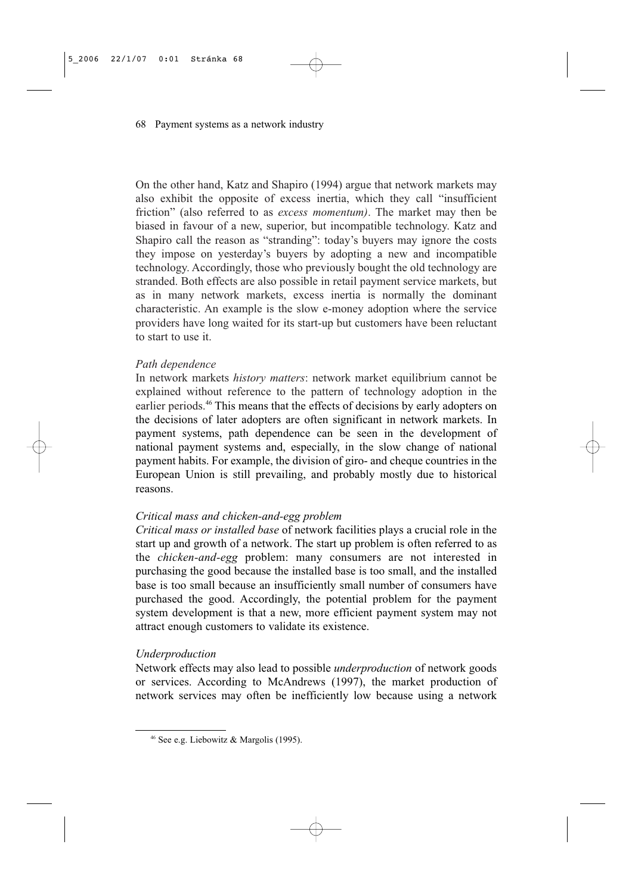On the other hand, Katz and Shapiro (1994) argue that network markets may also exhibit the opposite of excess inertia, which they call "insufficient friction" (also referred to as *excess momentum)*. The market may then be biased in favour of a new, superior, but incompatible technology. Katz and Shapiro call the reason as "stranding": today's buyers may ignore the costs they impose on yesterday's buyers by adopting a new and incompatible technology. Accordingly, those who previously bought the old technology are stranded. Both effects are also possible in retail payment service markets, but as in many network markets, excess inertia is normally the dominant characteristic. An example is the slow e-money adoption where the service providers have long waited for its start-up but customers have been reluctant to start to use it.

#### *Path dependence*

In network markets *history matters*: network market equilibrium cannot be explained without reference to the pattern of technology adoption in the earlier periods.<sup>46</sup> This means that the effects of decisions by early adopters on the decisions of later adopters are often significant in network markets. In payment systems, path dependence can be seen in the development of national payment systems and, especially, in the slow change of national payment habits. For example, the division of giro- and cheque countries in the European Union is still prevailing, and probably mostly due to historical reasons.

## *Critical mass and chicken-and-egg problem*

*Critical mass or installed base* of network facilities plays a crucial role in the start up and growth of a network. The start up problem is often referred to as the *chicken-and-egg* problem: many consumers are not interested in purchasing the good because the installed base is too small, and the installed base is too small because an insufficiently small number of consumers have purchased the good. Accordingly, the potential problem for the payment system development is that a new, more efficient payment system may not attract enough customers to validate its existence.

### *Underproduction*

Network effects may also lead to possible *underproduction* of network goods or services. According to McAndrews (1997), the market production of network services may often be inefficiently low because using a network

<sup>46</sup> See e.g. Liebowitz & Margolis (1995).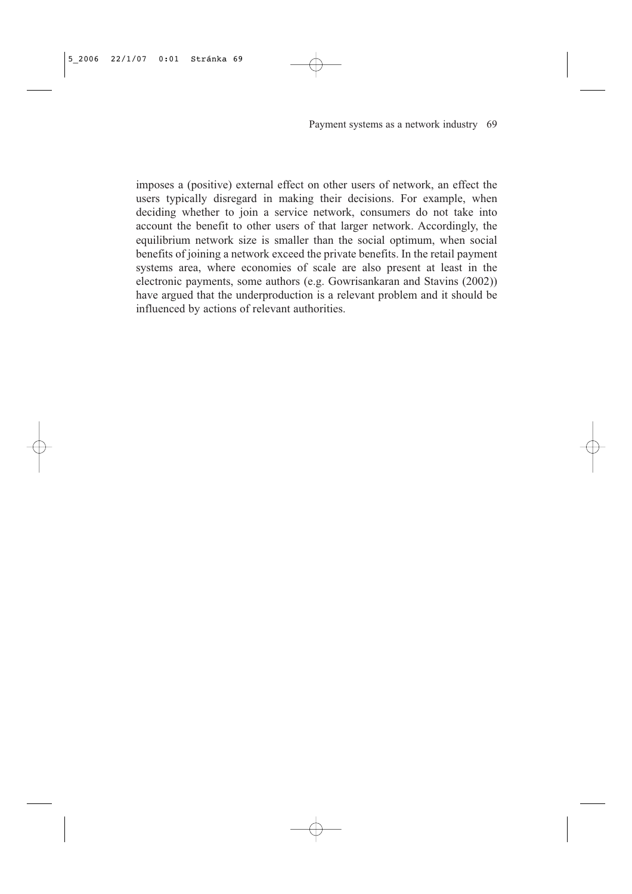imposes a (positive) external effect on other users of network, an effect the users typically disregard in making their decisions. For example, when deciding whether to join a service network, consumers do not take into account the benefit to other users of that larger network. Accordingly, the equilibrium network size is smaller than the social optimum, when social benefits of joining a network exceed the private benefits. In the retail payment systems area, where economies of scale are also present at least in the electronic payments, some authors (e.g. Gowrisankaran and Stavins (2002)) have argued that the underproduction is a relevant problem and it should be influenced by actions of relevant authorities.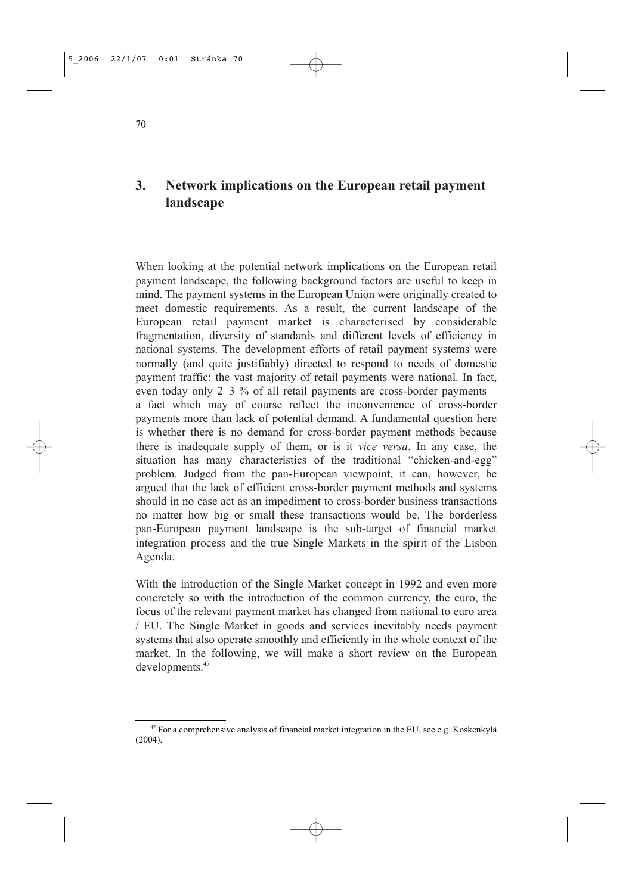# **3. Network implications on the European retail payment landscape**

When looking at the potential network implications on the European retail payment landscape, the following background factors are useful to keep in mind. The payment systems in the European Union were originally created to meet domestic requirements. As a result, the current landscape of the European retail payment market is characterised by considerable fragmentation, diversity of standards and different levels of efficiency in national systems. The development efforts of retail payment systems were normally (and quite justifiably) directed to respond to needs of domestic payment traffic: the vast majority of retail payments were national. In fact, even today only 2–3 % of all retail payments are cross-border payments – a fact which may of course reflect the inconvenience of cross-border payments more than lack of potential demand. A fundamental question here is whether there is no demand for cross-border payment methods because there is inadequate supply of them, or is it *vice versa*. In any case, the situation has many characteristics of the traditional "chicken-and-egg" problem. Judged from the pan-European viewpoint, it can, however, be argued that the lack of efficient cross-border payment methods and systems should in no case act as an impediment to cross-border business transactions no matter how big or small these transactions would be. The borderless pan-European payment landscape is the sub-target of financial market integration process and the true Single Markets in the spirit of the Lisbon Agenda.

With the introduction of the Single Market concept in 1992 and even more concretely so with the introduction of the common currency, the euro, the focus of the relevant payment market has changed from national to euro area / EU. The Single Market in goods and services inevitably needs payment systems that also operate smoothly and efficiently in the whole context of the market. In the following, we will make a short review on the European developments.<sup>47</sup>

## 70

<sup>&</sup>lt;sup>47</sup> For a comprehensive analysis of financial market integration in the EU, see e.g. Koskenkylä (2004).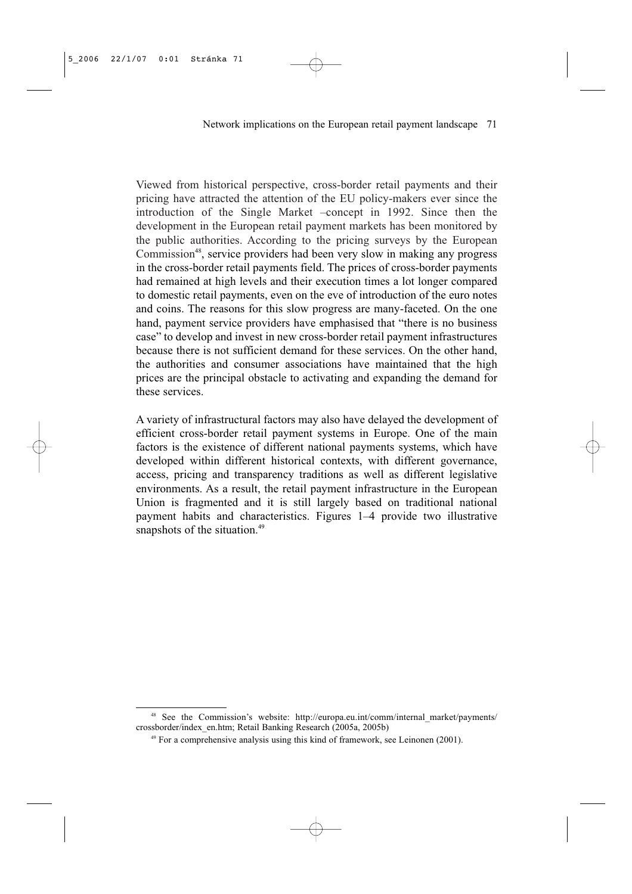Network implications on the European retail payment landscape 71

Viewed from historical perspective, cross-border retail payments and their pricing have attracted the attention of the EU policy-makers ever since the introduction of the Single Market –concept in 1992. Since then the development in the European retail payment markets has been monitored by the public authorities. According to the pricing surveys by the European Commission<sup>48</sup>, service providers had been very slow in making any progress in the cross-border retail payments field. The prices of cross-border payments had remained at high levels and their execution times a lot longer compared to domestic retail payments, even on the eve of introduction of the euro notes and coins. The reasons for this slow progress are many-faceted. On the one hand, payment service providers have emphasised that "there is no business case" to develop and invest in new cross-border retail payment infrastructures because there is not sufficient demand for these services. On the other hand, the authorities and consumer associations have maintained that the high prices are the principal obstacle to activating and expanding the demand for these services.

A variety of infrastructural factors may also have delayed the development of efficient cross-border retail payment systems in Europe. One of the main factors is the existence of different national payments systems, which have developed within different historical contexts, with different governance, access, pricing and transparency traditions as well as different legislative environments. As a result, the retail payment infrastructure in the European Union is fragmented and it is still largely based on traditional national payment habits and characteristics. Figures 1–4 provide two illustrative snapshots of the situation.<sup>49</sup>

<sup>&</sup>lt;sup>48</sup> See the Commission's website: http://europa.eu.int/comm/internal\_market/payments/<br>crossborder/index en.htm; Retail Banking Research (2005a, 2005b)

 $49$  For a comprehensive analysis using this kind of framework, see Leinonen (2001).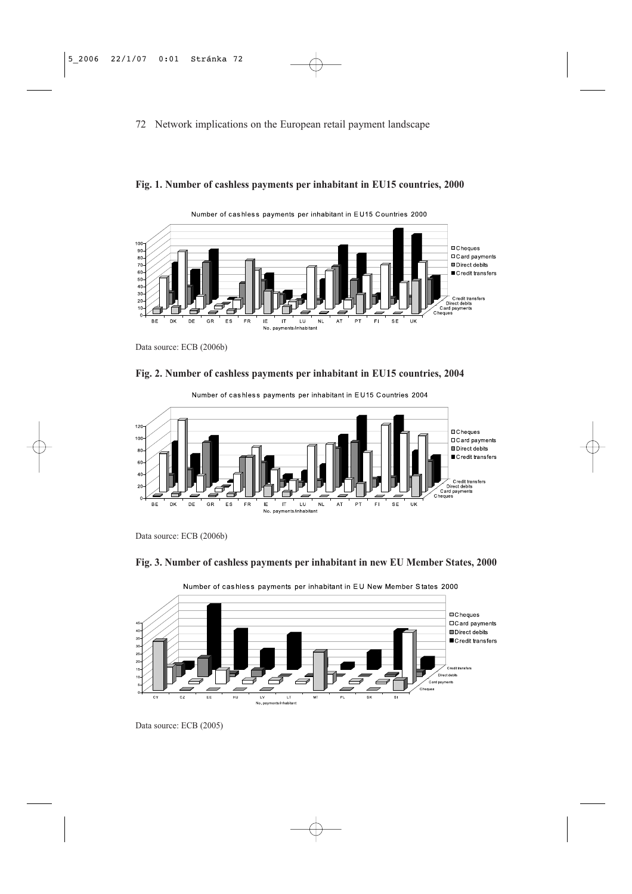72 Network implications on the European retail payment landscape

### **Fig. 1. Number of cashless payments per inhabitant in EU15 countries, 2000**



Data source: ECB (2006b)



Number of cashless payments per inhabitant in EU15 Countries 2004



Data source: ECB (2006b)





Number of cashless payments per inhabitant in EU New Member States 2000

Data source: ECB (2005)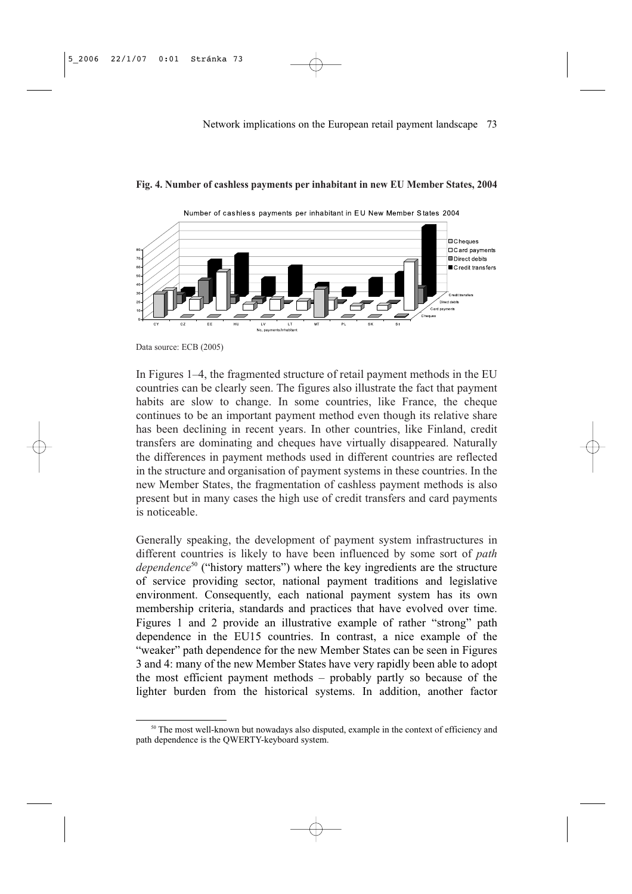



Data source: ECB (2005)

In Figures 1–4, the fragmented structure of retail payment methods in the EU countries can be clearly seen. The figures also illustrate the fact that payment habits are slow to change. In some countries, like France, the cheque continues to be an important payment method even though its relative share has been declining in recent years. In other countries, like Finland, credit transfers are dominating and cheques have virtually disappeared. Naturally the differences in payment methods used in different countries are reflected in the structure and organisation of payment systems in these countries. In the new Member States, the fragmentation of cashless payment methods is also present but in many cases the high use of credit transfers and card payments is noticeable.

Generally speaking, the development of payment system infrastructures in different countries is likely to have been influenced by some sort of *path dependence*<sup>50</sup> ("history matters") where the key ingredients are the structure of service providing sector, national payment traditions and legislative environment. Consequently, each national payment system has its own membership criteria, standards and practices that have evolved over time. Figures 1 and 2 provide an illustrative example of rather "strong" path dependence in the EU15 countries. In contrast, a nice example of the "weaker" path dependence for the new Member States can be seen in Figures 3 and 4: many of the new Member States have very rapidly been able to adopt the most efficient payment methods – probably partly so because of the lighter burden from the historical systems. In addition, another factor

<sup>&</sup>lt;sup>50</sup> The most well-known but nowadays also disputed, example in the context of efficiency and path dependence is the QWERTY-keyboard system.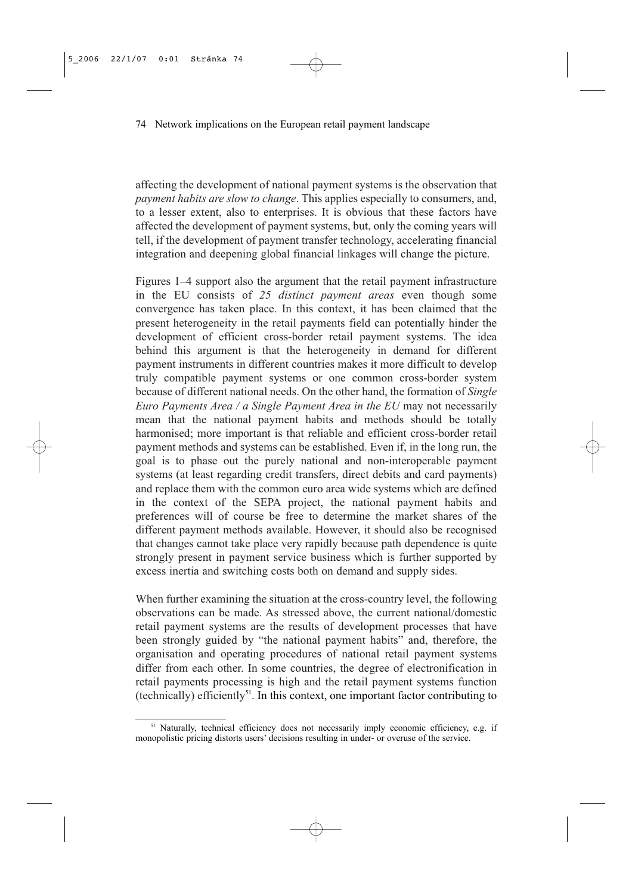affecting the development of national payment systems is the observation that *payment habits are slow to change*. This applies especially to consumers, and, to a lesser extent, also to enterprises. It is obvious that these factors have affected the development of payment systems, but, only the coming years will tell, if the development of payment transfer technology, accelerating financial integration and deepening global financial linkages will change the picture.

Figures 1–4 support also the argument that the retail payment infrastructure in the EU consists of *25 distinct payment areas* even though some convergence has taken place. In this context, it has been claimed that the present heterogeneity in the retail payments field can potentially hinder the development of efficient cross-border retail payment systems. The idea behind this argument is that the heterogeneity in demand for different payment instruments in different countries makes it more difficult to develop truly compatible payment systems or one common cross-border system because of different national needs. On the other hand, the formation of *Single Euro Payments Area / a Single Payment Area in the EU* may not necessarily mean that the national payment habits and methods should be totally harmonised; more important is that reliable and efficient cross-border retail payment methods and systems can be established. Even if, in the long run, the goal is to phase out the purely national and non-interoperable payment systems (at least regarding credit transfers, direct debits and card payments) and replace them with the common euro area wide systems which are defined in the context of the SEPA project, the national payment habits and preferences will of course be free to determine the market shares of the different payment methods available. However, it should also be recognised that changes cannot take place very rapidly because path dependence is quite strongly present in payment service business which is further supported by excess inertia and switching costs both on demand and supply sides.

When further examining the situation at the cross-country level, the following observations can be made. As stressed above, the current national/domestic retail payment systems are the results of development processes that have been strongly guided by "the national payment habits" and, therefore, the organisation and operating procedures of national retail payment systems differ from each other. In some countries, the degree of electronification in retail payments processing is high and the retail payment systems function (technically) efficiently<sup>51</sup>. In this context, one important factor contributing to

<sup>&</sup>lt;sup>51</sup> Naturally, technical efficiency does not necessarily imply economic efficiency, e.g. if monopolistic pricing distorts users' decisions resulting in under- or overuse of the service.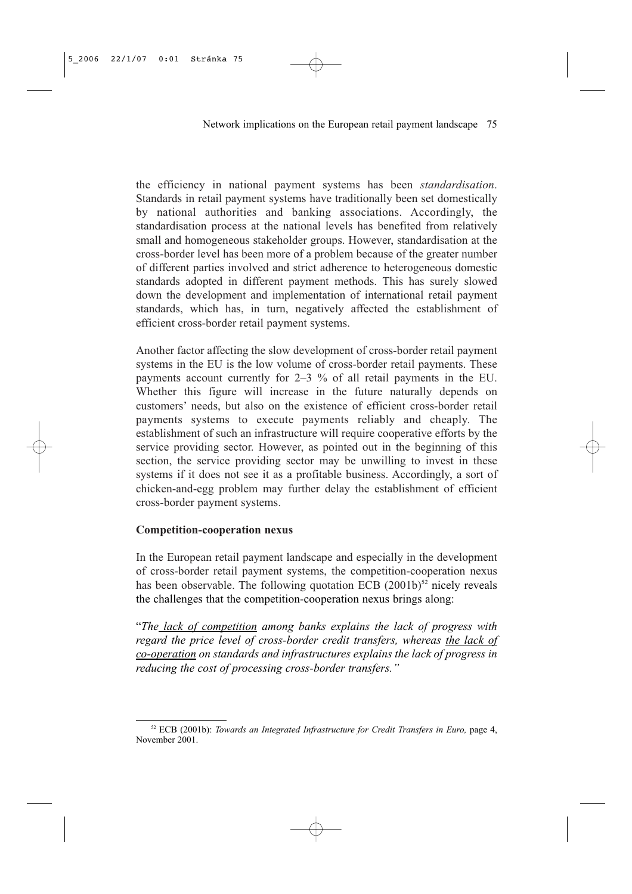the efficiency in national payment systems has been *standardisation*. Standards in retail payment systems have traditionally been set domestically by national authorities and banking associations. Accordingly, the standardisation process at the national levels has benefited from relatively small and homogeneous stakeholder groups. However, standardisation at the cross-border level has been more of a problem because of the greater number of different parties involved and strict adherence to heterogeneous domestic standards adopted in different payment methods. This has surely slowed down the development and implementation of international retail payment standards, which has, in turn, negatively affected the establishment of efficient cross-border retail payment systems.

Another factor affecting the slow development of cross-border retail payment systems in the EU is the low volume of cross-border retail payments. These payments account currently for 2–3 % of all retail payments in the EU. Whether this figure will increase in the future naturally depends on customers' needs, but also on the existence of efficient cross-border retail payments systems to execute payments reliably and cheaply. The establishment of such an infrastructure will require cooperative efforts by the service providing sector. However, as pointed out in the beginning of this section, the service providing sector may be unwilling to invest in these systems if it does not see it as a profitable business. Accordingly, a sort of chicken-and-egg problem may further delay the establishment of efficient cross-border payment systems.

#### **Competition-cooperation nexus**

In the European retail payment landscape and especially in the development of cross-border retail payment systems, the competition-cooperation nexus has been observable. The following quotation ECB  $(2001b)^{52}$  nicely reveals the challenges that the competition-cooperation nexus brings along:

"*The lack of competition among banks explains the lack of progress with regard the price level of cross-border credit transfers, whereas the lack of co-operation on standards and infrastructures explains the lack of progress in reducing the cost of processing cross-border transfers."*

<sup>52</sup> ECB (2001b): *Towards an Integrated Infrastructure for Credit Transfers in Euro,* page 4, November 2001.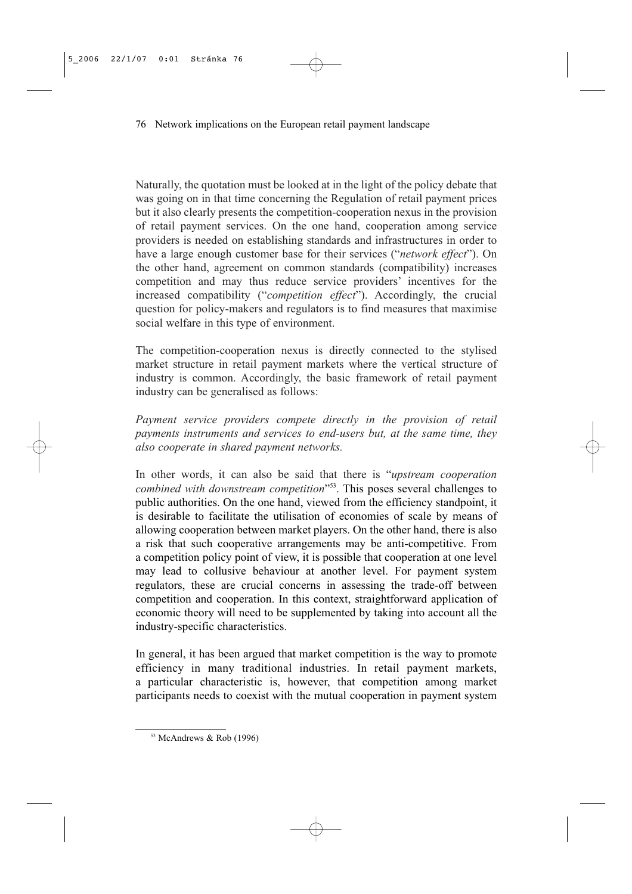Naturally, the quotation must be looked at in the light of the policy debate that was going on in that time concerning the Regulation of retail payment prices but it also clearly presents the competition-cooperation nexus in the provision of retail payment services. On the one hand, cooperation among service providers is needed on establishing standards and infrastructures in order to have a large enough customer base for their services ("*network effect*"). On the other hand, agreement on common standards (compatibility) increases competition and may thus reduce service providers' incentives for the increased compatibility ("*competition effect*"). Accordingly, the crucial question for policy-makers and regulators is to find measures that maximise social welfare in this type of environment.

The competition-cooperation nexus is directly connected to the stylised market structure in retail payment markets where the vertical structure of industry is common. Accordingly, the basic framework of retail payment industry can be generalised as follows:

*Payment service providers compete directly in the provision of retail payments instruments and services to end-users but, at the same time, they also cooperate in shared payment networks.* 

In other words, it can also be said that there is "*upstream cooperation combined with downstream competition*"53. This poses several challenges to public authorities. On the one hand, viewed from the efficiency standpoint, it is desirable to facilitate the utilisation of economies of scale by means of allowing cooperation between market players. On the other hand, there is also a risk that such cooperative arrangements may be anti-competitive. From a competition policy point of view, it is possible that cooperation at one level may lead to collusive behaviour at another level. For payment system regulators, these are crucial concerns in assessing the trade-off between competition and cooperation. In this context, straightforward application of economic theory will need to be supplemented by taking into account all the industry-specific characteristics.

In general, it has been argued that market competition is the way to promote efficiency in many traditional industries. In retail payment markets, a particular characteristic is, however, that competition among market participants needs to coexist with the mutual cooperation in payment system

 $53$  McAndrews & Rob (1996)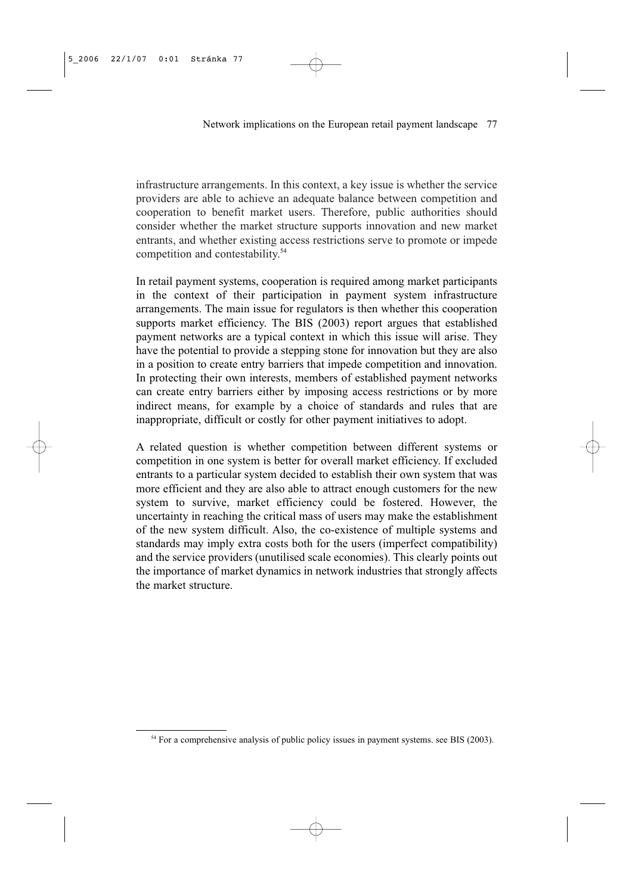infrastructure arrangements. In this context, a key issue is whether the service providers are able to achieve an adequate balance between competition and cooperation to benefit market users. Therefore, public authorities should consider whether the market structure supports innovation and new market entrants, and whether existing access restrictions serve to promote or impede competition and contestability.54

In retail payment systems, cooperation is required among market participants in the context of their participation in payment system infrastructure arrangements. The main issue for regulators is then whether this cooperation supports market efficiency. The BIS (2003) report argues that established payment networks are a typical context in which this issue will arise. They have the potential to provide a stepping stone for innovation but they are also in a position to create entry barriers that impede competition and innovation. In protecting their own interests, members of established payment networks can create entry barriers either by imposing access restrictions or by more indirect means, for example by a choice of standards and rules that are inappropriate, difficult or costly for other payment initiatives to adopt.

A related question is whether competition between different systems or competition in one system is better for overall market efficiency. If excluded entrants to a particular system decided to establish their own system that was more efficient and they are also able to attract enough customers for the new system to survive, market efficiency could be fostered. However, the uncertainty in reaching the critical mass of users may make the establishment of the new system difficult. Also, the co-existence of multiple systems and standards may imply extra costs both for the users (imperfect compatibility) and the service providers (unutilised scale economies). This clearly points out the importance of market dynamics in network industries that strongly affects the market structure.

 $54$  For a comprehensive analysis of public policy issues in payment systems, see BIS (2003).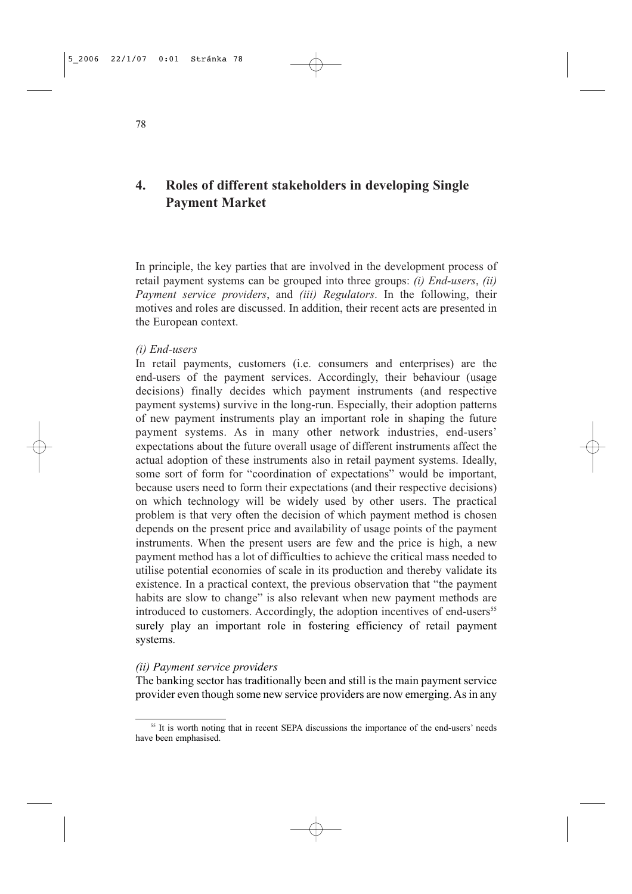In principle, the key parties that are involved in the development process of retail payment systems can be grouped into three groups: *(i) End-users*, *(ii) Payment service providers*, and *(iii) Regulators*. In the following, their motives and roles are discussed. In addition, their recent acts are presented in the European context.

## *(i) End-users*

In retail payments, customers (i.e. consumers and enterprises) are the end-users of the payment services. Accordingly, their behaviour (usage decisions) finally decides which payment instruments (and respective payment systems) survive in the long-run. Especially, their adoption patterns of new payment instruments play an important role in shaping the future payment systems. As in many other network industries, end-users' expectations about the future overall usage of different instruments affect the actual adoption of these instruments also in retail payment systems. Ideally, some sort of form for "coordination of expectations" would be important, because users need to form their expectations (and their respective decisions) on which technology will be widely used by other users. The practical problem is that very often the decision of which payment method is chosen depends on the present price and availability of usage points of the payment instruments. When the present users are few and the price is high, a new payment method has a lot of difficulties to achieve the critical mass needed to utilise potential economies of scale in its production and thereby validate its existence. In a practical context, the previous observation that "the payment habits are slow to change" is also relevant when new payment methods are introduced to customers. Accordingly, the adoption incentives of end-users<sup>55</sup> surely play an important role in fostering efficiency of retail payment systems.

# *(ii) Payment service providers*

The banking sector has traditionally been and still is the main payment service provider even though some new service providers are now emerging. As in any

## 78

<sup>&</sup>lt;sup>55</sup> It is worth noting that in recent SEPA discussions the importance of the end-users' needs have been emphasised.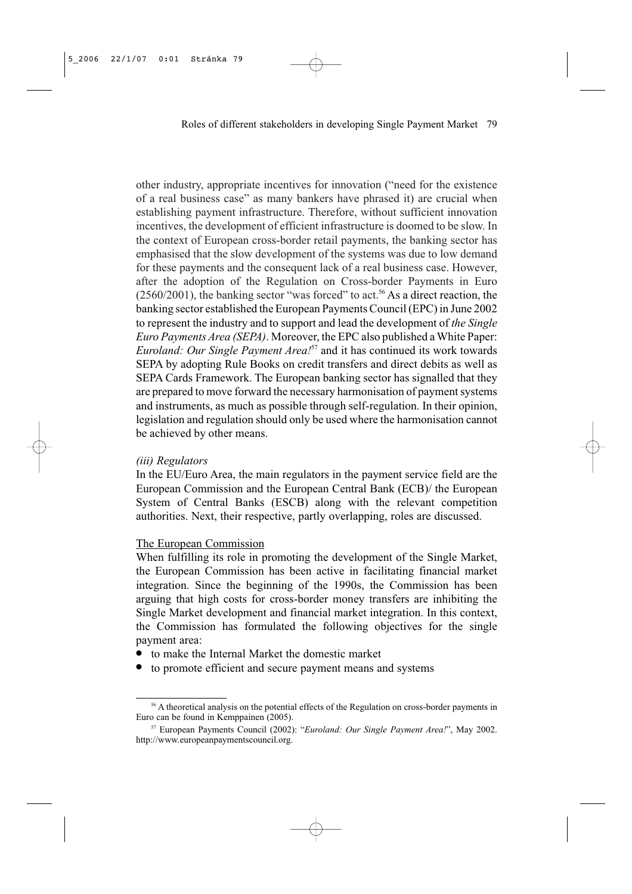other industry, appropriate incentives for innovation ("need for the existence of a real business case" as many bankers have phrased it) are crucial when establishing payment infrastructure. Therefore, without sufficient innovation incentives, the development of efficient infrastructure is doomed to be slow. In the context of European cross-border retail payments, the banking sector has emphasised that the slow development of the systems was due to low demand for these payments and the consequent lack of a real business case. However, after the adoption of the Regulation on Cross-border Payments in Euro  $(2560/2001)$ , the banking sector "was forced" to act.<sup>56</sup> As a direct reaction, the banking sector established the European Payments Council (EPC) in June 2002 to represent the industry and to support and lead the development of *the Single Euro Payments Area (SEPA)*. Moreover, the EPC also published a White Paper: *Euroland: Our Single Payment Area!*<sup>57</sup> and it has continued its work towards SEPA by adopting Rule Books on credit transfers and direct debits as well as SEPA Cards Framework. The European banking sector has signalled that they are prepared to move forward the necessary harmonisation of payment systems and instruments, as much as possible through self-regulation. In their opinion, legislation and regulation should only be used where the harmonisation cannot be achieved by other means.

#### *(iii) Regulators*

In the EU/Euro Area, the main regulators in the payment service field are the European Commission and the European Central Bank (ECB)/ the European System of Central Banks (ESCB) along with the relevant competition authorities. Next, their respective, partly overlapping, roles are discussed.

#### The European Commission

When fulfilling its role in promoting the development of the Single Market, the European Commission has been active in facilitating financial market integration. Since the beginning of the 1990s, the Commission has been arguing that high costs for cross-border money transfers are inhibiting the Single Market development and financial market integration. In this context, the Commission has formulated the following objectives for the single payment area:

- to make the Internal Market the domestic market
- to promote efficient and secure payment means and systems

<sup>&</sup>lt;sup>56</sup> A theoretical analysis on the potential effects of the Regulation on cross-border payments in Euro can be found in Kemppainen (2005).

<sup>57</sup> European Payments Council (2002): "*Euroland: Our Single Payment Area!*", May 2002. http://www.europeanpaymentscouncil.org.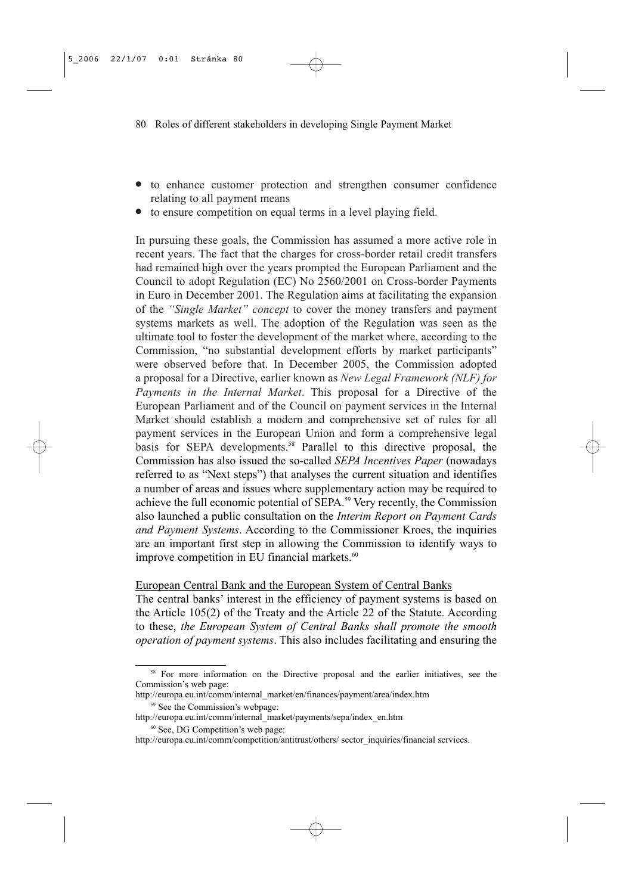- to enhance customer protection and strengthen consumer confidence relating to all payment means
- to ensure competition on equal terms in a level playing field.

In pursuing these goals, the Commission has assumed a more active role in recent years. The fact that the charges for cross-border retail credit transfers had remained high over the years prompted the European Parliament and the Council to adopt Regulation (EC) No 2560/2001 on Cross-border Payments in Euro in December 2001. The Regulation aims at facilitating the expansion of the *"Single Market" concept* to cover the money transfers and payment systems markets as well. The adoption of the Regulation was seen as the ultimate tool to foster the development of the market where, according to the Commission, "no substantial development efforts by market participants" were observed before that. In December 2005, the Commission adopted a proposal for a Directive, earlier known as *New Legal Framework (NLF) for Payments in the Internal Market*. This proposal for a Directive of the European Parliament and of the Council on payment services in the Internal Market should establish a modern and comprehensive set of rules for all payment services in the European Union and form a comprehensive legal basis for SEPA developments.<sup>58</sup> Parallel to this directive proposal, the Commission has also issued the so-called *SEPA Incentives Paper* (nowadays referred to as "Next steps") that analyses the current situation and identifies a number of areas and issues where supplementary action may be required to achieve the full economic potential of SEPA.<sup>59</sup> Very recently, the Commission also launched a public consultation on the *Interim Report on Payment Cards and Payment Systems*. According to the Commissioner Kroes, the inquiries are an important first step in allowing the Commission to identify ways to improve competition in EU financial markets.<sup>60</sup>

European Central Bank and the European System of Central Banks The central banks' interest in the efficiency of payment systems is based on the Article 105(2) of the Treaty and the Article 22 of the Statute. According to these, *the European System of Central Banks shall promote the smooth operation of payment systems*. This also includes facilitating and ensuring the

http://europa.eu.int/comm/internal\_market/payments/sepa/index\_en.htm <sup>60</sup> See, DG Competition's web page:

<sup>58</sup> For more information on the Directive proposal and the earlier initiatives, see the Commission's web page:

http://europa.eu.int/comm/internal\_market/en/finances/payment/area/index.htm <sup>59</sup> See the Commission's webpage:

http://europa.eu.int/comm/competition/antitrust/others/ sector\_inquiries/financial services.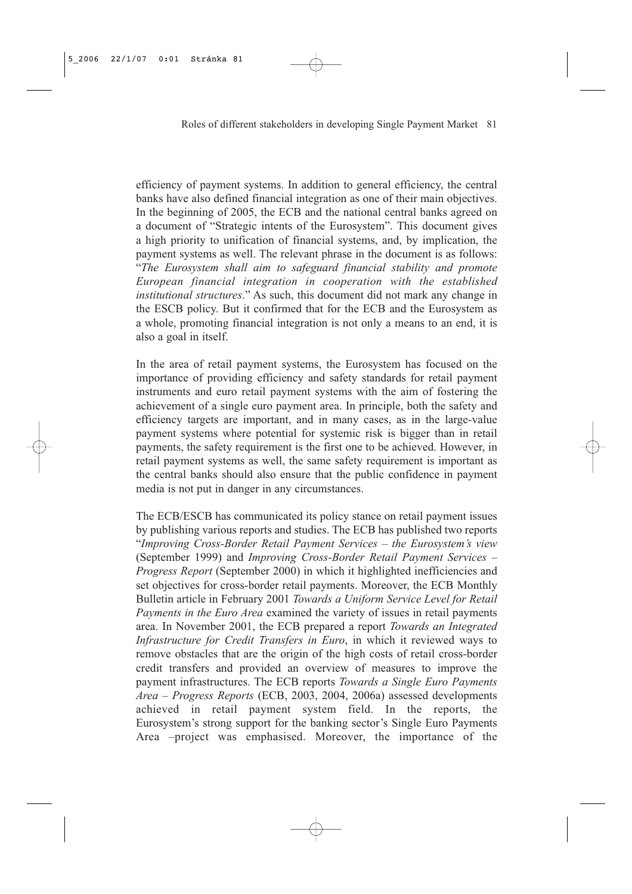efficiency of payment systems. In addition to general efficiency, the central banks have also defined financial integration as one of their main objectives. In the beginning of 2005, the ECB and the national central banks agreed on a document of "Strategic intents of the Eurosystem". This document gives a high priority to unification of financial systems, and, by implication, the payment systems as well. The relevant phrase in the document is as follows: "*The Eurosystem shall aim to safeguard financial stability and promote European financial integration in cooperation with the established institutional structures*." As such, this document did not mark any change in the ESCB policy. But it confirmed that for the ECB and the Eurosystem as a whole, promoting financial integration is not only a means to an end, it is also a goal in itself.

In the area of retail payment systems, the Eurosystem has focused on the importance of providing efficiency and safety standards for retail payment instruments and euro retail payment systems with the aim of fostering the achievement of a single euro payment area. In principle, both the safety and efficiency targets are important, and in many cases, as in the large-value payment systems where potential for systemic risk is bigger than in retail payments, the safety requirement is the first one to be achieved. However, in retail payment systems as well, the same safety requirement is important as the central banks should also ensure that the public confidence in payment media is not put in danger in any circumstances.

The ECB/ESCB has communicated its policy stance on retail payment issues by publishing various reports and studies. The ECB has published two reports "*Improving Cross-Border Retail Payment Services – the Eurosystem's view* (September 1999) and *Improving Cross-Border Retail Payment Services – Progress Report* (September 2000) in which it highlighted inefficiencies and set objectives for cross-border retail payments. Moreover, the ECB Monthly Bulletin article in February 2001 *Towards a Uniform Service Level for Retail Payments in the Euro Area* examined the variety of issues in retail payments area. In November 2001, the ECB prepared a report *Towards an Integrated Infrastructure for Credit Transfers in Euro*, in which it reviewed ways to remove obstacles that are the origin of the high costs of retail cross-border credit transfers and provided an overview of measures to improve the payment infrastructures. The ECB reports *Towards a Single Euro Payments Area – Progress Reports* (ECB, 2003, 2004, 2006a) assessed developments achieved in retail payment system field. In the reports, the Eurosystem's strong support for the banking sector's Single Euro Payments Area –project was emphasised. Moreover, the importance of the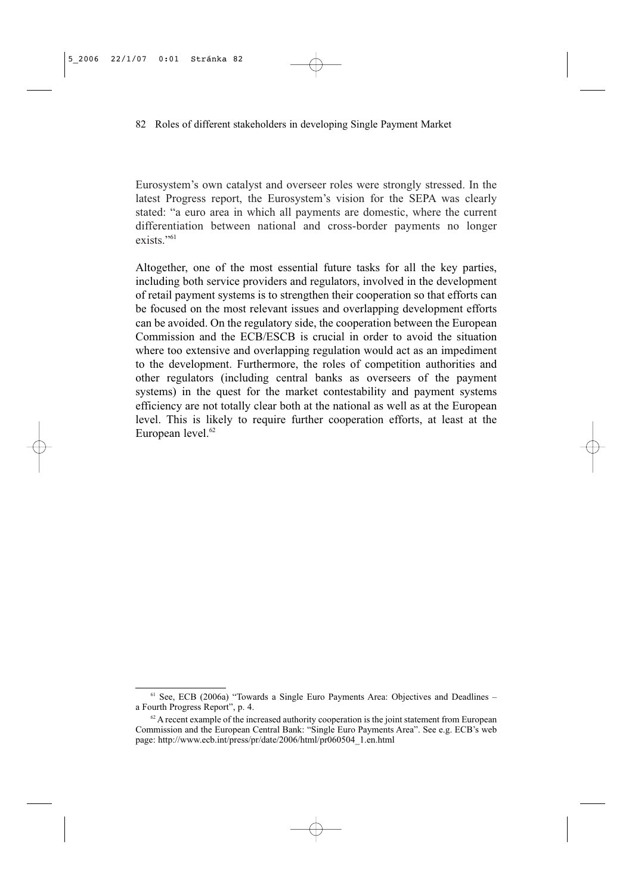Eurosystem's own catalyst and overseer roles were strongly stressed. In the latest Progress report, the Eurosystem's vision for the SEPA was clearly stated: "a euro area in which all payments are domestic, where the current differentiation between national and cross-border payments no longer exists."<sup>61</sup>

Altogether, one of the most essential future tasks for all the key parties, including both service providers and regulators, involved in the development of retail payment systems is to strengthen their cooperation so that efforts can be focused on the most relevant issues and overlapping development efforts can be avoided. On the regulatory side, the cooperation between the European Commission and the ECB/ESCB is crucial in order to avoid the situation where too extensive and overlapping regulation would act as an impediment to the development. Furthermore, the roles of competition authorities and other regulators (including central banks as overseers of the payment systems) in the quest for the market contestability and payment systems efficiency are not totally clear both at the national as well as at the European level. This is likely to require further cooperation efforts, at least at the European level.<sup>62</sup>

 $61$  See, ECB (2006a) "Towards a Single Euro Payments Area: Objectives and Deadlines – a Fourth Progress Report", p. 4.

 $62$  A recent example of the increased authority cooperation is the joint statement from European Commission and the European Central Bank: "Single Euro Payments Area". See e.g. ECB's web page: http://www.ecb.int/press/pr/date/2006/html/pr060504\_1.en.html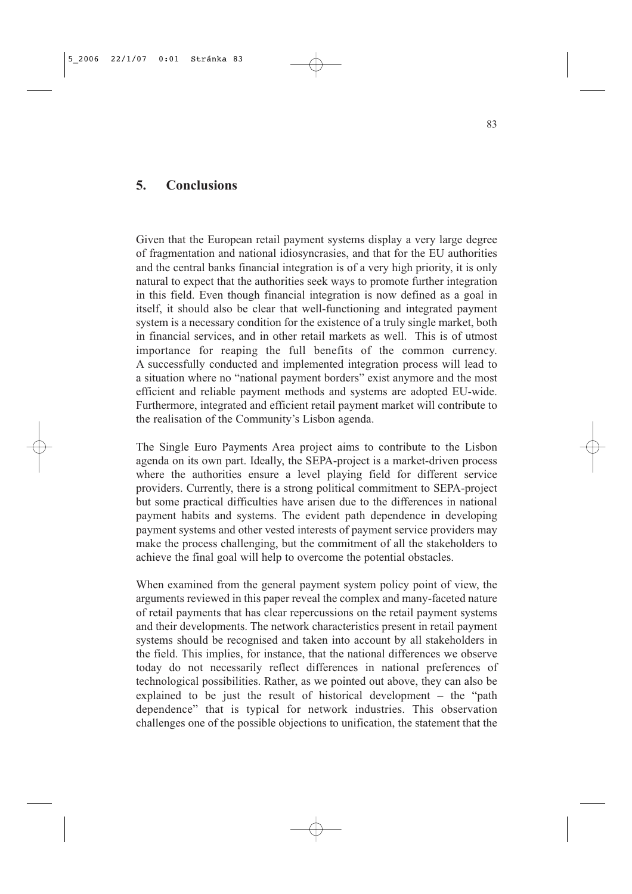# **5. Conclusions**

Given that the European retail payment systems display a very large degree of fragmentation and national idiosyncrasies, and that for the EU authorities and the central banks financial integration is of a very high priority, it is only natural to expect that the authorities seek ways to promote further integration in this field. Even though financial integration is now defined as a goal in itself, it should also be clear that well-functioning and integrated payment system is a necessary condition for the existence of a truly single market, both in financial services, and in other retail markets as well. This is of utmost importance for reaping the full benefits of the common currency. A successfully conducted and implemented integration process will lead to a situation where no "national payment borders" exist anymore and the most efficient and reliable payment methods and systems are adopted EU-wide. Furthermore, integrated and efficient retail payment market will contribute to the realisation of the Community's Lisbon agenda.

The Single Euro Payments Area project aims to contribute to the Lisbon agenda on its own part. Ideally, the SEPA-project is a market-driven process where the authorities ensure a level playing field for different service providers. Currently, there is a strong political commitment to SEPA-project but some practical difficulties have arisen due to the differences in national payment habits and systems. The evident path dependence in developing payment systems and other vested interests of payment service providers may make the process challenging, but the commitment of all the stakeholders to achieve the final goal will help to overcome the potential obstacles.

When examined from the general payment system policy point of view, the arguments reviewed in this paper reveal the complex and many-faceted nature of retail payments that has clear repercussions on the retail payment systems and their developments. The network characteristics present in retail payment systems should be recognised and taken into account by all stakeholders in the field. This implies, for instance, that the national differences we observe today do not necessarily reflect differences in national preferences of technological possibilities. Rather, as we pointed out above, they can also be explained to be just the result of historical development – the "path dependence" that is typical for network industries. This observation challenges one of the possible objections to unification, the statement that the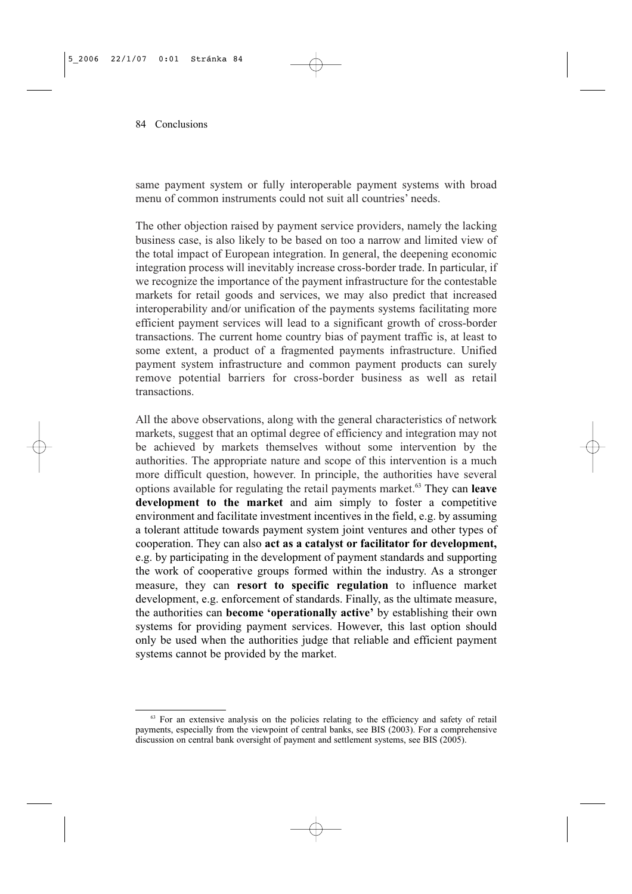#### 84 Conclusions

same payment system or fully interoperable payment systems with broad menu of common instruments could not suit all countries' needs.

The other objection raised by payment service providers, namely the lacking business case, is also likely to be based on too a narrow and limited view of the total impact of European integration. In general, the deepening economic integration process will inevitably increase cross-border trade. In particular, if we recognize the importance of the payment infrastructure for the contestable markets for retail goods and services, we may also predict that increased interoperability and/or unification of the payments systems facilitating more efficient payment services will lead to a significant growth of cross-border transactions. The current home country bias of payment traffic is, at least to some extent, a product of a fragmented payments infrastructure. Unified payment system infrastructure and common payment products can surely remove potential barriers for cross-border business as well as retail transactions.

All the above observations, along with the general characteristics of network markets, suggest that an optimal degree of efficiency and integration may not be achieved by markets themselves without some intervention by the authorities. The appropriate nature and scope of this intervention is a much more difficult question, however. In principle, the authorities have several options available for regulating the retail payments market.63 They can **leave development to the market** and aim simply to foster a competitive environment and facilitate investment incentives in the field, e.g. by assuming a tolerant attitude towards payment system joint ventures and other types of cooperation. They can also **act as a catalyst or facilitator for development,** e.g. by participating in the development of payment standards and supporting the work of cooperative groups formed within the industry. As a stronger measure, they can **resort to specific regulation** to influence market development, e.g. enforcement of standards. Finally, as the ultimate measure, the authorities can **become 'operationally active'** by establishing their own systems for providing payment services. However, this last option should only be used when the authorities judge that reliable and efficient payment systems cannot be provided by the market.

<sup>&</sup>lt;sup>63</sup> For an extensive analysis on the policies relating to the efficiency and safety of retail payments, especially from the viewpoint of central banks, see BIS (2003). For a comprehensive discussion on central bank oversight of payment and settlement systems, see BIS (2005).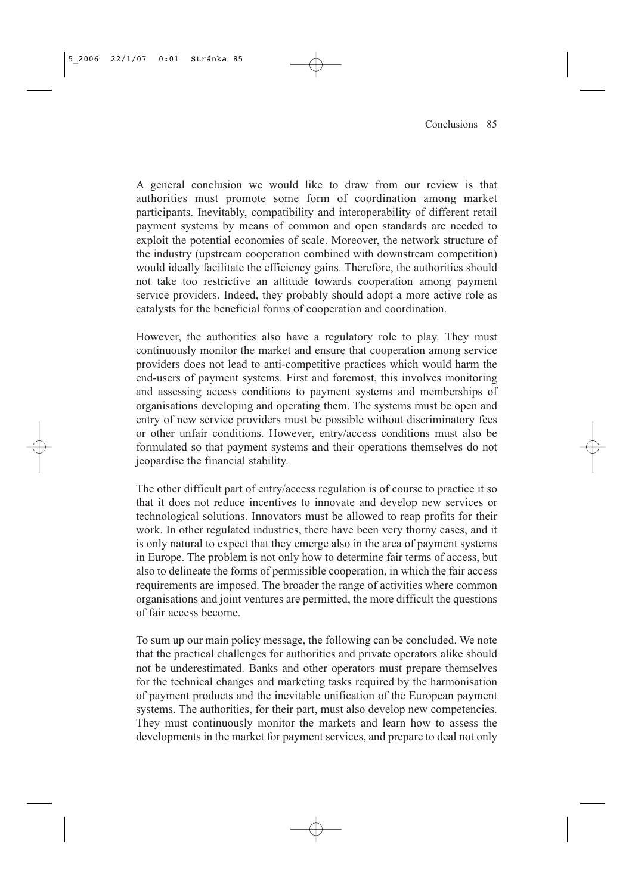Conclusions 85

A general conclusion we would like to draw from our review is that authorities must promote some form of coordination among market participants. Inevitably, compatibility and interoperability of different retail payment systems by means of common and open standards are needed to exploit the potential economies of scale. Moreover, the network structure of the industry (upstream cooperation combined with downstream competition) would ideally facilitate the efficiency gains. Therefore, the authorities should not take too restrictive an attitude towards cooperation among payment service providers. Indeed, they probably should adopt a more active role as catalysts for the beneficial forms of cooperation and coordination.

However, the authorities also have a regulatory role to play. They must continuously monitor the market and ensure that cooperation among service providers does not lead to anti-competitive practices which would harm the end-users of payment systems. First and foremost, this involves monitoring and assessing access conditions to payment systems and memberships of organisations developing and operating them. The systems must be open and entry of new service providers must be possible without discriminatory fees or other unfair conditions. However, entry/access conditions must also be formulated so that payment systems and their operations themselves do not jeopardise the financial stability.

The other difficult part of entry/access regulation is of course to practice it so that it does not reduce incentives to innovate and develop new services or technological solutions. Innovators must be allowed to reap profits for their work. In other regulated industries, there have been very thorny cases, and it is only natural to expect that they emerge also in the area of payment systems in Europe. The problem is not only how to determine fair terms of access, but also to delineate the forms of permissible cooperation, in which the fair access requirements are imposed. The broader the range of activities where common organisations and joint ventures are permitted, the more difficult the questions of fair access become.

To sum up our main policy message, the following can be concluded. We note that the practical challenges for authorities and private operators alike should not be underestimated. Banks and other operators must prepare themselves for the technical changes and marketing tasks required by the harmonisation of payment products and the inevitable unification of the European payment systems. The authorities, for their part, must also develop new competencies. They must continuously monitor the markets and learn how to assess the developments in the market for payment services, and prepare to deal not only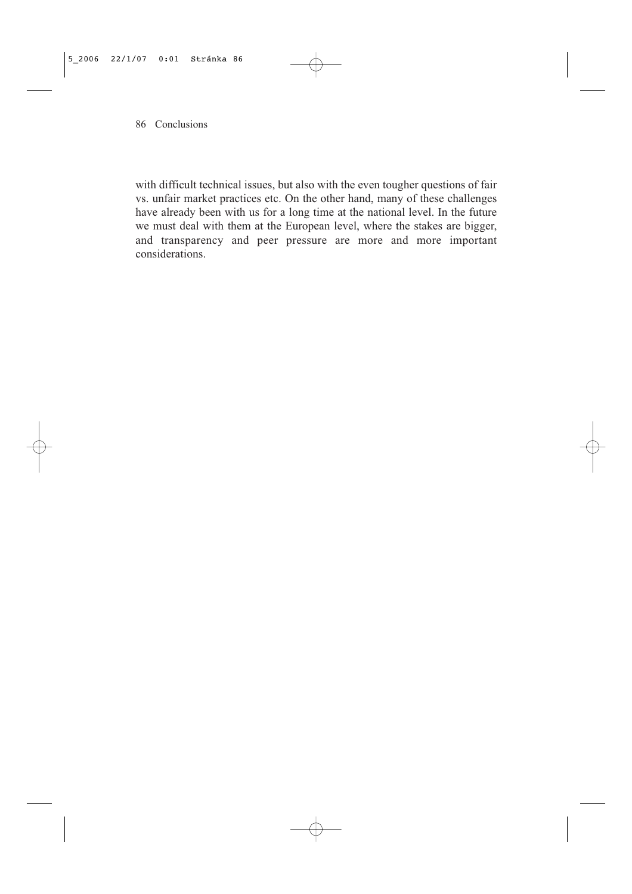86 Conclusions

with difficult technical issues, but also with the even tougher questions of fair vs. unfair market practices etc. On the other hand, many of these challenges have already been with us for a long time at the national level. In the future we must deal with them at the European level, where the stakes are bigger, and transparency and peer pressure are more and more important considerations.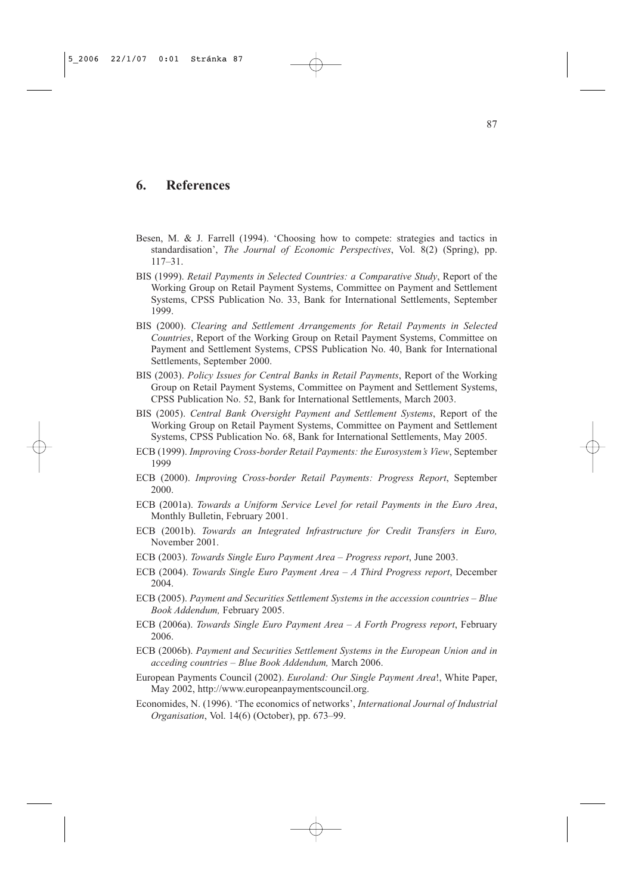# **6. References**

- Besen, M. & J. Farrell (1994). 'Choosing how to compete: strategies and tactics in standardisation', *The Journal of Economic Perspectives*, Vol. 8(2) (Spring), pp. 117–31.
- BIS (1999). *Retail Payments in Selected Countries: a Comparative Study*, Report of the Working Group on Retail Payment Systems, Committee on Payment and Settlement Systems, CPSS Publication No. 33, Bank for International Settlements, September 1999.
- BIS (2000). *Clearing and Settlement Arrangements for Retail Payments in Selected Countries*, Report of the Working Group on Retail Payment Systems, Committee on Payment and Settlement Systems, CPSS Publication No. 40, Bank for International Settlements, September 2000.
- BIS (2003). *Policy Issues for Central Banks in Retail Payments*, Report of the Working Group on Retail Payment Systems, Committee on Payment and Settlement Systems, CPSS Publication No. 52, Bank for International Settlements, March 2003.
- BIS (2005). *Central Bank Oversight Payment and Settlement Systems*, Report of the Working Group on Retail Payment Systems, Committee on Payment and Settlement Systems, CPSS Publication No. 68, Bank for International Settlements, May 2005.
- ECB (1999). *Improving Cross-border Retail Payments: the Eurosystem's View*, September 1999
- ECB (2000). *Improving Cross-border Retail Payments: Progress Report*, September 2000.
- ECB (2001a). *Towards a Uniform Service Level for retail Payments in the Euro Area*, Monthly Bulletin, February 2001.
- ECB (2001b). *Towards an Integrated Infrastructure for Credit Transfers in Euro,* November 2001.
- ECB (2003). *Towards Single Euro Payment Area Progress report*, June 2003.
- ECB (2004). *Towards Single Euro Payment Area A Third Progress report*, December 2004.
- ECB (2005). *Payment and Securities Settlement Systems in the accession countries Blue Book Addendum,* February 2005.
- ECB (2006a). *Towards Single Euro Payment Area A Forth Progress report*, February 2006.
- ECB (2006b). *Payment and Securities Settlement Systems in the European Union and in acceding countries – Blue Book Addendum,* March 2006.
- European Payments Council (2002). *Euroland: Our Single Payment Area*!, White Paper, May 2002, http://www.europeanpaymentscouncil.org.
- Economides, N. (1996). 'The economics of networks', *International Journal of Industrial Organisation*, Vol. 14(6) (October), pp. 673–99.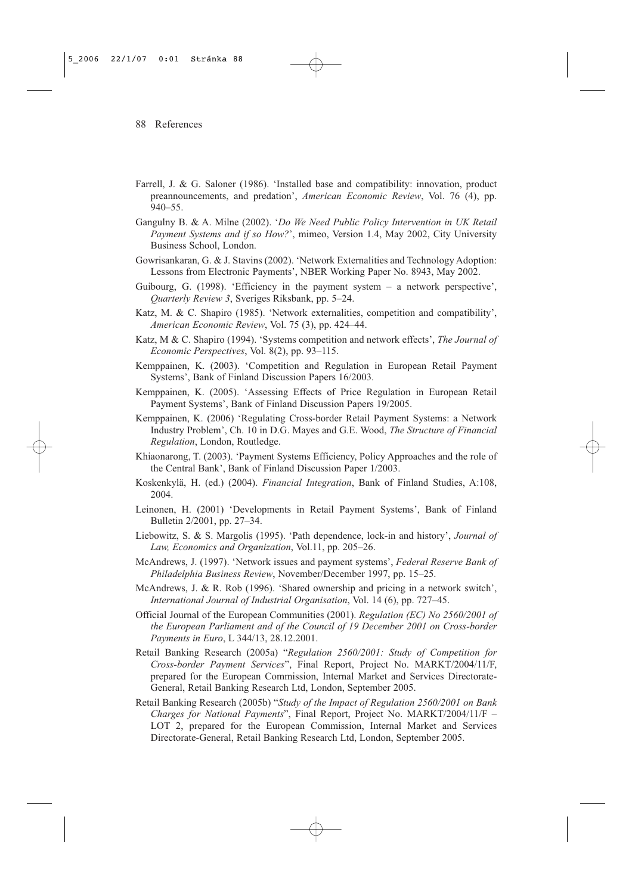88 References

- Farrell, J. & G. Saloner (1986). 'Installed base and compatibility: innovation, product preannouncements, and predation', *American Economic Review*, Vol. 76 (4), pp. 940–55.
- Gangulny B. & A. Milne (2002). '*Do We Need Public Policy Intervention in UK Retail Payment Systems and if so How?*', mimeo, Version 1.4, May 2002, City University Business School, London.
- Gowrisankaran, G. & J. Stavins (2002). 'Network Externalities and Technology Adoption: Lessons from Electronic Payments', NBER Working Paper No. 8943, May 2002.
- Guibourg, G. (1998). 'Efficiency in the payment system a network perspective', *Quarterly Review 3*, Sveriges Riksbank, pp. 5–24.
- Katz, M. & C. Shapiro (1985). 'Network externalities, competition and compatibility', *American Economic Review*, Vol. 75 (3), pp. 424–44.
- Katz, M & C. Shapiro (1994). 'Systems competition and network effects', *The Journal of Economic Perspectives*, Vol. 8(2), pp. 93–115.
- Kemppainen, K. (2003). 'Competition and Regulation in European Retail Payment Systems', Bank of Finland Discussion Papers 16/2003.
- Kemppainen, K. (2005). 'Assessing Effects of Price Regulation in European Retail Payment Systems', Bank of Finland Discussion Papers 19/2005.
- Kemppainen, K. (2006) 'Regulating Cross-border Retail Payment Systems: a Network Industry Problem', Ch. 10 in D.G. Mayes and G.E. Wood, *The Structure of Financial Regulation*, London, Routledge.
- Khiaonarong, T. (2003). 'Payment Systems Efficiency, Policy Approaches and the role of the Central Bank', Bank of Finland Discussion Paper 1/2003.
- Koskenkylä, H. (ed.) (2004). *Financial Integration*, Bank of Finland Studies, A:108, 2004.
- Leinonen, H. (2001) 'Developments in Retail Payment Systems', Bank of Finland Bulletin 2/2001, pp. 27–34.
- Liebowitz, S. & S. Margolis (1995). 'Path dependence, lock-in and history', *Journal of Law, Economics and Organization*, Vol.11, pp. 205–26.
- McAndrews, J. (1997). 'Network issues and payment systems', *Federal Reserve Bank of Philadelphia Business Review*, November/December 1997, pp. 15–25.
- McAndrews, J. & R. Rob (1996). 'Shared ownership and pricing in a network switch', *International Journal of Industrial Organisation*, Vol. 14 (6), pp. 727–45.
- Official Journal of the European Communities (2001). *Regulation (EC) No 2560/2001 of the European Parliament and of the Council of 19 December 2001 on Cross-border Payments in Euro*, L 344/13, 28.12.2001.
- Retail Banking Research (2005a) "*Regulation 2560/2001: Study of Competition for Cross-border Payment Services*", Final Report, Project No. MARKT/2004/11/F, prepared for the European Commission, Internal Market and Services Directorate-General, Retail Banking Research Ltd, London, September 2005.
- Retail Banking Research (2005b) "*Study of the Impact of Regulation 2560/2001 on Bank Charges for National Payments*", Final Report, Project No. MARKT/2004/11/F – LOT 2, prepared for the European Commission, Internal Market and Services Directorate-General, Retail Banking Research Ltd, London, September 2005.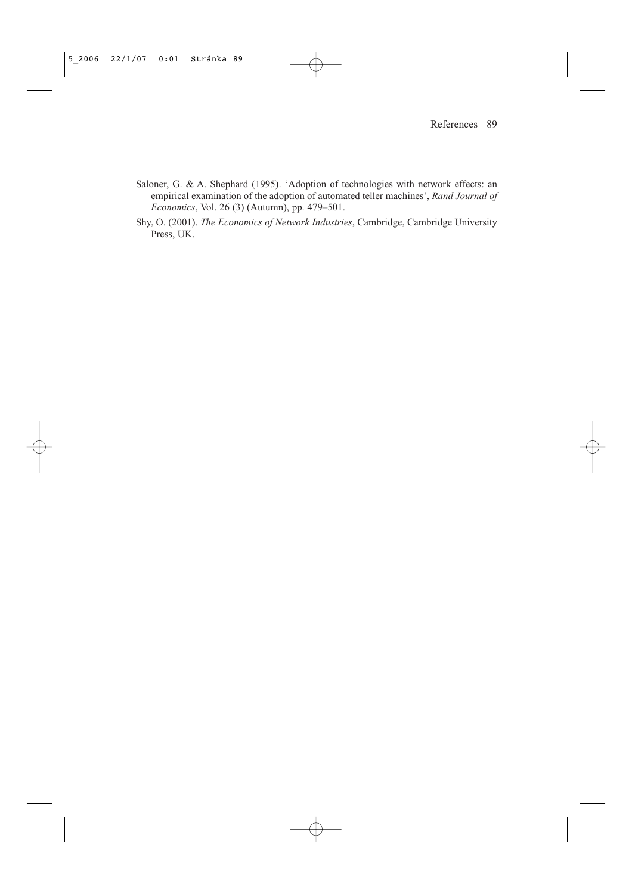References 89

- Saloner, G. & A. Shephard (1995). 'Adoption of technologies with network effects: an empirical examination of the adoption of automated teller machines', *Rand Journal of Economics*, Vol. 26 (3) (Autumn), pp. 479–501.
- Shy, O. (2001). *The Economics of Network Industries*, Cambridge, Cambridge University Press, UK.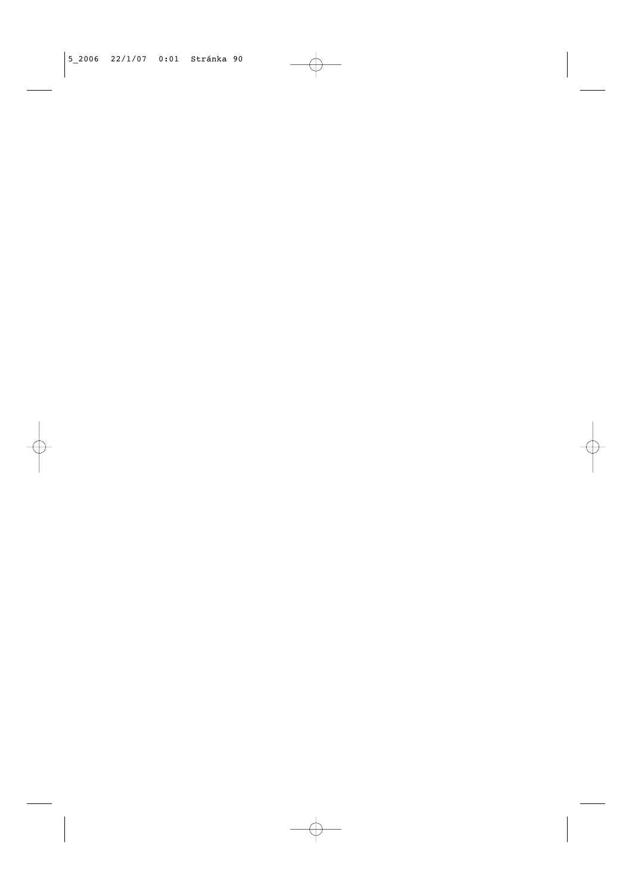5\_2006 22/1/07 0:01 Stránka 90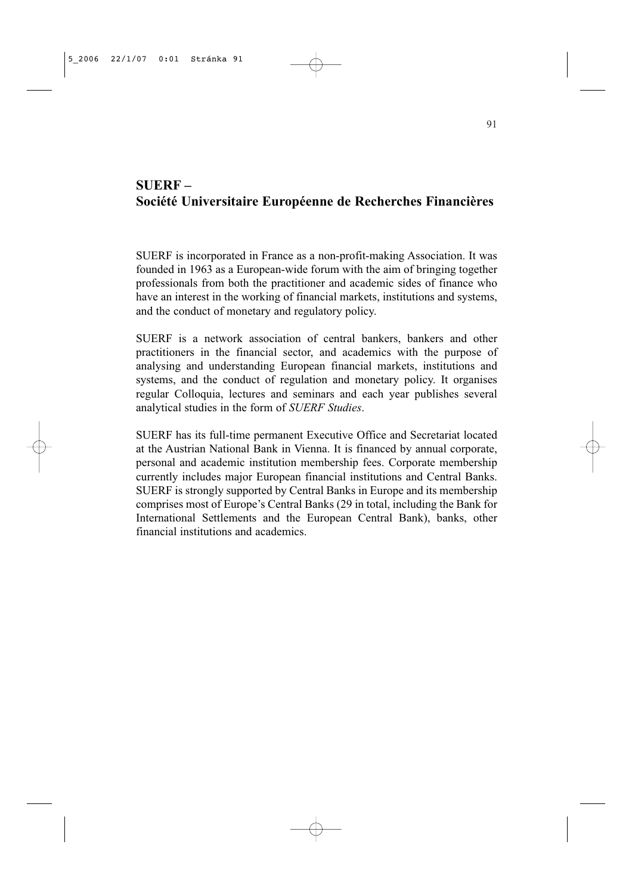# **SUERF – Société Universitaire Européenne de Recherches Financières**

SUERF is incorporated in France as a non-profit-making Association. It was founded in 1963 as a European-wide forum with the aim of bringing together professionals from both the practitioner and academic sides of finance who have an interest in the working of financial markets, institutions and systems, and the conduct of monetary and regulatory policy.

SUERF is a network association of central bankers, bankers and other practitioners in the financial sector, and academics with the purpose of analysing and understanding European financial markets, institutions and systems, and the conduct of regulation and monetary policy. It organises regular Colloquia, lectures and seminars and each year publishes several analytical studies in the form of *SUERF Studies*.

SUERF has its full-time permanent Executive Office and Secretariat located at the Austrian National Bank in Vienna. It is financed by annual corporate, personal and academic institution membership fees. Corporate membership currently includes major European financial institutions and Central Banks. SUERF is strongly supported by Central Banks in Europe and its membership comprises most of Europe's Central Banks (29 in total, including the Bank for International Settlements and the European Central Bank), banks, other financial institutions and academics.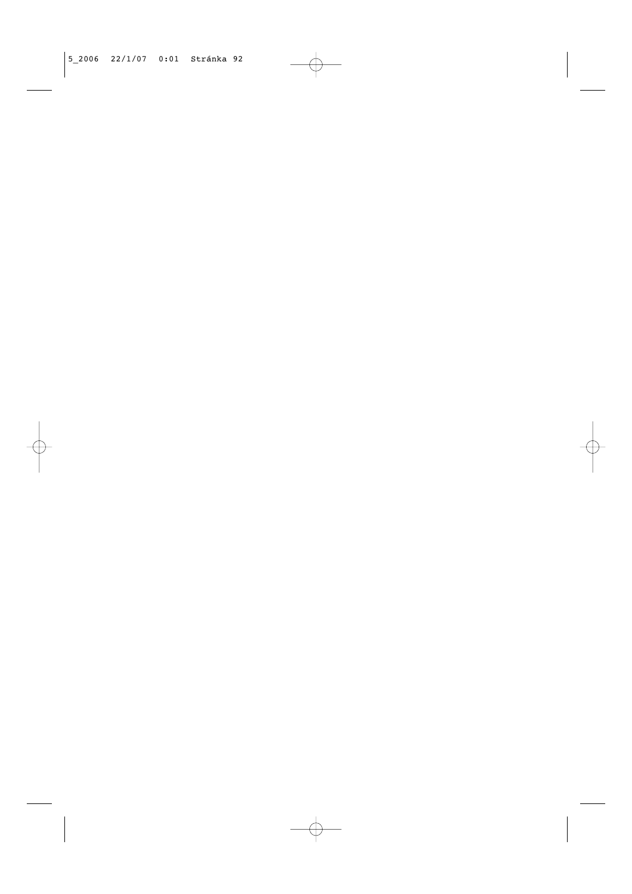5\_2006 22/1/07 0:01 Stránka 92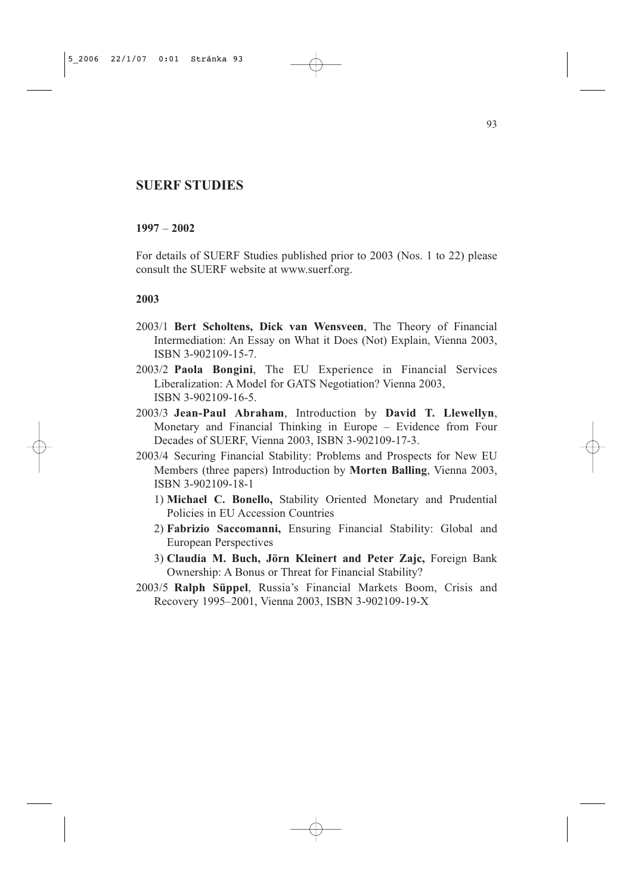# **SUERF STUDIES**

## **1997** – **2002**

For details of SUERF Studies published prior to 2003 (Nos. 1 to 22) please consult the SUERF website at www.suerf.org.

## **2003**

- 2003/1 **Bert Scholtens, Dick van Wensveen**, The Theory of Financial Intermediation: An Essay on What it Does (Not) Explain, Vienna 2003, ISBN 3-902109-15-7.
- 2003/2 **Paola Bongini**, The EU Experience in Financial Services Liberalization: A Model for GATS Negotiation? Vienna 2003, ISBN 3-902109-16-5.
- 2003/3 **Jean-Paul Abraham**, Introduction by **David T. Llewellyn**, Monetary and Financial Thinking in Europe – Evidence from Four Decades of SUERF, Vienna 2003, ISBN 3-902109-17-3.
- 2003/4 Securing Financial Stability: Problems and Prospects for New EU Members (three papers) Introduction by **Morten Balling**, Vienna 2003, ISBN 3-902109-18-1
	- 1) **Michael C. Bonello,** Stability Oriented Monetary and Prudential Policies in EU Accession Countries
	- 2) **Fabrizio Saccomanni,** Ensuring Financial Stability: Global and European Perspectives
	- 3) **Claudia M. Buch, Jörn Kleinert and Peter Zajc,** Foreign Bank Ownership: A Bonus or Threat for Financial Stability?
- 2003/5 **Ralph Süppel**, Russia's Financial Markets Boom, Crisis and Recovery 1995–2001, Vienna 2003, ISBN 3-902109-19-X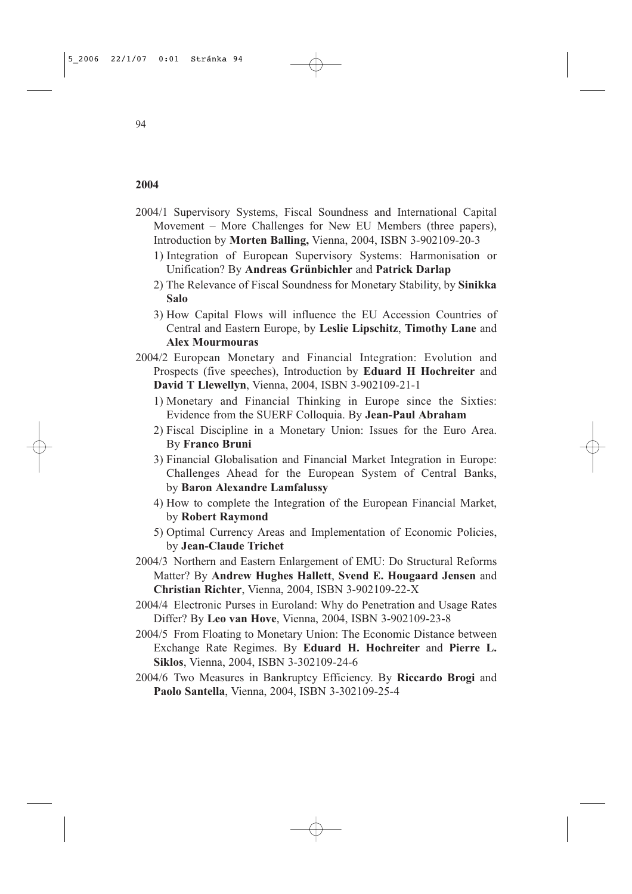# **2004**

94

- 2004/1 Supervisory Systems, Fiscal Soundness and International Capital Movement – More Challenges for New EU Members (three papers), Introduction by **Morten Balling,** Vienna, 2004, ISBN 3-902109-20-3
	- 1) Integration of European Supervisory Systems: Harmonisation or Unification? By **Andreas Grünbichler** and **Patrick Darlap**
	- 2) The Relevance of Fiscal Soundness for Monetary Stability, by **Sinikka Salo**
	- 3) How Capital Flows will influence the EU Accession Countries of Central and Eastern Europe, by **Leslie Lipschitz**, **Timothy Lane** and **Alex Mourmouras**
- 2004/2 European Monetary and Financial Integration: Evolution and Prospects (five speeches), Introduction by **Eduard H Hochreiter** and **David T Llewellyn**, Vienna, 2004, ISBN 3-902109-21-1
	- 1) Monetary and Financial Thinking in Europe since the Sixties: Evidence from the SUERF Colloquia. By **Jean-Paul Abraham**
	- 2) Fiscal Discipline in a Monetary Union: Issues for the Euro Area. By **Franco Bruni**
	- 3) Financial Globalisation and Financial Market Integration in Europe: Challenges Ahead for the European System of Central Banks, by **Baron Alexandre Lamfalussy**
	- 4) How to complete the Integration of the European Financial Market, by **Robert Raymond**
	- 5) Optimal Currency Areas and Implementation of Economic Policies, by **Jean-Claude Trichet**
- 2004/3 Northern and Eastern Enlargement of EMU: Do Structural Reforms Matter? By **Andrew Hughes Hallett**, **Svend E. Hougaard Jensen** and **Christian Richter**, Vienna, 2004, ISBN 3-902109-22-X
- 2004/4 Electronic Purses in Euroland: Why do Penetration and Usage Rates Differ? By **Leo van Hove**, Vienna, 2004, ISBN 3-902109-23-8
- 2004/5 From Floating to Monetary Union: The Economic Distance between Exchange Rate Regimes. By **Eduard H. Hochreiter** and **Pierre L. Siklos**, Vienna, 2004, ISBN 3-302109-24-6
- 2004/6 Two Measures in Bankruptcy Efficiency. By **Riccardo Brogi** and **Paolo Santella**, Vienna, 2004, ISBN 3-302109-25-4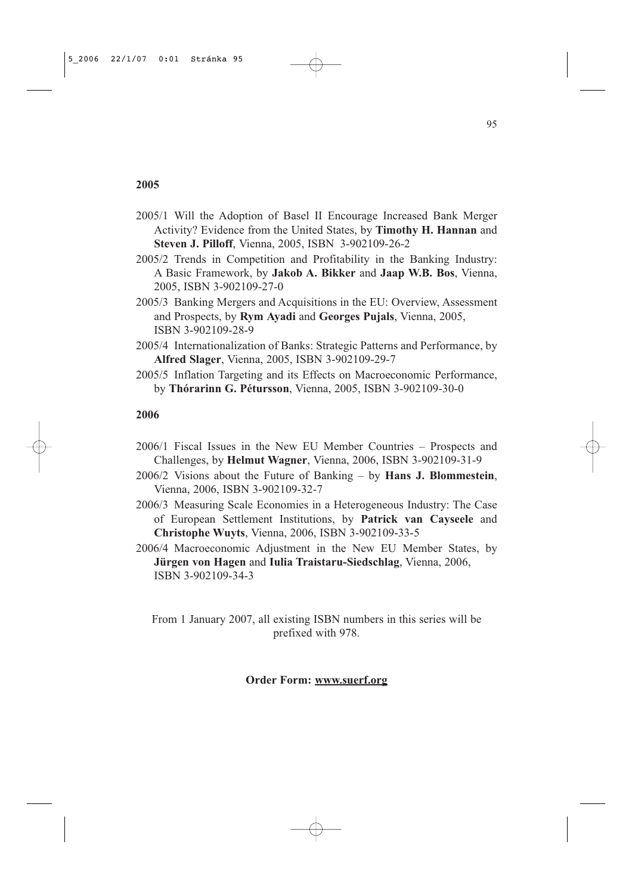# **2005**

- 2005/1 Will the Adoption of Basel II Encourage Increased Bank Merger Activity? Evidence from the United States, by **Timothy H. Hannan** and **Steven J. Pilloff**, Vienna, 2005, ISBN 3-902109-26-2
- 2005/2 Trends in Competition and Profitability in the Banking Industry: A Basic Framework, by **Jakob A. Bikker** and **Jaap W.B. Bos**, Vienna, 2005, ISBN 3-902109-27-0
- 2005/3 Banking Mergers and Acquisitions in the EU: Overview, Assessment and Prospects, by **Rym Ayadi** and **Georges Pujals**, Vienna, 2005, ISBN 3-902109-28-9
- 2005/4 Internationalization of Banks: Strategic Patterns and Performance, by **Alfred Slager**, Vienna, 2005, ISBN 3-902109-29-7
- 2005/5 Inflation Targeting and its Effects on Macroeconomic Performance, by **Thórarinn G. Pétursson**, Vienna, 2005, ISBN 3-902109-30-0

## **2006**

- 2006/1 Fiscal Issues in the New EU Member Countries Prospects and Challenges, by **Helmut Wagner**, Vienna, 2006, ISBN 3-902109-31-9
- 2006/2 Visions about the Future of Banking by **Hans J. Blommestein**, Vienna, 2006, ISBN 3-902109-32-7
- 2006/3 Measuring Scale Economies in a Heterogeneous Industry: The Case of European Settlement Institutions, by **Patrick van Cayseele** and **Christophe Wuyts**, Vienna, 2006, ISBN 3-902109-33-5
- 2006/4 Macroeconomic Adjustment in the New EU Member States, by **Jürgen von Hagen** and **Iulia Traistaru-Siedschlag**, Vienna, 2006, ISBN 3-902109-34-3

From 1 January 2007, all existing ISBN numbers in this series will be prefixed with 978.

## **Order Form: www.suerf.org**